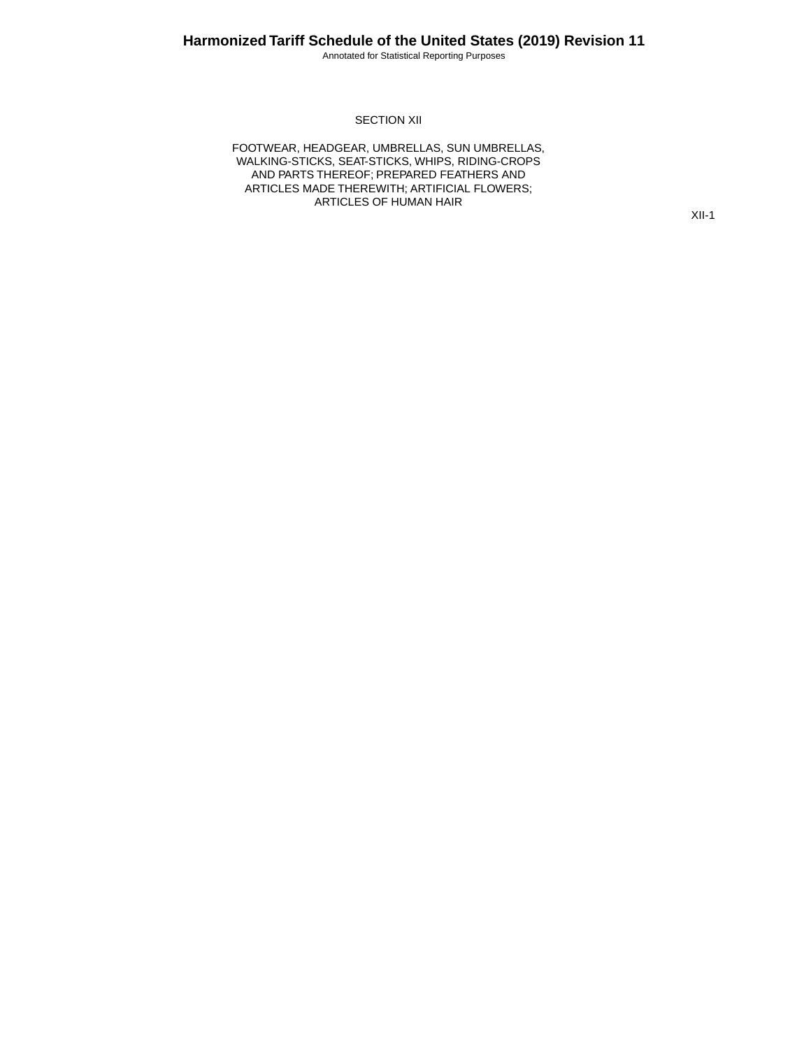Annotated for Statistical Reporting Purposes

#### SECTION XII

FOOTWEAR, HEADGEAR, UMBRELLAS, SUN UMBRELLAS, WALKING-STICKS, SEAT-STICKS, WHIPS, RIDING-CROPS AND PARTS THEREOF; PREPARED FEATHERS AND ARTICLES MADE THEREWITH; ARTIFICIAL FLOWERS; ARTICLES OF HUMAN HAIR

XII-1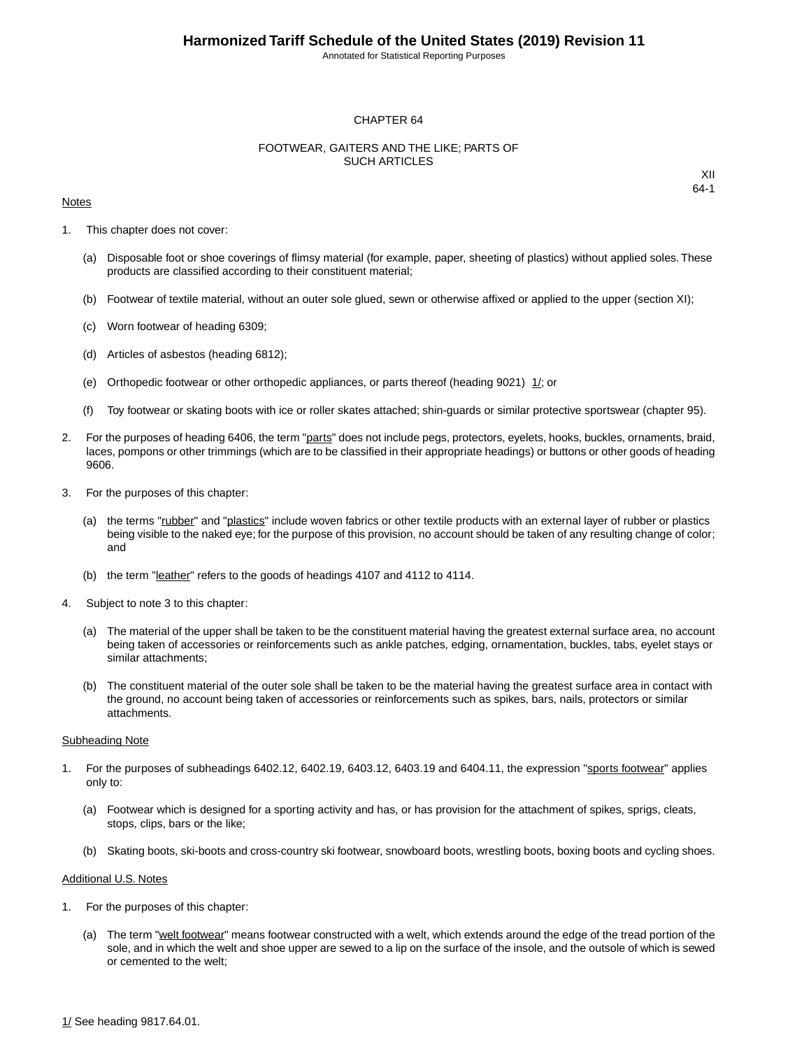Annotated for Statistical Reporting Purposes

#### CHAPTER 64

#### FOOTWEAR, GAITERS AND THE LIKE; PARTS OF SUCH ARTICLES

#### Notes

XII 64-1

- 1. This chapter does not cover:
	- (a) Disposable foot or shoe coverings of flimsy material (for example, paper, sheeting of plastics) without applied soles. These products are classified according to their constituent material;
	- (b) Footwear of textile material, without an outer sole glued, sewn or otherwise affixed or applied to the upper (section XI);
	- (c) Worn footwear of heading 6309;
	- (d) Articles of asbestos (heading 6812);
	- (e) Orthopedic footwear or other orthopedic appliances, or parts thereof (heading 9021) 1/; or
	- (f) Toy footwear or skating boots with ice or roller skates attached; shin-guards or similar protective sportswear (chapter 95).
- 2. For the purposes of heading 6406, the term "parts" does not include pegs, protectors, eyelets, hooks, buckles, ornaments, braid, laces, pompons or other trimmings (which are to be classified in their appropriate headings) or buttons or other goods of heading 9606.
- 3. For the purposes of this chapter:
	- (a) the terms "rubber" and "plastics" include woven fabrics or other textile products with an external layer of rubber or plastics being visible to the naked eye; for the purpose of this provision, no account should be taken of any resulting change of color; and
	- (b) the term "leather" refers to the goods of headings 4107 and 4112 to 4114.
- 4. Subject to note 3 to this chapter:
	- (a) The material of the upper shall be taken to be the constituent material having the greatest external surface area, no account being taken of accessories or reinforcements such as ankle patches, edging, ornamentation, buckles, tabs, eyelet stays or similar attachments;
	- (b) The constituent material of the outer sole shall be taken to be the material having the greatest surface area in contact with the ground, no account being taken of accessories or reinforcements such as spikes, bars, nails, protectors or similar attachments.

#### Subheading Note

- 1. For the purposes of subheadings 6402.12, 6402.19, 6403.12, 6403.19 and 6404.11, the expression "sports footwear" applies only to:
	- (a) Footwear which is designed for a sporting activity and has, or has provision for the attachment of spikes, sprigs, cleats, stops, clips, bars or the like;
	- (b) Skating boots, ski-boots and cross-country ski footwear, snowboard boots, wrestling boots, boxing boots and cycling shoes.

#### Additional U.S. Notes

- 1. For the purposes of this chapter:
	- (a) The term "welt footwear" means footwear constructed with a welt, which extends around the edge of the tread portion of the sole, and in which the welt and shoe upper are sewed to a lip on the surface of the insole, and the outsole of which is sewed or cemented to the welt;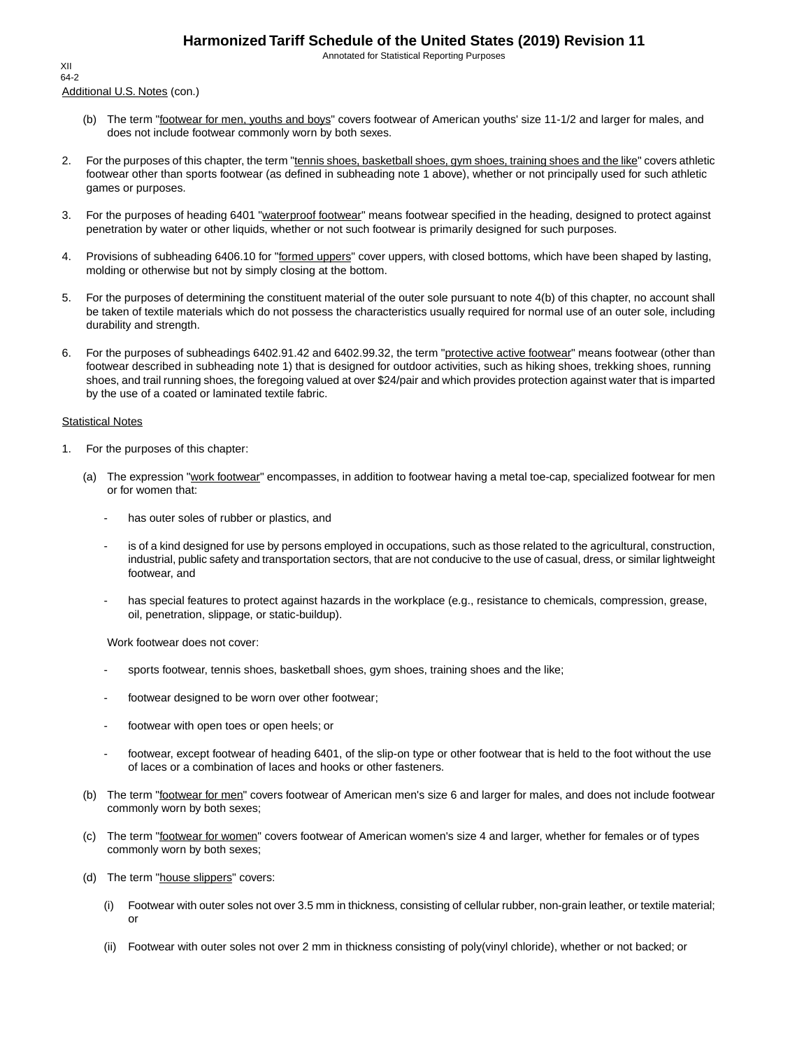Annotated for Statistical Reporting Purposes

Additional U.S. Notes (con.) XII 64-2

- (b) The term "footwear for men, youths and boys" covers footwear of American youths' size 11-1/2 and larger for males, and does not include footwear commonly worn by both sexes.
- 2. For the purposes of this chapter, the term "tennis shoes, basketball shoes, gym shoes, training shoes and the like" covers athletic footwear other than sports footwear (as defined in subheading note 1 above), whether or not principally used for such athletic games or purposes.
- 3. For the purposes of heading 6401 "waterproof footwear" means footwear specified in the heading, designed to protect against penetration by water or other liquids, whether or not such footwear is primarily designed for such purposes.
- 4. Provisions of subheading 6406.10 for "formed uppers" cover uppers, with closed bottoms, which have been shaped by lasting, molding or otherwise but not by simply closing at the bottom.
- 5. For the purposes of determining the constituent material of the outer sole pursuant to note 4(b) of this chapter, no account shall be taken of textile materials which do not possess the characteristics usually required for normal use of an outer sole, including durability and strength.
- 6. For the purposes of subheadings 6402.91.42 and 6402.99.32, the term "protective active footwear" means footwear (other than footwear described in subheading note 1) that is designed for outdoor activities, such as hiking shoes, trekking shoes, running shoes, and trail running shoes, the foregoing valued at over \$24/pair and which provides protection against water that is imparted by the use of a coated or laminated textile fabric.

#### **Statistical Notes**

- 1. For the purposes of this chapter:
	- (a) The expression "work footwear" encompasses, in addition to footwear having a metal toe-cap, specialized footwear for men or for women that:
		- has outer soles of rubber or plastics, and
		- is of a kind designed for use by persons employed in occupations, such as those related to the agricultural, construction, industrial, public safety and transportation sectors, that are not conducive to the use of casual, dress, or similar lightweight footwear, and
		- has special features to protect against hazards in the workplace (e.g., resistance to chemicals, compression, grease, oil, penetration, slippage, or static-buildup).

Work footwear does not cover:

- sports footwear, tennis shoes, basketball shoes, gym shoes, training shoes and the like;
- footwear designed to be worn over other footwear;
- footwear with open toes or open heels; or
- footwear, except footwear of heading 6401, of the slip-on type or other footwear that is held to the foot without the use of laces or a combination of laces and hooks or other fasteners.
- (b) The term "footwear for men" covers footwear of American men's size 6 and larger for males, and does not include footwear commonly worn by both sexes;
- (c) The term "footwear for women" covers footwear of American women's size 4 and larger, whether for females or of types commonly worn by both sexes;
- (d) The term "house slippers" covers:
	- (i) Footwear with outer soles not over 3.5 mm in thickness, consisting of cellular rubber, non-grain leather, or textile material; or
	- (ii) Footwear with outer soles not over 2 mm in thickness consisting of poly(vinyl chloride), whether or not backed; or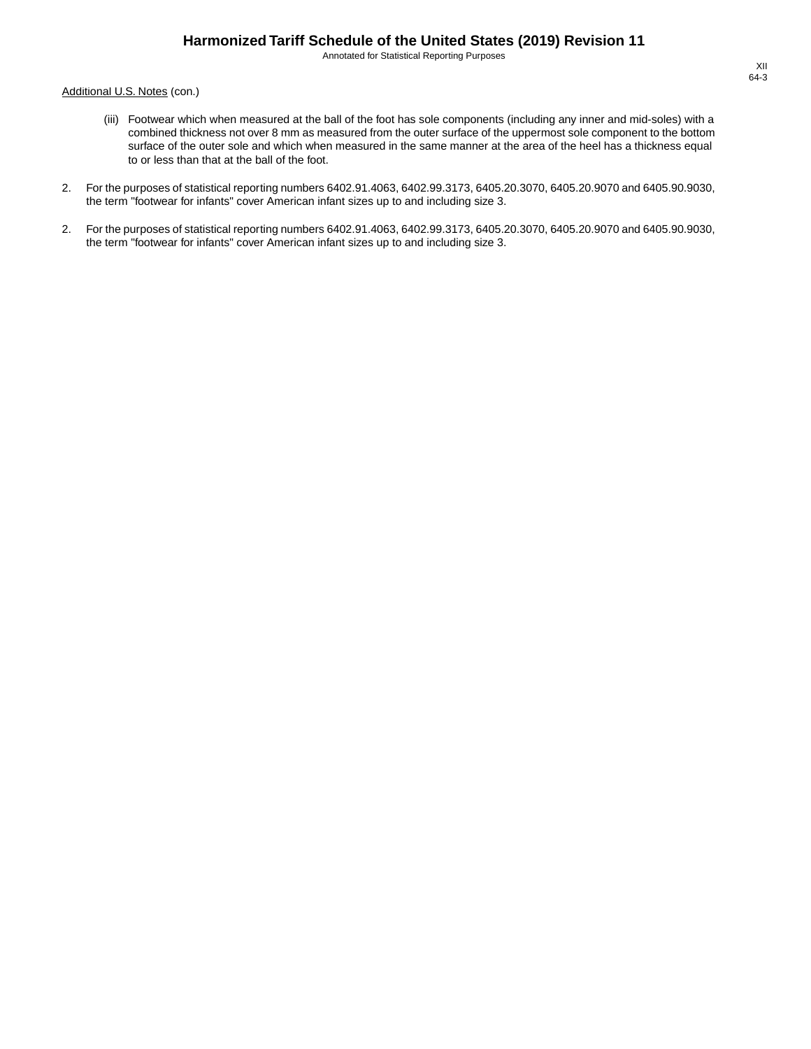Annotated for Statistical Reporting Purposes

Additional U.S. Notes (con.)

- (iii) Footwear which when measured at the ball of the foot has sole components (including any inner and mid-soles) with a combined thickness not over 8 mm as measured from the outer surface of the uppermost sole component to the bottom surface of the outer sole and which when measured in the same manner at the area of the heel has a thickness equal to or less than that at the ball of the foot.
- 2. For the purposes of statistical reporting numbers 6402.91.4063, 6402.99.3173, 6405.20.3070, 6405.20.9070 and 6405.90.9030, the term "footwear for infants" cover American infant sizes up to and including size 3.
- 2. For the purposes of statistical reporting numbers 6402.91.4063, 6402.99.3173, 6405.20.3070, 6405.20.9070 and 6405.90.9030, the term "footwear for infants" cover American infant sizes up to and including size 3.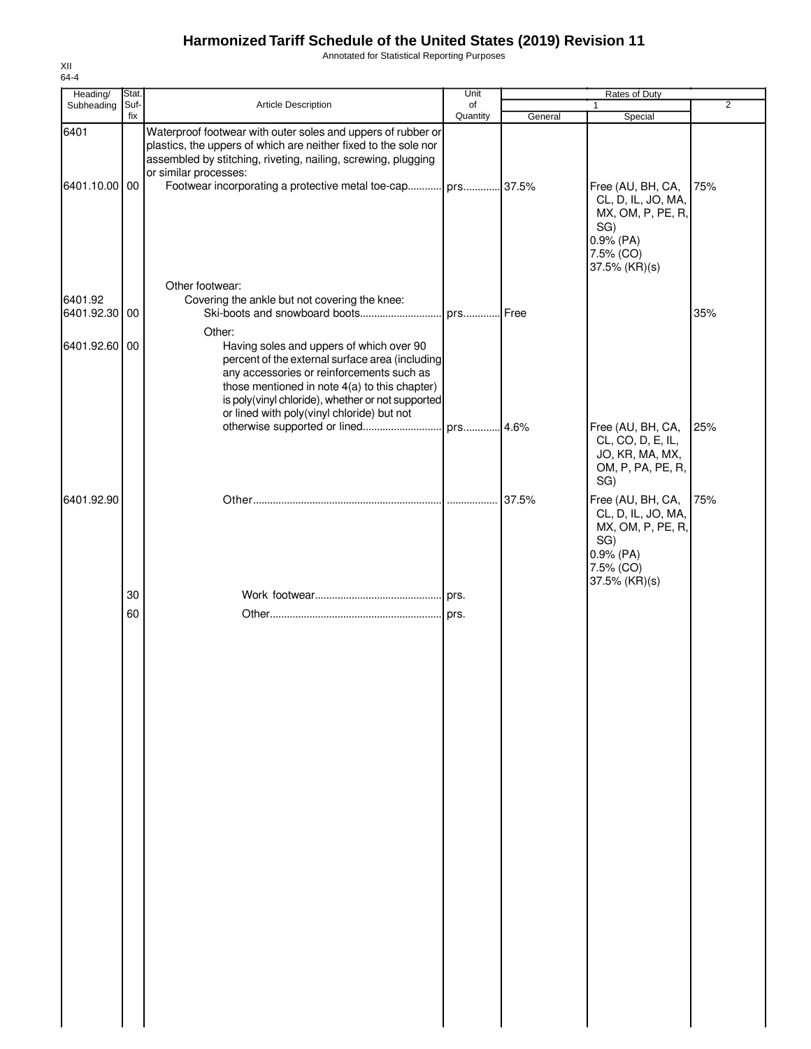Annotated for Statistical Reporting Purposes

| Heading/                 | Stat. |                                                                                                                                                                                                                                                                                                        | Unit     |         | Rates of Duty                                                                                                    |                |
|--------------------------|-------|--------------------------------------------------------------------------------------------------------------------------------------------------------------------------------------------------------------------------------------------------------------------------------------------------------|----------|---------|------------------------------------------------------------------------------------------------------------------|----------------|
| Subheading               | Suf-  | Article Description                                                                                                                                                                                                                                                                                    | of       |         | $\mathbf{1}$                                                                                                     | $\overline{2}$ |
| 6401                     | fix   | Waterproof footwear with outer soles and uppers of rubber or<br>plastics, the uppers of which are neither fixed to the sole nor<br>assembled by stitching, riveting, nailing, screwing, plugging<br>or similar processes:                                                                              | Quantity | General | Special                                                                                                          |                |
| 6401.10.00 00            |       | Footwear incorporating a protective metal toe-cap prs 37.5%<br>Other footwear:                                                                                                                                                                                                                         |          |         | Free (AU, BH, CA,<br>CL, D, IL, JO, MA,<br>MX, OM, P, PE, R,<br>SG)<br>$0.9%$ (PA)<br>7.5% (CO)<br>37.5% (KR)(s) | 75%            |
| 6401.92<br>6401.92.30 00 |       | Covering the ankle but not covering the knee:                                                                                                                                                                                                                                                          |          |         |                                                                                                                  | 35%            |
| 6401.92.60 00            |       | Other:<br>Having soles and uppers of which over 90<br>percent of the external surface area (including<br>any accessories or reinforcements such as<br>those mentioned in note 4(a) to this chapter)<br>is poly(vinyl chloride), whether or not supported<br>or lined with poly(vinyl chloride) but not |          |         |                                                                                                                  |                |
|                          |       |                                                                                                                                                                                                                                                                                                        |          |         | Free (AU, BH, CA,<br>CL, CO, D, E, IL,<br>JO, KR, MA, MX,<br>OM, P, PA, PE, R,<br>SG)                            | 25%            |
| 6401.92.90               |       |                                                                                                                                                                                                                                                                                                        |          | 37.5%   | Free (AU, BH, CA,<br>CL, D, IL, JO, MA,<br>MX, OM, P, PE, R,<br>SG)<br>$0.9%$ (PA)<br>7.5% (CO)<br>37.5% (KR)(s) | 75%            |
|                          | 30    |                                                                                                                                                                                                                                                                                                        |          |         |                                                                                                                  |                |
|                          | 60    |                                                                                                                                                                                                                                                                                                        |          |         |                                                                                                                  |                |
|                          |       |                                                                                                                                                                                                                                                                                                        |          |         |                                                                                                                  |                |
|                          |       |                                                                                                                                                                                                                                                                                                        |          |         |                                                                                                                  |                |
|                          |       |                                                                                                                                                                                                                                                                                                        |          |         |                                                                                                                  |                |
|                          |       |                                                                                                                                                                                                                                                                                                        |          |         |                                                                                                                  |                |
|                          |       |                                                                                                                                                                                                                                                                                                        |          |         |                                                                                                                  |                |
|                          |       |                                                                                                                                                                                                                                                                                                        |          |         |                                                                                                                  |                |
|                          |       |                                                                                                                                                                                                                                                                                                        |          |         |                                                                                                                  |                |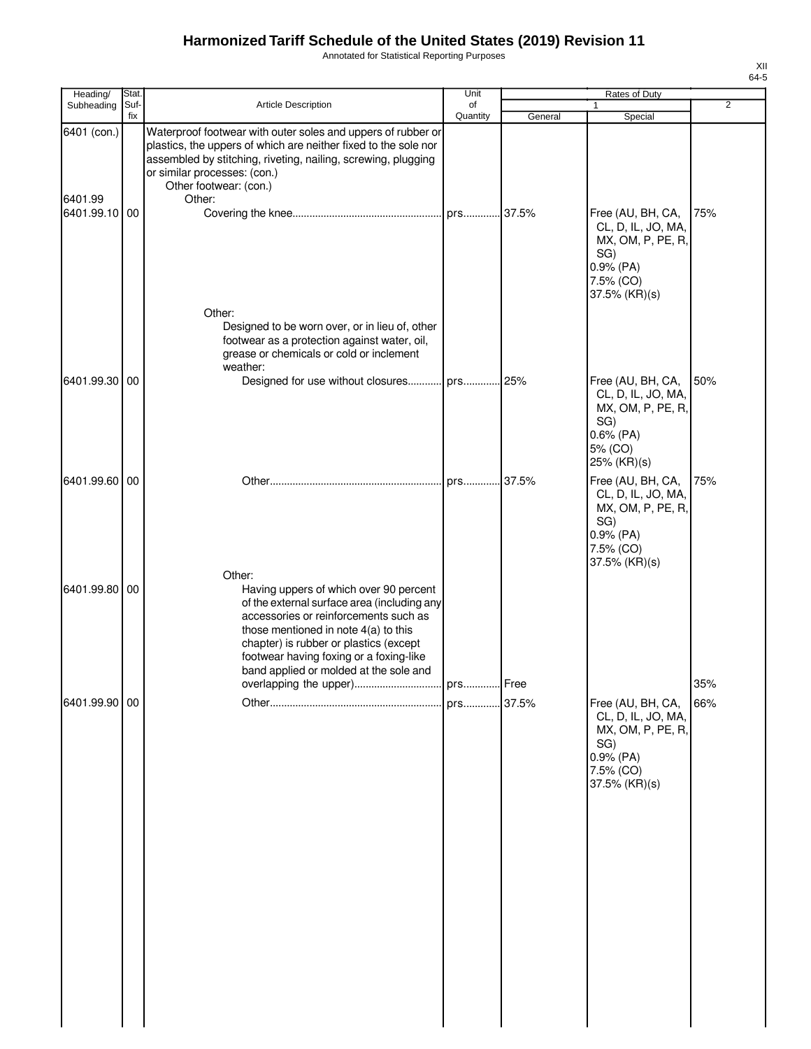Annotated for Statistical Reporting Purposes

| Heading/               | Stat.       |                                                                                                                                                                                                                                                                                                                   | Unit           |         | Rates of Duty                                                                                                  |                |
|------------------------|-------------|-------------------------------------------------------------------------------------------------------------------------------------------------------------------------------------------------------------------------------------------------------------------------------------------------------------------|----------------|---------|----------------------------------------------------------------------------------------------------------------|----------------|
| Subheading             | Suf-<br>fix | <b>Article Description</b>                                                                                                                                                                                                                                                                                        | of<br>Quantity | General | 1<br>Special                                                                                                   | $\overline{2}$ |
| 6401 (con.)<br>6401.99 |             | Waterproof footwear with outer soles and uppers of rubber or<br>plastics, the uppers of which are neither fixed to the sole nor<br>assembled by stitching, riveting, nailing, screwing, plugging<br>or similar processes: (con.)<br>Other footwear: (con.)<br>Other:                                              |                |         |                                                                                                                |                |
| 6401.99.10 00          |             |                                                                                                                                                                                                                                                                                                                   |                | .37.5%  | Free (AU, BH, CA,<br>CL, D, IL, JO, MA,<br>MX, OM, P, PE, R,<br>SG)<br>0.9% (PA)<br>7.5% (CO)<br>37.5% (KR)(s) | 75%            |
|                        |             | Other:<br>Designed to be worn over, or in lieu of, other<br>footwear as a protection against water, oil,<br>grease or chemicals or cold or inclement<br>weather:                                                                                                                                                  |                |         |                                                                                                                |                |
| 6401.99.30 00          |             | Designed for use without closures prs 25%                                                                                                                                                                                                                                                                         |                |         | Free (AU, BH, CA,<br>CL, D, IL, JO, MA,<br>MX, OM, P, PE, R,<br>SG)<br>$0.6%$ (PA)<br>5% (CO)<br>25% (KR)(s)   | 50%            |
| 6401.99.60 00          |             |                                                                                                                                                                                                                                                                                                                   | prs 37.5%      |         | Free (AU, BH, CA,<br>CL, D, IL, JO, MA,<br>MX, OM, P, PE, R,<br>SG)<br>0.9% (PA)<br>7.5% (CO)<br>37.5% (KR)(s) | 75%            |
| 6401.99.80 00          |             | Other:<br>Having uppers of which over 90 percent<br>of the external surface area (including any<br>accessories or reinforcements such as<br>those mentioned in note $4(a)$ to this<br>chapter) is rubber or plastics (except<br>footwear having foxing or a foxing-like<br>band applied or molded at the sole and |                |         |                                                                                                                |                |
| 6401.99.90 00          |             |                                                                                                                                                                                                                                                                                                                   |                |         | Free (AU, BH, CA,<br>CL, D, IL, JO, MA,<br>MX, OM, P, PE, R,<br>SG)<br>0.9% (PA)<br>7.5% (CO)<br>37.5% (KR)(s) | 35%<br>66%     |
|                        |             |                                                                                                                                                                                                                                                                                                                   |                |         |                                                                                                                |                |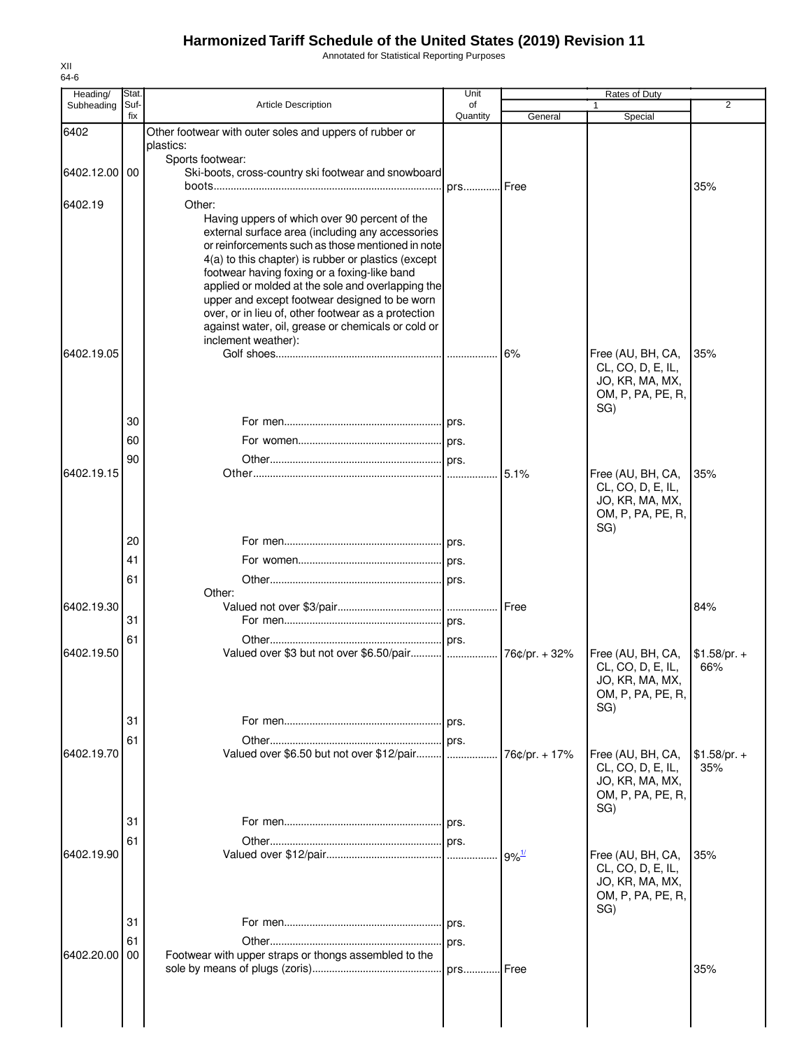Annotated for Statistical Reporting Purposes

| Heading/      | Stat.       |                                                                                                           | Unit           |                     | Rates of Duty                        |                |
|---------------|-------------|-----------------------------------------------------------------------------------------------------------|----------------|---------------------|--------------------------------------|----------------|
| Subheading    | Suf-<br>fix | <b>Article Description</b>                                                                                | of<br>Quantity | General             | Special                              | $\overline{2}$ |
| 6402          |             | Other footwear with outer soles and uppers of rubber or                                                   |                |                     |                                      |                |
|               |             | plastics:                                                                                                 |                |                     |                                      |                |
| 6402.12.00 00 |             | Sports footwear:<br>Ski-boots, cross-country ski footwear and snowboard                                   |                |                     |                                      |                |
|               |             |                                                                                                           | . prs Free     |                     |                                      | 35%            |
| 6402.19       |             | Other:                                                                                                    |                |                     |                                      |                |
|               |             | Having uppers of which over 90 percent of the                                                             |                |                     |                                      |                |
|               |             | external surface area (including any accessories                                                          |                |                     |                                      |                |
|               |             | or reinforcements such as those mentioned in note<br>4(a) to this chapter) is rubber or plastics (except  |                |                     |                                      |                |
|               |             | footwear having foxing or a foxing-like band                                                              |                |                     |                                      |                |
|               |             | applied or molded at the sole and overlapping the                                                         |                |                     |                                      |                |
|               |             | upper and except footwear designed to be worn                                                             |                |                     |                                      |                |
|               |             | over, or in lieu of, other footwear as a protection<br>against water, oil, grease or chemicals or cold or |                |                     |                                      |                |
|               |             | inclement weather):                                                                                       |                |                     |                                      |                |
| 6402.19.05    |             |                                                                                                           |                | 6%                  | Free (AU, BH, CA,                    | 35%            |
|               |             |                                                                                                           |                |                     | CL, CO, D, E, IL,                    |                |
|               |             |                                                                                                           |                |                     | JO, KR, MA, MX,<br>OM, P, PA, PE, R, |                |
|               |             |                                                                                                           |                |                     | SG)                                  |                |
|               | 30          |                                                                                                           |                |                     |                                      |                |
|               | 60          |                                                                                                           |                |                     |                                      |                |
|               | 90          |                                                                                                           |                |                     |                                      |                |
| 6402.19.15    |             |                                                                                                           |                | 5.1%                | Free (AU, BH, CA,                    | 35%            |
|               |             |                                                                                                           |                |                     | CL, CO, D, E, IL,                    |                |
|               |             |                                                                                                           |                |                     | JO, KR, MA, MX,<br>OM, P, PA, PE, R, |                |
|               |             |                                                                                                           |                |                     | SG)                                  |                |
|               | 20          |                                                                                                           |                |                     |                                      |                |
|               | 41          |                                                                                                           |                |                     |                                      |                |
|               | 61          |                                                                                                           |                |                     |                                      |                |
|               |             | Other:                                                                                                    |                |                     |                                      |                |
| 6402.19.30    | 31          |                                                                                                           |                | <b>IFree</b>        |                                      | 84%            |
|               |             |                                                                                                           |                |                     |                                      |                |
| 6402.19.50    | 61          |                                                                                                           |                | 76¢/pr. + 32%       | Free (AU, BH, CA,                    | $$1.58/pr. +$  |
|               |             |                                                                                                           |                |                     | CL, CO, D, E, IL,                    | 66%            |
|               |             |                                                                                                           |                |                     | JO, KR, MA, MX,                      |                |
|               |             |                                                                                                           |                |                     | OM, P, PA, PE, R,                    |                |
|               | 31          |                                                                                                           |                |                     | SG)                                  |                |
|               |             |                                                                                                           |                |                     |                                      |                |
| 6402.19.70    | 61          | Valued over \$6.50 but not over \$12/pair                                                                 |                | 76¢/pr. + 17%       | Free (AU, BH, CA,                    | $$1.58/pr. +$  |
|               |             |                                                                                                           |                |                     | CL, CO, D, E, IL,                    | 35%            |
|               |             |                                                                                                           |                |                     | JO, KR, MA, MX,                      |                |
|               |             |                                                                                                           |                |                     | OM, P, PA, PE, R,<br>SG)             |                |
|               | 31          |                                                                                                           |                |                     |                                      |                |
|               | 61          |                                                                                                           |                |                     |                                      |                |
| 6402.19.90    |             |                                                                                                           |                | $9\%$ <sup>1/</sup> | Free (AU, BH, CA,                    | 35%            |
|               |             |                                                                                                           |                |                     | CL, CO, D, E, IL,                    |                |
|               |             |                                                                                                           |                |                     | JO, KR, MA, MX,                      |                |
|               |             |                                                                                                           |                |                     | OM, P, PA, PE, R,<br>SG)             |                |
|               | 31          |                                                                                                           |                |                     |                                      |                |
|               | 61          |                                                                                                           | prs.           |                     |                                      |                |
| 6402.20.00    | 00          | Footwear with upper straps or thongs assembled to the                                                     |                |                     |                                      |                |
|               |             |                                                                                                           | prs            | l Free              |                                      | 35%            |
|               |             |                                                                                                           |                |                     |                                      |                |
|               |             |                                                                                                           |                |                     |                                      |                |
|               |             |                                                                                                           |                |                     |                                      |                |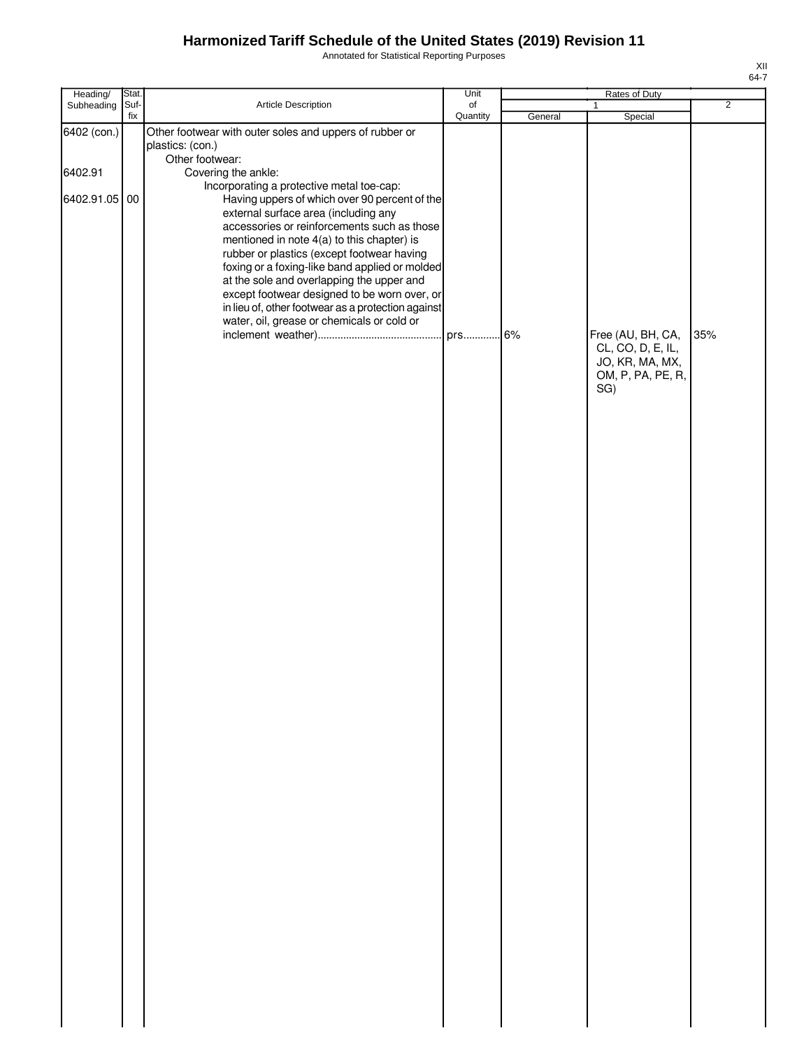Annotated for Statistical Reporting Purposes

| Heading/                                | Stat. |                                                                                                                                                                                                                                                                                                                                                                                                        | Unit     |         | Rates of Duty                                                                         |                |
|-----------------------------------------|-------|--------------------------------------------------------------------------------------------------------------------------------------------------------------------------------------------------------------------------------------------------------------------------------------------------------------------------------------------------------------------------------------------------------|----------|---------|---------------------------------------------------------------------------------------|----------------|
| Subheading                              | Suf-  | Article Description                                                                                                                                                                                                                                                                                                                                                                                    | of       |         | $\mathbf{1}$                                                                          | $\overline{2}$ |
| 6402 (con.)<br>6402.91<br>6402.91.05 00 | fix   | Other footwear with outer soles and uppers of rubber or<br>plastics: (con.)<br>Other footwear:<br>Covering the ankle:<br>Incorporating a protective metal toe-cap:<br>Having uppers of which over 90 percent of the<br>external surface area (including any<br>accessories or reinforcements such as those<br>mentioned in note 4(a) to this chapter) is<br>rubber or plastics (except footwear having | Quantity | General | Special                                                                               |                |
|                                         |       | foxing or a foxing-like band applied or molded<br>at the sole and overlapping the upper and<br>except footwear designed to be worn over, or<br>in lieu of, other footwear as a protection against<br>water, oil, grease or chemicals or cold or                                                                                                                                                        |          |         | Free (AU, BH, CA,<br>CL, CO, D, E, IL,<br>JO, KR, MA, MX,<br>OM, P, PA, PE, R,<br>SG) | 35%            |
|                                         |       |                                                                                                                                                                                                                                                                                                                                                                                                        |          |         |                                                                                       |                |
|                                         |       |                                                                                                                                                                                                                                                                                                                                                                                                        |          |         |                                                                                       |                |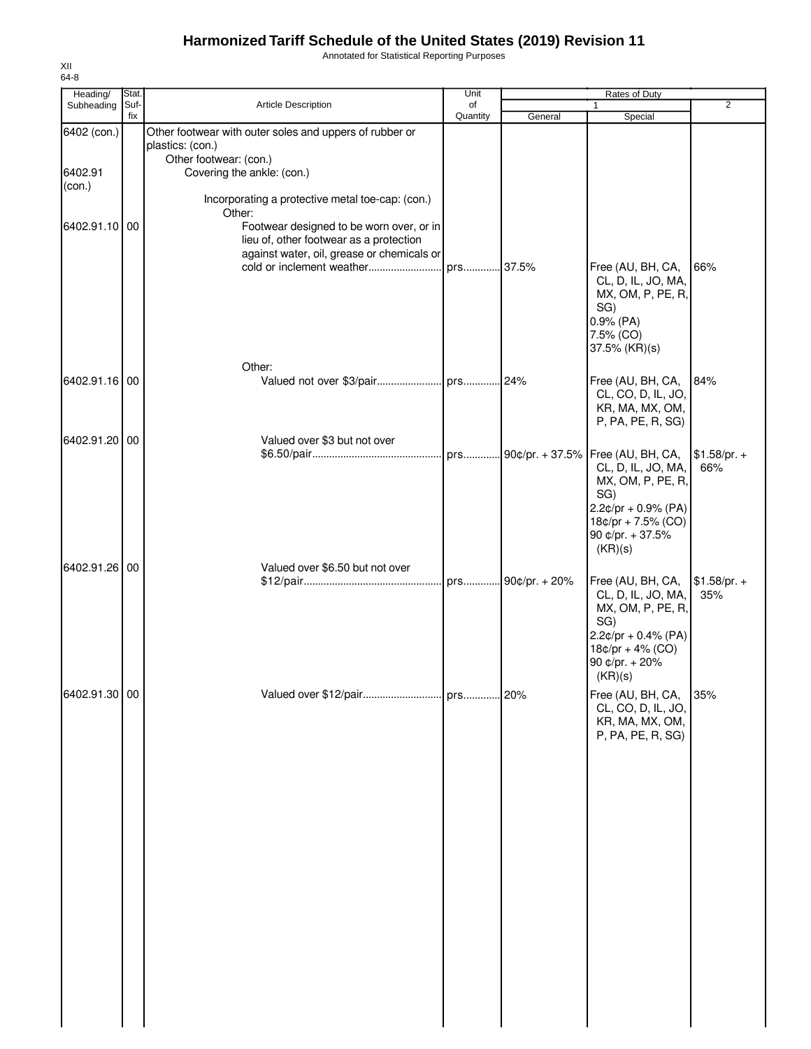Annotated for Statistical Reporting Purposes

| Heading/      | Stat.       |                                                                                     | Unit           |                     | Rates of Duty                               |                      |
|---------------|-------------|-------------------------------------------------------------------------------------|----------------|---------------------|---------------------------------------------|----------------------|
| Subheading    | Suf-<br>fix | Article Description                                                                 | of<br>Quantity |                     | 1                                           | $\overline{2}$       |
| 6402 (con.)   |             | Other footwear with outer soles and uppers of rubber or                             |                | General             | Special                                     |                      |
|               |             | plastics: (con.)<br>Other footwear: (con.)                                          |                |                     |                                             |                      |
| 6402.91       |             | Covering the ankle: (con.)                                                          |                |                     |                                             |                      |
| (con.)        |             | Incorporating a protective metal toe-cap: (con.)                                    |                |                     |                                             |                      |
|               |             | Other:                                                                              |                |                     |                                             |                      |
| 6402.91.10 00 |             | Footwear designed to be worn over, or in<br>lieu of, other footwear as a protection |                |                     |                                             |                      |
|               |             | against water, oil, grease or chemicals or                                          |                |                     |                                             |                      |
|               |             | cold or inclement weather                                                           | prs 37.5%      |                     | Free (AU, BH, CA,                           | 66%                  |
|               |             |                                                                                     |                |                     | CL, D, IL, JO, MA,                          |                      |
|               |             |                                                                                     |                |                     | MX, OM, P, PE, R,<br>SG)                    |                      |
|               |             |                                                                                     |                |                     | $0.9%$ (PA)                                 |                      |
|               |             |                                                                                     |                |                     | 7.5% (CO)                                   |                      |
|               |             |                                                                                     |                |                     | 37.5% (KR)(s)                               |                      |
|               |             | Other:                                                                              |                |                     |                                             |                      |
| 6402.91.16 00 |             |                                                                                     |                |                     | Free (AU, BH, CA,<br>CL, CO, D, IL, JO,     | 84%                  |
|               |             |                                                                                     |                |                     | KR, MA, MX, OM,                             |                      |
|               |             |                                                                                     |                |                     | P, PA, PE, R, SG)                           |                      |
| 6402.91.20 00 |             | Valued over \$3 but not over                                                        |                |                     |                                             |                      |
|               |             |                                                                                     |                | prs 90¢/pr. + 37.5% | Free (AU, BH, CA,<br>CL, D, IL, JO, MA,     | $$1.58/pr. +$<br>66% |
|               |             |                                                                                     |                |                     | MX, OM, P, PE, R,                           |                      |
|               |             |                                                                                     |                |                     | SG)                                         |                      |
|               |             |                                                                                     |                |                     | $2.2¢/pr + 0.9% (PA)$<br>18¢/pr + 7.5% (CO) |                      |
|               |             |                                                                                     |                |                     | 90 ¢/pr. + 37.5%                            |                      |
|               |             |                                                                                     |                |                     | (KR)(s)                                     |                      |
| 6402.91.26 00 |             | Valued over \$6.50 but not over                                                     |                |                     |                                             |                      |
|               |             |                                                                                     |                | prs 90¢/pr. + 20%   | Free (AU, BH, CA,<br>CL, D, IL, JO, MA,     | $$1.58/pr. +$<br>35% |
|               |             |                                                                                     |                |                     | MX, OM, P, PE, R,                           |                      |
|               |             |                                                                                     |                |                     | SG)                                         |                      |
|               |             |                                                                                     |                |                     | $2.2¢/pr + 0.4% (PA)$<br>$18¢/pr + 4% (CO)$ |                      |
|               |             |                                                                                     |                |                     | 90 ¢/pr. + 20%                              |                      |
|               |             |                                                                                     |                |                     | (KR)(s)                                     |                      |
| 6402.91.30 00 |             |                                                                                     |                |                     | Free (AU, BH, CA,                           | 35%                  |
|               |             |                                                                                     |                |                     | CL, CO, D, IL, JO,<br>KR, MA, MX, OM,       |                      |
|               |             |                                                                                     |                |                     | P, PA, PE, R, SG)                           |                      |
|               |             |                                                                                     |                |                     |                                             |                      |
|               |             |                                                                                     |                |                     |                                             |                      |
|               |             |                                                                                     |                |                     |                                             |                      |
|               |             |                                                                                     |                |                     |                                             |                      |
|               |             |                                                                                     |                |                     |                                             |                      |
|               |             |                                                                                     |                |                     |                                             |                      |
|               |             |                                                                                     |                |                     |                                             |                      |
|               |             |                                                                                     |                |                     |                                             |                      |
|               |             |                                                                                     |                |                     |                                             |                      |
|               |             |                                                                                     |                |                     |                                             |                      |
|               |             |                                                                                     |                |                     |                                             |                      |
|               |             |                                                                                     |                |                     |                                             |                      |
|               |             |                                                                                     |                |                     |                                             |                      |
|               |             |                                                                                     |                |                     |                                             |                      |
|               |             |                                                                                     |                |                     |                                             |                      |
|               |             |                                                                                     |                |                     |                                             |                      |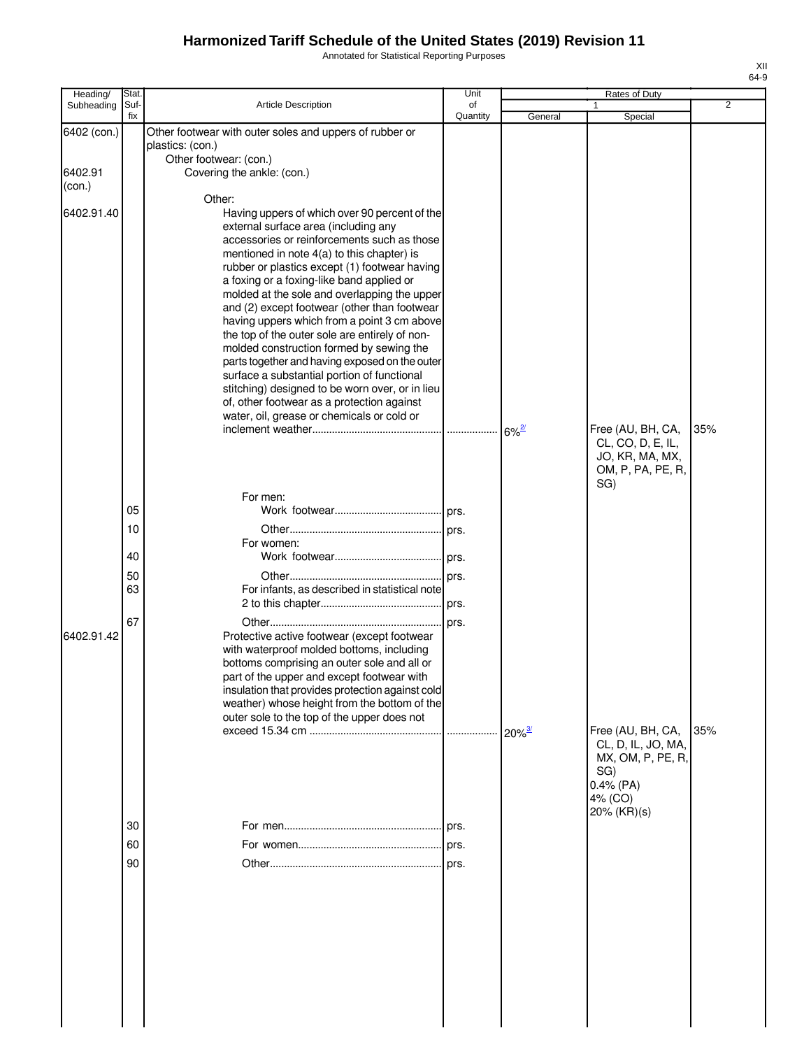Annotated for Statistical Reporting Purposes

| Heading/          | Stat.                            |                                                                                                                                                                                                                                                                                                                                                                                                                                                                                                                                                                                                                                                                                                                                                                                         | Unit           |                      | Rates of Duty                                                                  |                |
|-------------------|----------------------------------|-----------------------------------------------------------------------------------------------------------------------------------------------------------------------------------------------------------------------------------------------------------------------------------------------------------------------------------------------------------------------------------------------------------------------------------------------------------------------------------------------------------------------------------------------------------------------------------------------------------------------------------------------------------------------------------------------------------------------------------------------------------------------------------------|----------------|----------------------|--------------------------------------------------------------------------------|----------------|
| Subheading        | Suf-<br>fix                      | <b>Article Description</b>                                                                                                                                                                                                                                                                                                                                                                                                                                                                                                                                                                                                                                                                                                                                                              | of<br>Quantity | General              | Special                                                                        | $\overline{2}$ |
| 6402 (con.)       |                                  | Other footwear with outer soles and uppers of rubber or<br>plastics: (con.)                                                                                                                                                                                                                                                                                                                                                                                                                                                                                                                                                                                                                                                                                                             |                |                      |                                                                                |                |
| 6402.91<br>(con.) |                                  | Other footwear: (con.)<br>Covering the ankle: (con.)                                                                                                                                                                                                                                                                                                                                                                                                                                                                                                                                                                                                                                                                                                                                    |                |                      |                                                                                |                |
| 6402.91.40        |                                  | Other:<br>Having uppers of which over 90 percent of the<br>external surface area (including any<br>accessories or reinforcements such as those<br>mentioned in note 4(a) to this chapter) is<br>rubber or plastics except (1) footwear having<br>a foxing or a foxing-like band applied or<br>molded at the sole and overlapping the upper<br>and (2) except footwear (other than footwear<br>having uppers which from a point 3 cm above<br>the top of the outer sole are entirely of non-<br>molded construction formed by sewing the<br>parts together and having exposed on the outer<br>surface a substantial portion of functional<br>stitching) designed to be worn over, or in lieu<br>of, other footwear as a protection against<br>water, oil, grease or chemicals or cold or |                | $6\%^2$              | Free (AU, BH, CA,<br>CL, CO, D, E, IL,<br>JO, KR, MA, MX,<br>OM, P, PA, PE, R, | 35%            |
| 6402.91.42        | 05<br>10<br>40<br>50<br>63<br>67 | For men:<br>For women:<br>For infants, as described in statistical note<br>Protective active footwear (except footwear<br>with waterproof molded bottoms, including<br>bottoms comprising an outer sole and all or<br>part of the upper and except footwear with<br>insulation that provides protection against cold<br>weather) whose height from the bottom of the<br>outer sole to the top of the upper does not                                                                                                                                                                                                                                                                                                                                                                     | prs.<br>. ors. | $20\%$ <sup>3/</sup> | SG)<br>Free (AU, BH, CA,<br>CL, D, IL, JO, MA,                                 | 35%            |
|                   | 30<br>60<br>90                   |                                                                                                                                                                                                                                                                                                                                                                                                                                                                                                                                                                                                                                                                                                                                                                                         |                |                      | MX, OM, P, PE, R,<br>SG)<br>$0.4\%$ (PA)<br>4% (CO)<br>$20\%$ (KR)(s)          |                |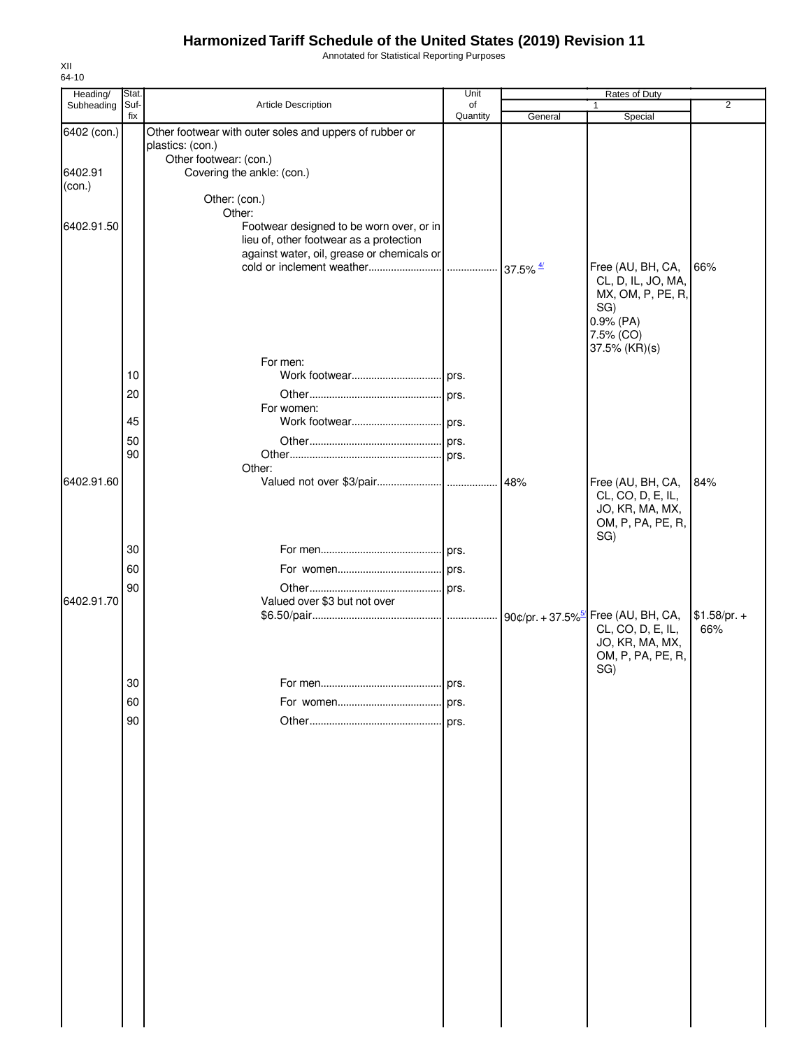Annotated for Statistical Reporting Purposes

| 64-10<br>Heading/ | Stat. |                                                                             | Unit     |                         | Rates of Duty                                                       |                |
|-------------------|-------|-----------------------------------------------------------------------------|----------|-------------------------|---------------------------------------------------------------------|----------------|
| Subheading        | Suf-  | Article Description                                                         | of       |                         |                                                                     | $\overline{2}$ |
|                   | fix   |                                                                             | Quantity | General                 | Special                                                             |                |
| 6402 (con.)       |       | Other footwear with outer soles and uppers of rubber or<br>plastics: (con.) |          |                         |                                                                     |                |
|                   |       | Other footwear: (con.)                                                      |          |                         |                                                                     |                |
| 6402.91           |       | Covering the ankle: (con.)                                                  |          |                         |                                                                     |                |
| (con.)            |       |                                                                             |          |                         |                                                                     |                |
|                   |       | Other: (con.)<br>Other:                                                     |          |                         |                                                                     |                |
| 6402.91.50        |       | Footwear designed to be worn over, or in                                    |          |                         |                                                                     |                |
|                   |       | lieu of, other footwear as a protection                                     |          |                         |                                                                     |                |
|                   |       | against water, oil, grease or chemicals or                                  |          |                         |                                                                     |                |
|                   |       |                                                                             |          | $37.5\%$ $\frac{47}{1}$ | Free (AU, BH, CA,<br>CL, D, IL, JO, MA,                             | 66%            |
|                   |       |                                                                             |          |                         | MX, OM, P, PE, R,                                                   |                |
|                   |       |                                                                             |          |                         | SG)                                                                 |                |
|                   |       |                                                                             |          |                         | 0.9% (PA)                                                           |                |
|                   |       |                                                                             |          |                         | 7.5% (CO)                                                           |                |
|                   |       | For men:                                                                    |          |                         | 37.5% (KR)(s)                                                       |                |
|                   | 10    |                                                                             |          |                         |                                                                     |                |
|                   | 20    |                                                                             |          |                         |                                                                     |                |
|                   |       | For women:                                                                  |          |                         |                                                                     |                |
|                   | 45    |                                                                             |          |                         |                                                                     |                |
|                   | 50    |                                                                             |          |                         |                                                                     |                |
|                   | 90    |                                                                             |          |                         |                                                                     |                |
|                   |       | Other:                                                                      |          |                         |                                                                     |                |
| 6402.91.60        |       |                                                                             |          | 48%                     | Free (AU, BH, CA,<br>CL, CO, D, E, IL,                              | 84%            |
|                   |       |                                                                             |          |                         | JO, KR, MA, MX,                                                     |                |
|                   |       |                                                                             |          |                         | OM, P, PA, PE, R,                                                   |                |
|                   |       |                                                                             |          |                         | SG)                                                                 |                |
|                   | 30    |                                                                             |          |                         |                                                                     |                |
|                   | 60    |                                                                             |          |                         |                                                                     |                |
|                   | 90    |                                                                             |          |                         |                                                                     |                |
| 6402.91.70        |       | Valued over \$3 but not over                                                |          |                         |                                                                     | $$1.58/pr. +$  |
|                   |       |                                                                             |          |                         | 90¢/pr. + 37.5% <sup>5</sup> Free (AU, BH, CA,<br>CL, CO, D, E, IL, | 66%            |
|                   |       |                                                                             |          |                         | JO, KR, MA, MX,                                                     |                |
|                   |       |                                                                             |          |                         | OM, P, PA, PE, R,                                                   |                |
|                   | 30    |                                                                             |          |                         | SG)                                                                 |                |
|                   |       |                                                                             | prs.     |                         |                                                                     |                |
|                   | 60    |                                                                             | prs.     |                         |                                                                     |                |
|                   | 90    |                                                                             | prs.     |                         |                                                                     |                |
|                   |       |                                                                             |          |                         |                                                                     |                |
|                   |       |                                                                             |          |                         |                                                                     |                |
|                   |       |                                                                             |          |                         |                                                                     |                |
|                   |       |                                                                             |          |                         |                                                                     |                |
|                   |       |                                                                             |          |                         |                                                                     |                |
|                   |       |                                                                             |          |                         |                                                                     |                |
|                   |       |                                                                             |          |                         |                                                                     |                |
|                   |       |                                                                             |          |                         |                                                                     |                |
|                   |       |                                                                             |          |                         |                                                                     |                |
|                   |       |                                                                             |          |                         |                                                                     |                |
|                   |       |                                                                             |          |                         |                                                                     |                |
|                   |       |                                                                             |          |                         |                                                                     |                |
|                   |       |                                                                             |          |                         |                                                                     |                |
|                   |       |                                                                             |          |                         |                                                                     |                |
|                   |       |                                                                             |          |                         |                                                                     |                |
|                   |       |                                                                             |          |                         |                                                                     |                |
|                   |       |                                                                             |          |                         |                                                                     |                |
|                   |       |                                                                             |          |                         |                                                                     |                |

XII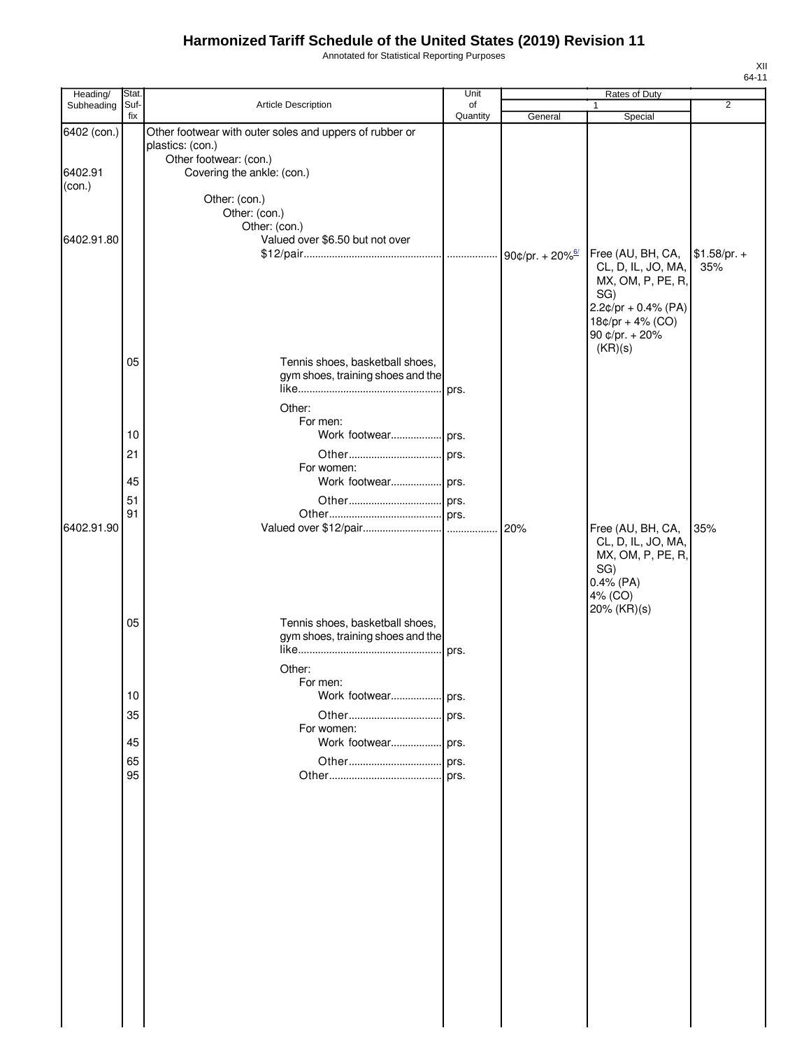Annotated for Statistical Reporting Purposes

| Heading/    | Stat.       |                                                         | Unit           |         | Rates of Duty            |                |
|-------------|-------------|---------------------------------------------------------|----------------|---------|--------------------------|----------------|
| Subheading  | Suf-<br>fix | Article Description                                     | of<br>Quantity | General | 1<br>Special             | $\overline{2}$ |
| 6402 (con.) |             | Other footwear with outer soles and uppers of rubber or |                |         |                          |                |
|             |             | plastics: (con.)                                        |                |         |                          |                |
| 6402.91     |             | Other footwear: (con.)<br>Covering the ankle: (con.)    |                |         |                          |                |
| (con.)      |             |                                                         |                |         |                          |                |
|             |             | Other: (con.)                                           |                |         |                          |                |
|             |             | Other: (con.)                                           |                |         |                          |                |
| 6402.91.80  |             | Other: (con.)<br>Valued over \$6.50 but not over        |                |         |                          |                |
|             |             |                                                         |                |         | Free (AU, BH, CA,        | $$1.58/pr. +$  |
|             |             |                                                         |                |         | CL, D, IL, JO, MA,       | 35%            |
|             |             |                                                         |                |         | MX, OM, P, PE, R,<br>SG) |                |
|             |             |                                                         |                |         | $2.2$ ¢/pr + 0.4% (PA)   |                |
|             |             |                                                         |                |         | $18¢/pr + 4% (CO)$       |                |
|             |             |                                                         |                |         | 90 ¢/pr. + 20%           |                |
|             | 05          | Tennis shoes, basketball shoes,                         |                |         | (KR)(s)                  |                |
|             |             | gym shoes, training shoes and the                       |                |         |                          |                |
|             |             |                                                         | prs.           |         |                          |                |
|             |             | Other:                                                  |                |         |                          |                |
|             |             | For men:                                                |                |         |                          |                |
|             | 10          |                                                         |                |         |                          |                |
|             | 21          |                                                         |                |         |                          |                |
|             | 45          | For women:                                              |                |         |                          |                |
|             | 51          |                                                         |                |         |                          |                |
|             | 91          |                                                         |                |         |                          |                |
| 6402.91.90  |             |                                                         |                |         | Free (AU, BH, CA,        | 35%            |
|             |             |                                                         |                |         | CL, D, IL, JO, MA,       |                |
|             |             |                                                         |                |         | MX, OM, P, PE, R,<br>SG) |                |
|             |             |                                                         |                |         | $0.4%$ (PA)              |                |
|             |             |                                                         |                |         | 4% (CO)                  |                |
|             | 05          | Tennis shoes, basketball shoes,                         |                |         | 20% (KR)(s)              |                |
|             |             | gym shoes, training shoes and the                       |                |         |                          |                |
|             |             |                                                         | prs.           |         |                          |                |
|             |             | Other:                                                  |                |         |                          |                |
|             |             | For men:                                                |                |         |                          |                |
|             | 10          | Work footwear prs.                                      |                |         |                          |                |
|             | 35          | For women:                                              |                |         |                          |                |
|             | 45          |                                                         |                |         |                          |                |
|             | 65          | Other                                                   | prs.           |         |                          |                |
|             | 95          |                                                         |                |         |                          |                |
|             |             |                                                         |                |         |                          |                |
|             |             |                                                         |                |         |                          |                |
|             |             |                                                         |                |         |                          |                |
|             |             |                                                         |                |         |                          |                |
|             |             |                                                         |                |         |                          |                |
|             |             |                                                         |                |         |                          |                |
|             |             |                                                         |                |         |                          |                |
|             |             |                                                         |                |         |                          |                |
|             |             |                                                         |                |         |                          |                |
|             |             |                                                         |                |         |                          |                |
|             |             |                                                         |                |         |                          |                |
|             |             |                                                         |                |         |                          |                |
|             |             |                                                         |                |         |                          |                |
|             |             |                                                         |                |         |                          |                |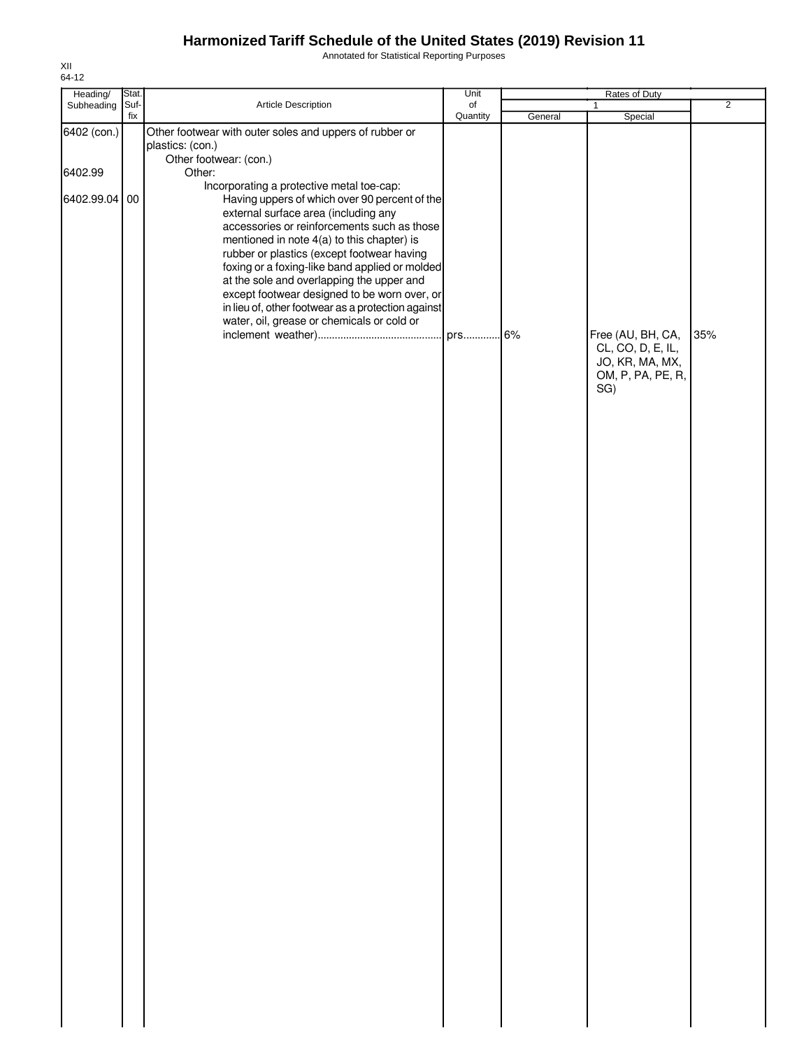Annotated for Statistical Reporting Purposes

| Heading/                             | Stat.       |                                                                                                                                                                                                                                                                                                                                                                                                                                                                                                                                                                                                                                                     | Unit           | Rates of Duty |                                                                                       |                |
|--------------------------------------|-------------|-----------------------------------------------------------------------------------------------------------------------------------------------------------------------------------------------------------------------------------------------------------------------------------------------------------------------------------------------------------------------------------------------------------------------------------------------------------------------------------------------------------------------------------------------------------------------------------------------------------------------------------------------------|----------------|---------------|---------------------------------------------------------------------------------------|----------------|
| Subheading                           | Suf-<br>fix | Article Description                                                                                                                                                                                                                                                                                                                                                                                                                                                                                                                                                                                                                                 | of<br>Quantity | General       | $\mathbf{1}$<br>Special                                                               | $\overline{2}$ |
| 6402 (con.)<br>6402.99<br>6402.99.04 | $00\,$      | Other footwear with outer soles and uppers of rubber or<br>plastics: (con.)<br>Other footwear: (con.)<br>Other:<br>Incorporating a protective metal toe-cap:<br>Having uppers of which over 90 percent of the<br>external surface area (including any<br>accessories or reinforcements such as those<br>mentioned in note 4(a) to this chapter) is<br>rubber or plastics (except footwear having<br>foxing or a foxing-like band applied or molded<br>at the sole and overlapping the upper and<br>except footwear designed to be worn over, or<br>in lieu of, other footwear as a protection against<br>water, oil, grease or chemicals or cold or | prs 6%         |               | Free (AU, BH, CA,<br>CL, CO, D, E, IL,<br>JO, KR, MA, MX,<br>OM, P, PA, PE, R,<br>SG) | 35%            |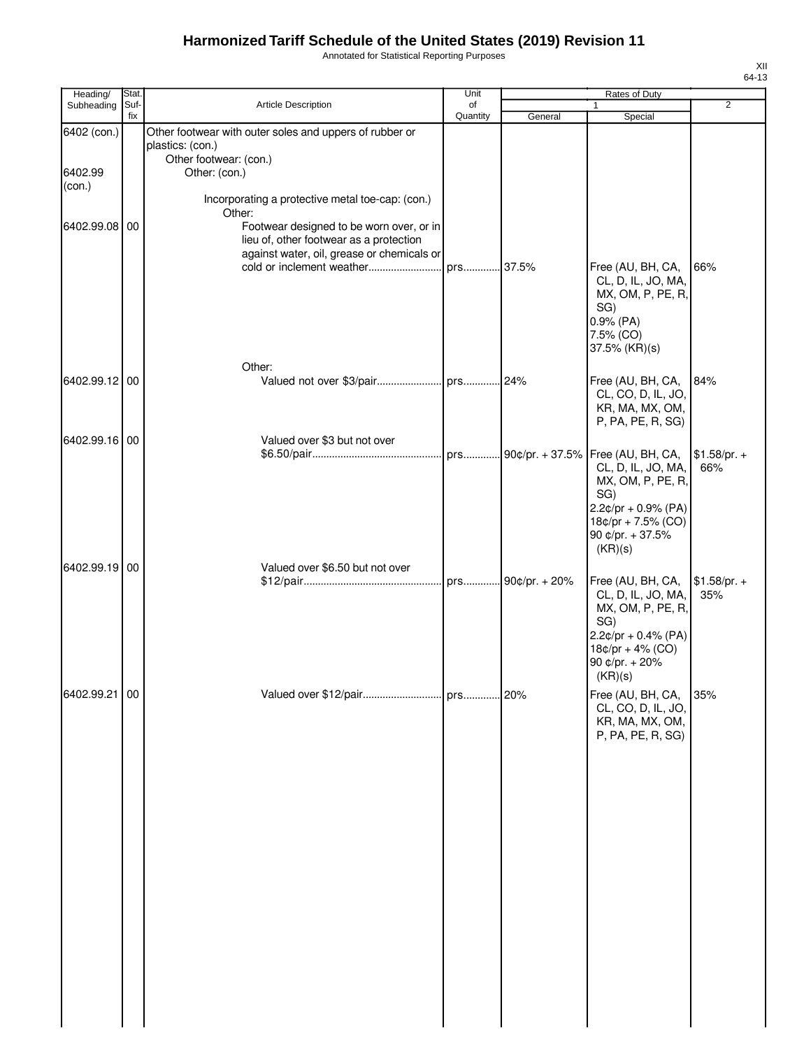Annotated for Statistical Reporting Purposes

| Heading/      | Stat.       |                                                         | Unit           |                   | Rates of Duty                |                |
|---------------|-------------|---------------------------------------------------------|----------------|-------------------|------------------------------|----------------|
| Subheading    | Suf-<br>fix | Article Description                                     | of<br>Quantity | General           | 1<br>Special                 | $\overline{2}$ |
| 6402 (con.)   |             | Other footwear with outer soles and uppers of rubber or |                |                   |                              |                |
|               |             | plastics: (con.)                                        |                |                   |                              |                |
|               |             | Other footwear: (con.)                                  |                |                   |                              |                |
| 6402.99       |             | Other: (con.)                                           |                |                   |                              |                |
| (con.)        |             |                                                         |                |                   |                              |                |
|               |             | Incorporating a protective metal toe-cap: (con.)        |                |                   |                              |                |
| 6402.99.08 00 |             | Other:<br>Footwear designed to be worn over, or in      |                |                   |                              |                |
|               |             | lieu of, other footwear as a protection                 |                |                   |                              |                |
|               |             | against water, oil, grease or chemicals or              |                |                   |                              |                |
|               |             | cold or inclement weather                               | prs 37.5%      |                   | Free (AU, BH, CA,            | 66%            |
|               |             |                                                         |                |                   | CL, D, IL, JO, MA,           |                |
|               |             |                                                         |                |                   | MX, OM, P, PE, R,            |                |
|               |             |                                                         |                |                   | SG)                          |                |
|               |             |                                                         |                |                   | 0.9% (PA)<br>7.5% (CO)       |                |
|               |             |                                                         |                |                   | 37.5% (KR)(s)                |                |
|               |             | Other:                                                  |                |                   |                              |                |
| 6402.99.12 00 |             |                                                         |                |                   | Free (AU, BH, CA,            | 84%            |
|               |             |                                                         |                |                   | CL, CO, D, IL, JO,           |                |
|               |             |                                                         |                |                   | KR, MA, MX, OM,              |                |
|               |             |                                                         |                |                   | P, PA, PE, R, SG)            |                |
| 6402.99.16 00 |             | Valued over \$3 but not over                            |                |                   |                              |                |
|               |             |                                                         |                |                   | Free (AU, BH, CA,            | $$1.58/pr. +$  |
|               |             |                                                         |                |                   | CL, D, IL, JO, MA,           | 66%            |
|               |             |                                                         |                |                   | MX, OM, P, PE, R,            |                |
|               |             |                                                         |                |                   | SG)<br>$2.2¢/pr + 0.9% (PA)$ |                |
|               |             |                                                         |                |                   | $18¢/pr + 7.5%$ (CO)         |                |
|               |             |                                                         |                |                   | 90 ¢/pr. + 37.5%             |                |
|               |             |                                                         |                |                   | (KR)(s)                      |                |
| 6402.99.19 00 |             | Valued over \$6.50 but not over                         |                |                   |                              |                |
|               |             |                                                         |                | prs 90¢/pr. + 20% | Free (AU, BH, CA,            | $$1.58/pr. +$  |
|               |             |                                                         |                |                   | CL, D, IL, JO, MA,           | 35%            |
|               |             |                                                         |                |                   | MX, OM, P, PE, R,            |                |
|               |             |                                                         |                |                   | SG)<br>$2.2¢/pr + 0.4% (PA)$ |                |
|               |             |                                                         |                |                   | $18¢/pr + 4% (CO)$           |                |
|               |             |                                                         |                |                   | 90 ¢/pr. + 20%               |                |
|               |             |                                                         |                |                   | (KR)(s)                      |                |
| 6402.99.21 00 |             |                                                         |                |                   | Free (AU, BH, CA,            | 35%            |
|               |             |                                                         |                |                   | CL, CO, D, IL, JO,           |                |
|               |             |                                                         |                |                   | KR, MA, MX, OM,              |                |
|               |             |                                                         |                |                   | P, PA, PE, R, SG)            |                |
|               |             |                                                         |                |                   |                              |                |
|               |             |                                                         |                |                   |                              |                |
|               |             |                                                         |                |                   |                              |                |
|               |             |                                                         |                |                   |                              |                |
|               |             |                                                         |                |                   |                              |                |
|               |             |                                                         |                |                   |                              |                |
|               |             |                                                         |                |                   |                              |                |
|               |             |                                                         |                |                   |                              |                |
|               |             |                                                         |                |                   |                              |                |
|               |             |                                                         |                |                   |                              |                |
|               |             |                                                         |                |                   |                              |                |
|               |             |                                                         |                |                   |                              |                |
|               |             |                                                         |                |                   |                              |                |
|               |             |                                                         |                |                   |                              |                |
|               |             |                                                         |                |                   |                              |                |
|               |             |                                                         |                |                   |                              |                |
|               |             |                                                         |                |                   |                              |                |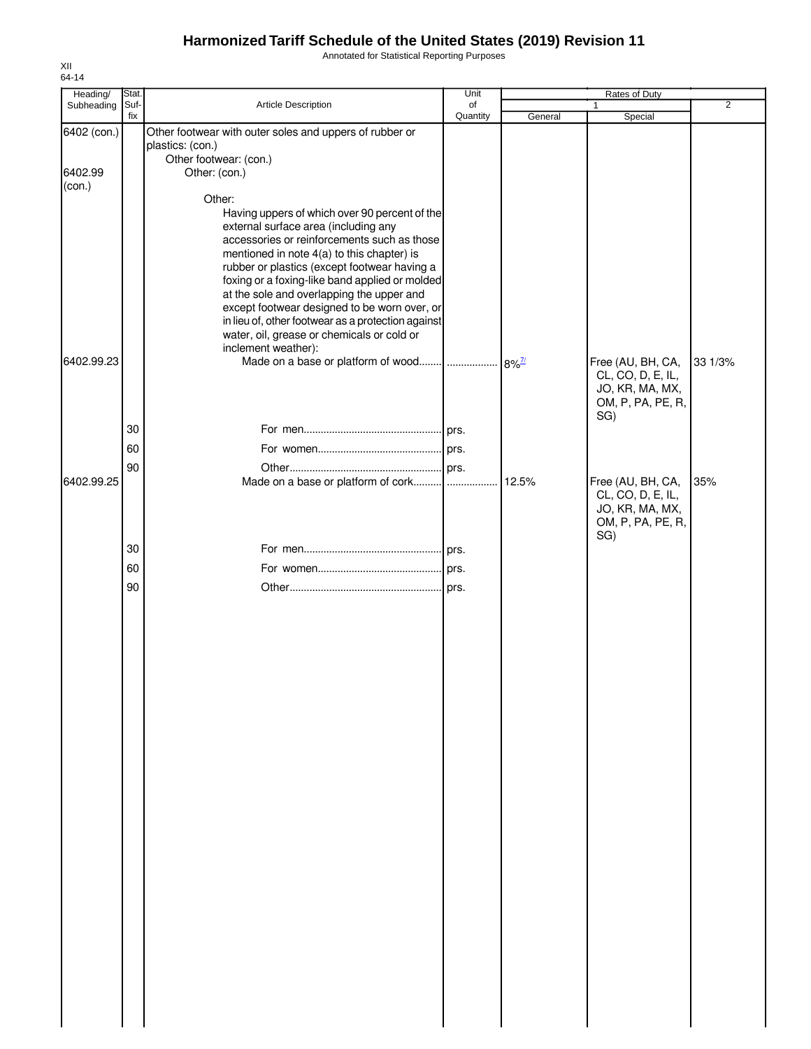Annotated for Statistical Reporting Purposes

| Heading/<br>Subheading | Stat.<br>Suf- | Article Description                                                                              | Unit<br>of |                     | Rates of Duty<br>$\mathbf{1}$          | $\overline{2}$ |
|------------------------|---------------|--------------------------------------------------------------------------------------------------|------------|---------------------|----------------------------------------|----------------|
|                        | fix           |                                                                                                  | Quantity   | General             | Special                                |                |
| 6402 (con.)            |               | Other footwear with outer soles and uppers of rubber or                                          |            |                     |                                        |                |
|                        |               | plastics: (con.)<br>Other footwear: (con.)                                                       |            |                     |                                        |                |
| 6402.99                |               | Other: (con.)                                                                                    |            |                     |                                        |                |
| (con.)                 |               |                                                                                                  |            |                     |                                        |                |
|                        |               | Other:                                                                                           |            |                     |                                        |                |
|                        |               | Having uppers of which over 90 percent of the<br>external surface area (including any            |            |                     |                                        |                |
|                        |               | accessories or reinforcements such as those                                                      |            |                     |                                        |                |
|                        |               | mentioned in note 4(a) to this chapter) is                                                       |            |                     |                                        |                |
|                        |               | rubber or plastics (except footwear having a<br>foxing or a foxing-like band applied or molded   |            |                     |                                        |                |
|                        |               | at the sole and overlapping the upper and                                                        |            |                     |                                        |                |
|                        |               | except footwear designed to be worn over, or                                                     |            |                     |                                        |                |
|                        |               | in lieu of, other footwear as a protection against<br>water, oil, grease or chemicals or cold or |            |                     |                                        |                |
|                        |               | inclement weather):                                                                              |            |                     |                                        |                |
| 6402.99.23             |               |                                                                                                  |            | $8\%$ <sup>7/</sup> | Free (AU, BH, CA,                      | 33 1/3%        |
|                        |               |                                                                                                  |            |                     | CL, CO, D, E, IL,                      |                |
|                        |               |                                                                                                  |            |                     | JO, KR, MA, MX,<br>OM, P, PA, PE, R,   |                |
|                        |               |                                                                                                  |            |                     | SG)                                    |                |
|                        | 30            |                                                                                                  |            |                     |                                        |                |
|                        | 60            |                                                                                                  |            |                     |                                        |                |
|                        | 90            |                                                                                                  |            |                     |                                        |                |
| 6402.99.25             |               | Made on a base or platform of cork                                                               | .          | 12.5%               | Free (AU, BH, CA,<br>CL, CO, D, E, IL, | 35%            |
|                        |               |                                                                                                  |            |                     | JO, KR, MA, MX,                        |                |
|                        |               |                                                                                                  |            |                     | OM, P, PA, PE, R,                      |                |
|                        | 30            |                                                                                                  |            |                     | SG)                                    |                |
|                        | 60            |                                                                                                  |            |                     |                                        |                |
|                        |               |                                                                                                  |            |                     |                                        |                |
|                        | 90            |                                                                                                  |            |                     |                                        |                |
|                        |               |                                                                                                  |            |                     |                                        |                |
|                        |               |                                                                                                  |            |                     |                                        |                |
|                        |               |                                                                                                  |            |                     |                                        |                |
|                        |               |                                                                                                  |            |                     |                                        |                |
|                        |               |                                                                                                  |            |                     |                                        |                |
|                        |               |                                                                                                  |            |                     |                                        |                |
|                        |               |                                                                                                  |            |                     |                                        |                |
|                        |               |                                                                                                  |            |                     |                                        |                |
|                        |               |                                                                                                  |            |                     |                                        |                |
|                        |               |                                                                                                  |            |                     |                                        |                |
|                        |               |                                                                                                  |            |                     |                                        |                |
|                        |               |                                                                                                  |            |                     |                                        |                |
|                        |               |                                                                                                  |            |                     |                                        |                |
|                        |               |                                                                                                  |            |                     |                                        |                |
|                        |               |                                                                                                  |            |                     |                                        |                |
|                        |               |                                                                                                  |            |                     |                                        |                |
|                        |               |                                                                                                  |            |                     |                                        |                |
|                        |               |                                                                                                  |            |                     |                                        |                |
|                        |               |                                                                                                  |            |                     |                                        |                |
|                        |               |                                                                                                  |            |                     |                                        |                |
|                        |               |                                                                                                  |            |                     |                                        |                |
|                        |               |                                                                                                  |            |                     |                                        |                |
|                        |               |                                                                                                  |            |                     |                                        |                |
|                        |               |                                                                                                  |            |                     |                                        |                |

XII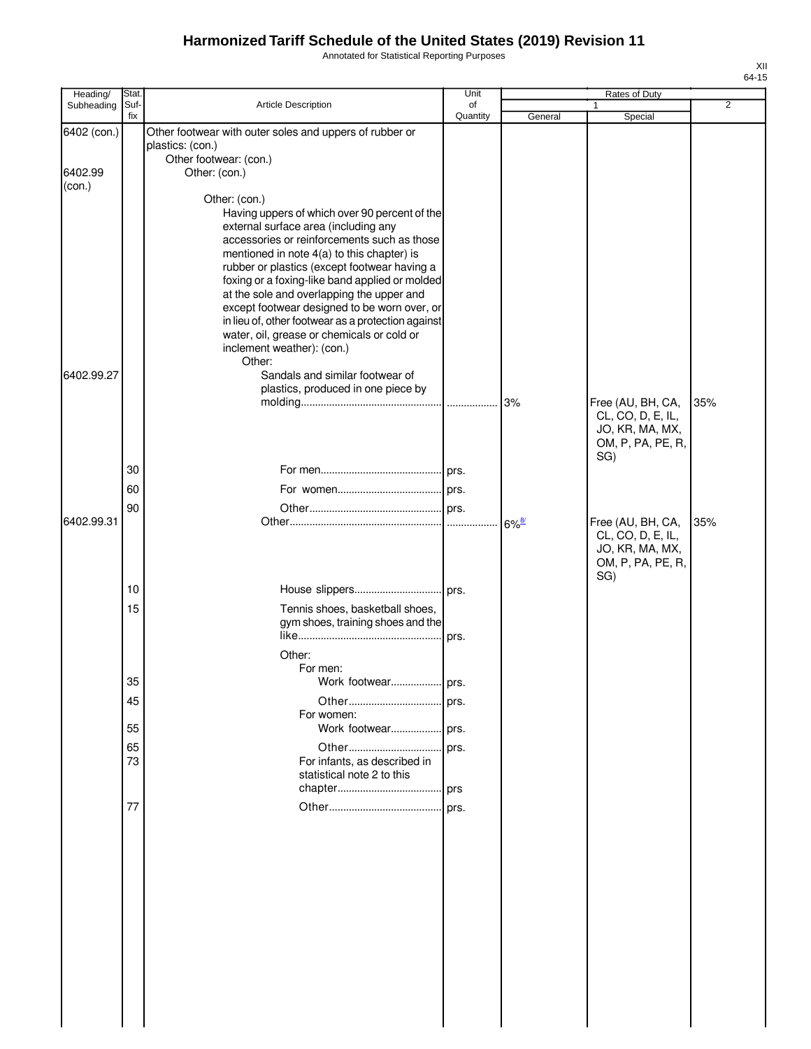Annotated for Statistical Reporting Purposes

| Heading/    | <b>Stat</b> |                                                                                                  | Unit           |                     | Rates of Duty                        |                |
|-------------|-------------|--------------------------------------------------------------------------------------------------|----------------|---------------------|--------------------------------------|----------------|
| Subheading  | Suf-<br>fix | Article Description                                                                              | of<br>Quantity | General             | 1<br>Special                         | $\overline{2}$ |
| 6402 (con.) |             | Other footwear with outer soles and uppers of rubber or                                          |                |                     |                                      |                |
|             |             | plastics: (con.)                                                                                 |                |                     |                                      |                |
| 6402.99     |             | Other footwear: (con.)<br>Other: (con.)                                                          |                |                     |                                      |                |
| (con.)      |             |                                                                                                  |                |                     |                                      |                |
|             |             | Other: (con.)                                                                                    |                |                     |                                      |                |
|             |             | Having uppers of which over 90 percent of the<br>external surface area (including any            |                |                     |                                      |                |
|             |             | accessories or reinforcements such as those                                                      |                |                     |                                      |                |
|             |             | mentioned in note 4(a) to this chapter) is                                                       |                |                     |                                      |                |
|             |             | rubber or plastics (except footwear having a<br>foxing or a foxing-like band applied or molded   |                |                     |                                      |                |
|             |             | at the sole and overlapping the upper and                                                        |                |                     |                                      |                |
|             |             | except footwear designed to be worn over, or                                                     |                |                     |                                      |                |
|             |             | in lieu of, other footwear as a protection against<br>water, oil, grease or chemicals or cold or |                |                     |                                      |                |
|             |             | inclement weather): (con.)                                                                       |                |                     |                                      |                |
|             |             | Other:                                                                                           |                |                     |                                      |                |
| 6402.99.27  |             | Sandals and similar footwear of<br>plastics, produced in one piece by                            |                |                     |                                      |                |
|             |             |                                                                                                  |                | 3%                  | Free (AU, BH, CA,                    | 35%            |
|             |             |                                                                                                  |                |                     | CL, CO, D, E, IL,                    |                |
|             |             |                                                                                                  |                |                     | JO, KR, MA, MX,                      |                |
|             |             |                                                                                                  |                |                     | OM, P, PA, PE, R,<br>SG)             |                |
|             | 30          |                                                                                                  |                |                     |                                      |                |
|             | 60          |                                                                                                  |                |                     |                                      |                |
|             | 90          |                                                                                                  |                |                     |                                      |                |
| 6402.99.31  |             |                                                                                                  |                | $6\%$ <sup>8/</sup> | Free (AU, BH, CA,                    | 35%            |
|             |             |                                                                                                  |                |                     | CL, CO, D, E, IL,<br>JO, KR, MA, MX, |                |
|             |             |                                                                                                  |                |                     | OM, P, PA, PE, R,                    |                |
|             |             |                                                                                                  |                |                     | SG)                                  |                |
|             | 10          |                                                                                                  |                |                     |                                      |                |
|             | 15          | Tennis shoes, basketball shoes,<br>gym shoes, training shoes and the                             |                |                     |                                      |                |
|             |             |                                                                                                  | prs.           |                     |                                      |                |
|             |             | Other:                                                                                           |                |                     |                                      |                |
|             |             | For men:                                                                                         |                |                     |                                      |                |
|             | 35          | Work footwear prs.                                                                               |                |                     |                                      |                |
|             | 45          |                                                                                                  |                |                     |                                      |                |
|             | 55          | For women:                                                                                       |                |                     |                                      |                |
|             | 65          | Other                                                                                            | prs.           |                     |                                      |                |
|             | 73          | For infants, as described in                                                                     |                |                     |                                      |                |
|             |             | statistical note 2 to this                                                                       |                |                     |                                      |                |
|             |             |                                                                                                  |                |                     |                                      |                |
|             | 77          |                                                                                                  |                |                     |                                      |                |
|             |             |                                                                                                  |                |                     |                                      |                |
|             |             |                                                                                                  |                |                     |                                      |                |
|             |             |                                                                                                  |                |                     |                                      |                |
|             |             |                                                                                                  |                |                     |                                      |                |
|             |             |                                                                                                  |                |                     |                                      |                |
|             |             |                                                                                                  |                |                     |                                      |                |
|             |             |                                                                                                  |                |                     |                                      |                |
|             |             |                                                                                                  |                |                     |                                      |                |
|             |             |                                                                                                  |                |                     |                                      |                |
|             |             |                                                                                                  |                |                     |                                      |                |
|             |             |                                                                                                  |                |                     |                                      |                |
|             |             |                                                                                                  |                |                     |                                      |                |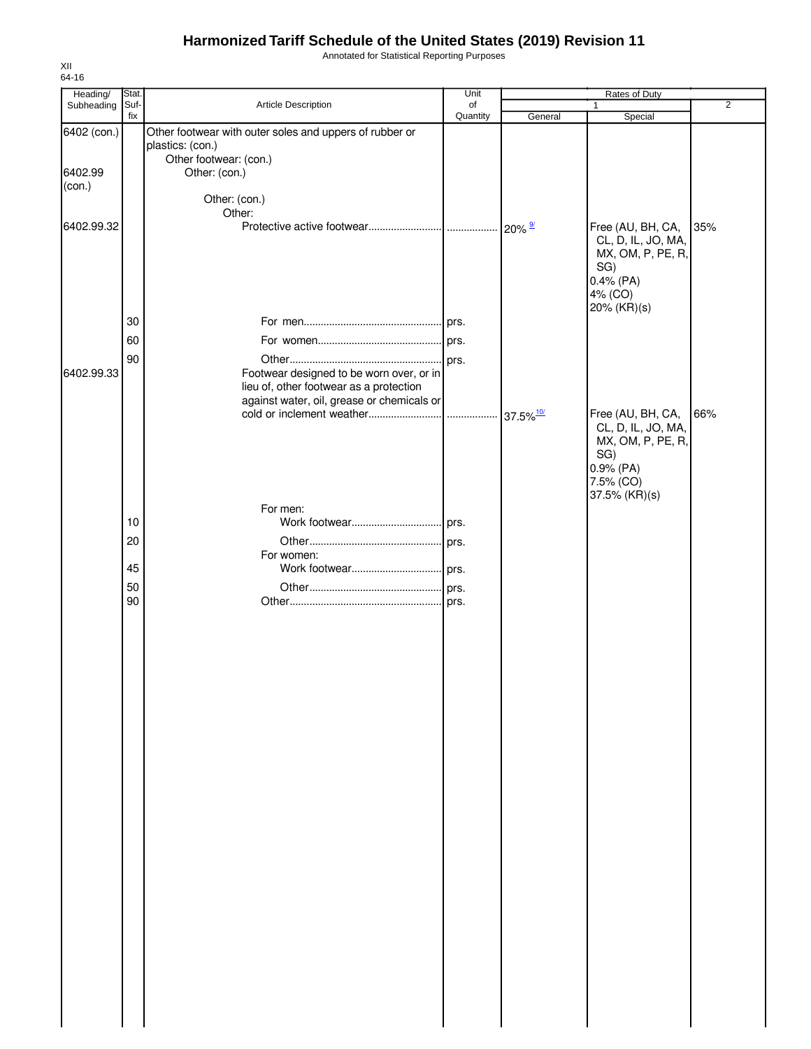Annotated for Statistical Reporting Purposes

| Heading/          | Stat. |                                                                                     | Unit           |         | Rates of Duty                                                                                                  |                |
|-------------------|-------|-------------------------------------------------------------------------------------|----------------|---------|----------------------------------------------------------------------------------------------------------------|----------------|
| Subheading Suf-   | fix   | Article Description                                                                 | of<br>Quantity | General | $\mathbf{1}$<br>Special                                                                                        | $\overline{2}$ |
| 6402 (con.)       |       | Other footwear with outer soles and uppers of rubber or<br>plastics: (con.)         |                |         |                                                                                                                |                |
| 6402.99<br>(con.) |       | Other footwear: (con.)<br>Other: (con.)                                             |                |         |                                                                                                                |                |
| 6402.99.32        |       | Other: (con.)<br>Other:                                                             |                |         |                                                                                                                |                |
|                   |       |                                                                                     |                |         | Free (AU, BH, CA,<br>CL, D, IL, JO, MA,<br>MX, OM, P, PE, R,<br>SG)<br>$0.4\%$ (PA)<br>4% (CO)<br>20% (KR)(s)  | 35%            |
|                   | 30    |                                                                                     |                |         |                                                                                                                |                |
|                   | 60    |                                                                                     |                |         |                                                                                                                |                |
| 6402.99.33        | 90    | Footwear designed to be worn over, or in<br>lieu of, other footwear as a protection |                |         |                                                                                                                |                |
|                   |       | against water, oil, grease or chemicals or                                          |                |         | Free (AU, BH, CA,<br>CL, D, IL, JO, MA,<br>MX, OM, P, PE, R,<br>SG)<br>0.9% (PA)<br>7.5% (CO)<br>37.5% (KR)(s) | 66%            |
|                   |       | For men:                                                                            |                |         |                                                                                                                |                |
|                   | 10    |                                                                                     |                |         |                                                                                                                |                |
|                   | 20    |                                                                                     |                |         |                                                                                                                |                |
|                   |       | For women:                                                                          |                |         |                                                                                                                |                |
|                   | 45    |                                                                                     |                |         |                                                                                                                |                |
|                   | 50    |                                                                                     |                |         |                                                                                                                |                |
|                   | 90    |                                                                                     |                |         |                                                                                                                |                |
|                   |       |                                                                                     |                |         |                                                                                                                |                |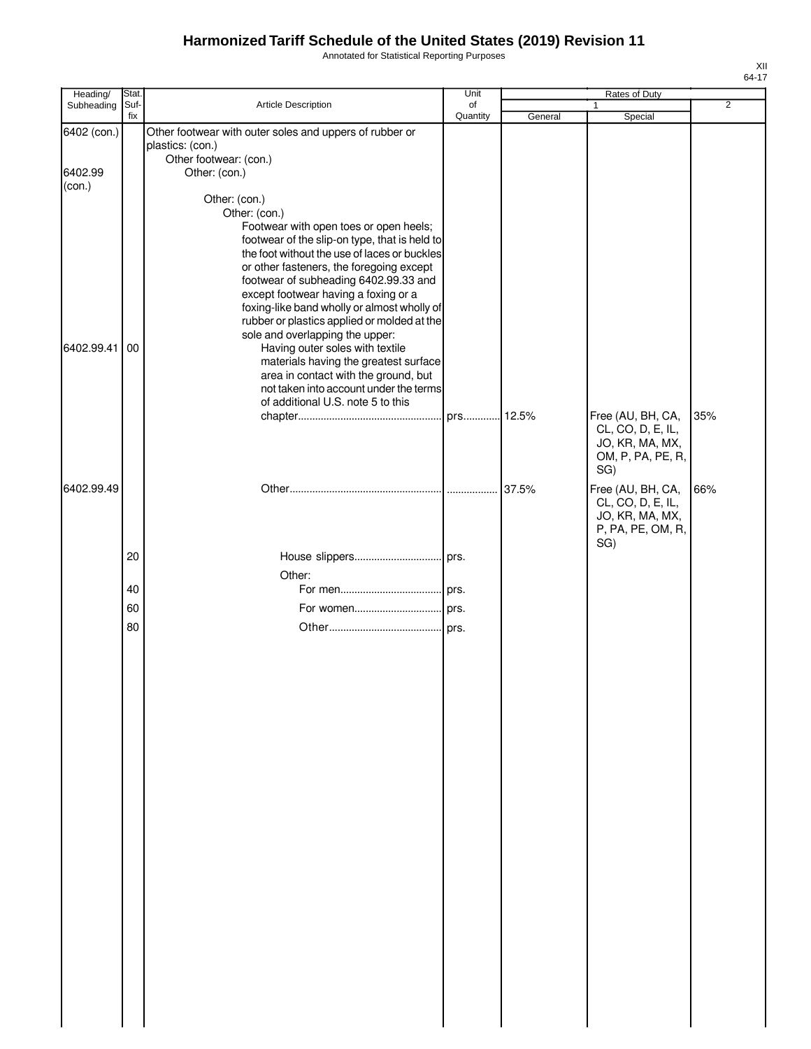Annotated for Statistical Reporting Purposes

| Heading/          | Stat.       |                                                                                                                                                                                                                                                                                                                                                                                                                                                                                                                                                                                                                                            | Unit           |         | Rates of Duty                                                                  |                |
|-------------------|-------------|--------------------------------------------------------------------------------------------------------------------------------------------------------------------------------------------------------------------------------------------------------------------------------------------------------------------------------------------------------------------------------------------------------------------------------------------------------------------------------------------------------------------------------------------------------------------------------------------------------------------------------------------|----------------|---------|--------------------------------------------------------------------------------|----------------|
| Subheading        | Suf-<br>fix | Article Description                                                                                                                                                                                                                                                                                                                                                                                                                                                                                                                                                                                                                        | of<br>Quantity | General | $\mathbf{1}$<br>Special                                                        | $\overline{2}$ |
| 6402 (con.)       |             | Other footwear with outer soles and uppers of rubber or<br>plastics: (con.)<br>Other footwear: (con.)                                                                                                                                                                                                                                                                                                                                                                                                                                                                                                                                      |                |         |                                                                                |                |
| 6402.99<br>(con.) |             | Other: (con.)                                                                                                                                                                                                                                                                                                                                                                                                                                                                                                                                                                                                                              |                |         |                                                                                |                |
| 6402.99.41        | 00          | Other: (con.)<br>Other: (con.)<br>Footwear with open toes or open heels;<br>footwear of the slip-on type, that is held to<br>the foot without the use of laces or buckles<br>or other fasteners, the foregoing except<br>footwear of subheading 6402.99.33 and<br>except footwear having a foxing or a<br>foxing-like band wholly or almost wholly of<br>rubber or plastics applied or molded at the<br>sole and overlapping the upper:<br>Having outer soles with textile<br>materials having the greatest surface<br>area in contact with the ground, but<br>not taken into account under the terms<br>of additional U.S. note 5 to this |                |         | Free (AU, BH, CA,<br>CL, CO, D, E, IL,<br>JO, KR, MA, MX,<br>OM, P, PA, PE, R, | 35%            |
| 6402.99.49        |             |                                                                                                                                                                                                                                                                                                                                                                                                                                                                                                                                                                                                                                            |                | 37.5%   | SG)<br>Free (AU, BH, CA,<br>CL, CO, D, E, IL,                                  | 66%            |
|                   |             |                                                                                                                                                                                                                                                                                                                                                                                                                                                                                                                                                                                                                                            |                |         | JO, KR, MA, MX,<br>P, PA, PE, OM, R,<br>SG)                                    |                |
|                   | 20          |                                                                                                                                                                                                                                                                                                                                                                                                                                                                                                                                                                                                                                            |                |         |                                                                                |                |
|                   | 40          | Other:                                                                                                                                                                                                                                                                                                                                                                                                                                                                                                                                                                                                                                     |                |         |                                                                                |                |
|                   | 60          |                                                                                                                                                                                                                                                                                                                                                                                                                                                                                                                                                                                                                                            |                |         |                                                                                |                |
|                   | 80          |                                                                                                                                                                                                                                                                                                                                                                                                                                                                                                                                                                                                                                            |                |         |                                                                                |                |
|                   |             |                                                                                                                                                                                                                                                                                                                                                                                                                                                                                                                                                                                                                                            |                |         |                                                                                |                |
|                   |             |                                                                                                                                                                                                                                                                                                                                                                                                                                                                                                                                                                                                                                            |                |         |                                                                                |                |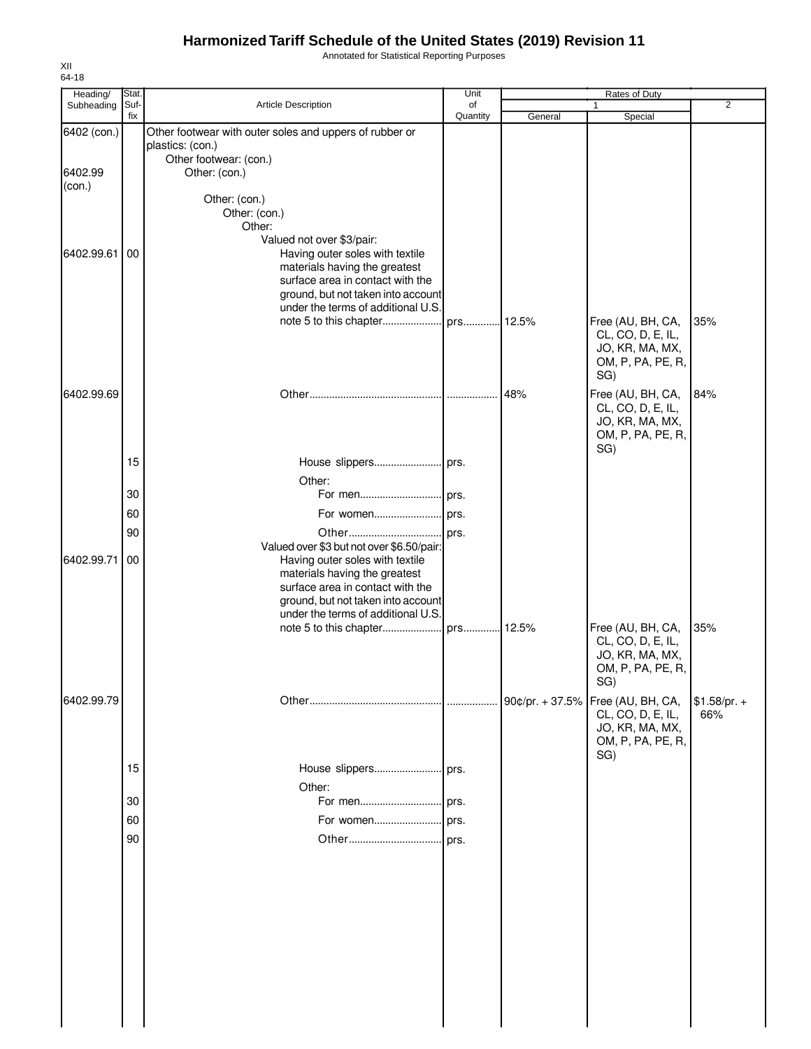Annotated for Statistical Reporting Purposes

| Heading/<br>Subheading | Stat.<br>Suf- | Article Description                                                                                   | Unit<br>of |                   | Rates of Duty<br>$\mathbf{1}$                                                         | $\overline{2}$ |
|------------------------|---------------|-------------------------------------------------------------------------------------------------------|------------|-------------------|---------------------------------------------------------------------------------------|----------------|
|                        | fix           |                                                                                                       | Quantity   | General           | Special                                                                               |                |
| 6402 (con.)            |               | Other footwear with outer soles and uppers of rubber or<br>plastics: (con.)<br>Other footwear: (con.) |            |                   |                                                                                       |                |
| 6402.99<br>(con.)      |               | Other: (con.)                                                                                         |            |                   |                                                                                       |                |
|                        |               | Other: (con.)                                                                                         |            |                   |                                                                                       |                |
|                        |               | Other: (con.)                                                                                         |            |                   |                                                                                       |                |
|                        |               | Other:<br>Valued not over \$3/pair:                                                                   |            |                   |                                                                                       |                |
| 6402.99.61             | 00            | Having outer soles with textile                                                                       |            |                   |                                                                                       |                |
|                        |               | materials having the greatest                                                                         |            |                   |                                                                                       |                |
|                        |               | surface area in contact with the<br>ground, but not taken into account                                |            |                   |                                                                                       |                |
|                        |               | under the terms of additional U.S.                                                                    |            |                   |                                                                                       |                |
|                        |               |                                                                                                       |            |                   | Free (AU, BH, CA,                                                                     | 35%            |
|                        |               |                                                                                                       |            |                   | CL, CO, D, E, IL,<br>JO, KR, MA, MX,<br>OM, P, PA, PE, R,<br>SG)                      |                |
| 6402.99.69             |               |                                                                                                       |            | 48%               | Free (AU, BH, CA,<br>CL, CO, D, E, IL,<br>JO, KR, MA, MX,                             | 84%            |
|                        |               |                                                                                                       |            |                   | OM, P, PA, PE, R,                                                                     |                |
|                        | 15            |                                                                                                       |            |                   | SG)                                                                                   |                |
|                        |               | Other:                                                                                                |            |                   |                                                                                       |                |
|                        | 30            | For men prs.                                                                                          |            |                   |                                                                                       |                |
|                        | 60            |                                                                                                       |            |                   |                                                                                       |                |
|                        | 90            |                                                                                                       |            |                   |                                                                                       |                |
|                        |               | Valued over \$3 but not over \$6.50/pair:                                                             |            |                   |                                                                                       |                |
| 6402.99.71             | 00            | Having outer soles with textile                                                                       |            |                   |                                                                                       |                |
|                        |               | materials having the greatest<br>surface area in contact with the                                     |            |                   |                                                                                       |                |
|                        |               | ground, but not taken into account                                                                    |            |                   |                                                                                       |                |
|                        |               | under the terms of additional U.S.                                                                    |            |                   |                                                                                       |                |
|                        |               |                                                                                                       |            |                   | Free (AU, BH, CA,<br>CL, CO, D, E, IL,<br>JO, KR, MA, MX,<br>OM, P, PA, PE, R,<br>SG) | 35%            |
| 6402.99.79             |               |                                                                                                       |            | 90¢/pr. $+ 37.5%$ | Free (AU, BH, CA,                                                                     | $$1.58/pr. +$  |
|                        |               |                                                                                                       |            |                   | CL, CO, D, E, IL,<br>JO, KR, MA, MX,<br>OM, P, PA, PE, R,<br>SG)                      | 66%            |
|                        | 15            |                                                                                                       |            |                   |                                                                                       |                |
|                        |               | Other:                                                                                                |            |                   |                                                                                       |                |
|                        | 30            |                                                                                                       |            |                   |                                                                                       |                |
|                        | 60            |                                                                                                       |            |                   |                                                                                       |                |
|                        | 90            |                                                                                                       | prs.       |                   |                                                                                       |                |
|                        |               |                                                                                                       |            |                   |                                                                                       |                |
|                        |               |                                                                                                       |            |                   |                                                                                       |                |
|                        |               |                                                                                                       |            |                   |                                                                                       |                |
|                        |               |                                                                                                       |            |                   |                                                                                       |                |
|                        |               |                                                                                                       |            |                   |                                                                                       |                |
|                        |               |                                                                                                       |            |                   |                                                                                       |                |
|                        |               |                                                                                                       |            |                   |                                                                                       |                |
|                        |               |                                                                                                       |            |                   |                                                                                       |                |
|                        |               |                                                                                                       |            |                   |                                                                                       |                |

XII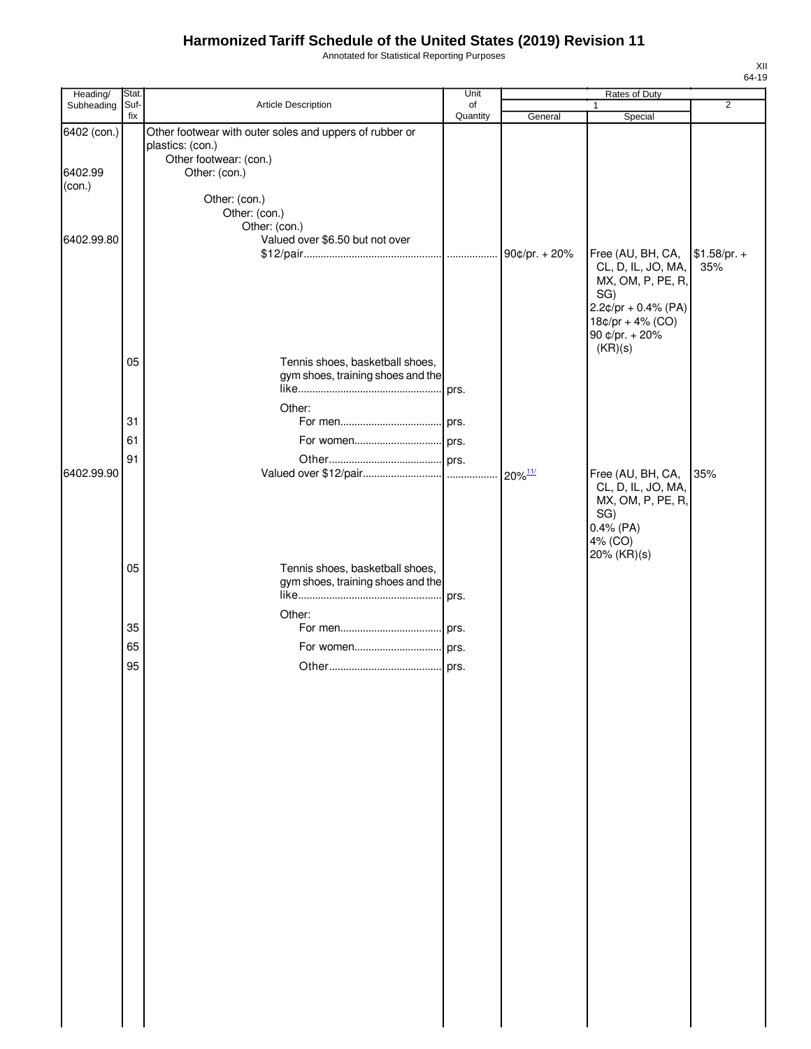Annotated for Statistical Reporting Purposes

| Heading/<br>Subheading | Stat.<br>Suf- | Article Description                                     | Unit<br>of |               | Rates of Duty                           | $\overline{2}$ |
|------------------------|---------------|---------------------------------------------------------|------------|---------------|-----------------------------------------|----------------|
|                        | fix           |                                                         | Quantity   | General       | Special                                 |                |
| 6402 (con.)            |               | Other footwear with outer soles and uppers of rubber or |            |               |                                         |                |
|                        |               | plastics: (con.)                                        |            |               |                                         |                |
|                        |               | Other footwear: (con.)                                  |            |               |                                         |                |
| 6402.99                |               | Other: (con.)                                           |            |               |                                         |                |
| (con.)                 |               | Other: (con.)                                           |            |               |                                         |                |
|                        |               | Other: (con.)                                           |            |               |                                         |                |
|                        |               | Other: (con.)                                           |            |               |                                         |                |
| 6402.99.80             |               | Valued over \$6.50 but not over                         |            |               |                                         |                |
|                        |               |                                                         |            | 90¢/pr. + 20% | Free (AU, BH, CA,                       | $$1.58/pr. +$  |
|                        |               |                                                         |            |               | CL, D, IL, JO, MA,                      | 35%            |
|                        |               |                                                         |            |               | MX, OM, P, PE, R,<br>SG)                |                |
|                        |               |                                                         |            |               | $2.2¢/pr + 0.4% (PA)$                   |                |
|                        |               |                                                         |            |               | $18¢/pr + 4% (CO)$                      |                |
|                        |               |                                                         |            |               | 90 ¢/pr. + 20%                          |                |
|                        |               |                                                         |            |               | (KR)(s)                                 |                |
|                        | 05            | Tennis shoes, basketball shoes,                         |            |               |                                         |                |
|                        |               | gym shoes, training shoes and the                       | prs.       |               |                                         |                |
|                        |               |                                                         |            |               |                                         |                |
|                        | 31            | Other:                                                  |            |               |                                         |                |
|                        |               |                                                         |            |               |                                         |                |
|                        | 61            |                                                         |            |               |                                         |                |
|                        | 91            |                                                         |            |               |                                         |                |
| 6402.99.90             |               |                                                         |            |               | Free (AU, BH, CA,                       | 35%            |
|                        |               |                                                         |            |               | CL, D, IL, JO, MA,<br>MX, OM, P, PE, R, |                |
|                        |               |                                                         |            |               | SG)                                     |                |
|                        |               |                                                         |            |               | $0.4\%$ (PA)                            |                |
|                        |               |                                                         |            |               | 4% (CO)                                 |                |
|                        |               |                                                         |            |               | 20% (KR)(s)                             |                |
|                        | 05            | Tennis shoes, basketball shoes,                         |            |               |                                         |                |
|                        |               | gym shoes, training shoes and the                       |            |               |                                         |                |
|                        |               |                                                         | prs.       |               |                                         |                |
|                        |               | Other:                                                  |            |               |                                         |                |
|                        | 35            |                                                         |            |               |                                         |                |
|                        | 65            |                                                         |            |               |                                         |                |
|                        | 95            |                                                         |            |               |                                         |                |
|                        |               |                                                         |            |               |                                         |                |
|                        |               |                                                         |            |               |                                         |                |
|                        |               |                                                         |            |               |                                         |                |
|                        |               |                                                         |            |               |                                         |                |
|                        |               |                                                         |            |               |                                         |                |
|                        |               |                                                         |            |               |                                         |                |
|                        |               |                                                         |            |               |                                         |                |
|                        |               |                                                         |            |               |                                         |                |
|                        |               |                                                         |            |               |                                         |                |
|                        |               |                                                         |            |               |                                         |                |
|                        |               |                                                         |            |               |                                         |                |
|                        |               |                                                         |            |               |                                         |                |
|                        |               |                                                         |            |               |                                         |                |
|                        |               |                                                         |            |               |                                         |                |
|                        |               |                                                         |            |               |                                         |                |
|                        |               |                                                         |            |               |                                         |                |
|                        |               |                                                         |            |               |                                         |                |
|                        |               |                                                         |            |               |                                         |                |
|                        |               |                                                         |            |               |                                         |                |
|                        |               |                                                         |            |               |                                         |                |
|                        |               |                                                         |            |               |                                         |                |
|                        |               |                                                         |            |               |                                         |                |
|                        |               |                                                         |            |               |                                         |                |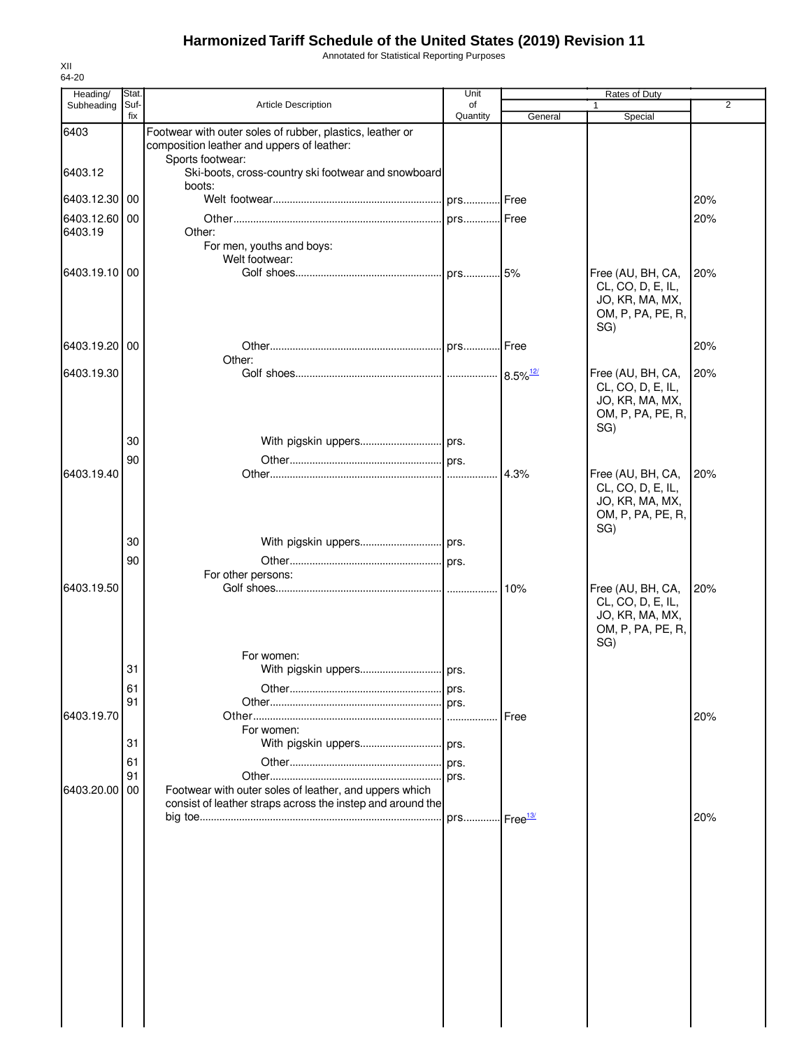Annotated for Statistical Reporting Purposes

| 64-20<br>Heading/ | Stat.       |                                                                                                                      | Unit           |                             | Rates of Duty                                                                         |                |
|-------------------|-------------|----------------------------------------------------------------------------------------------------------------------|----------------|-----------------------------|---------------------------------------------------------------------------------------|----------------|
| Subheading        | Suf-<br>fix | <b>Article Description</b>                                                                                           | of<br>Quantity | General                     | Special                                                                               | $\overline{2}$ |
| 6403              |             | Footwear with outer soles of rubber, plastics, leather or<br>composition leather and uppers of leather:              |                |                             |                                                                                       |                |
| 6403.12           |             | Sports footwear:<br>Ski-boots, cross-country ski footwear and snowboard<br>boots:                                    |                |                             |                                                                                       |                |
| 6403.12.30 00     |             |                                                                                                                      |                |                             |                                                                                       | 20%            |
| 6403.12.60 00     |             |                                                                                                                      |                | <b>I</b> Free               |                                                                                       | 20%            |
| 6403.19           |             | Other:<br>For men, youths and boys:<br>Welt footwear:                                                                |                |                             |                                                                                       |                |
| 6403.19.10 00     |             |                                                                                                                      |                |                             | Free (AU, BH, CA,<br>CL, CO, D, E, IL,<br>JO, KR, MA, MX,<br>OM, P, PA, PE, R,<br>SG) | 20%            |
| 6403.19.20 00     |             | Other:                                                                                                               |                |                             |                                                                                       | 20%            |
| 6403.19.30        |             |                                                                                                                      |                |                             | Free (AU, BH, CA,                                                                     | 20%            |
|                   |             |                                                                                                                      |                |                             | CL, CO, D, E, IL,<br>JO, KR, MA, MX,<br>OM, P, PA, PE, R,<br>SG)                      |                |
|                   | 30          |                                                                                                                      |                |                             |                                                                                       |                |
| 6403.19.40        | 90          |                                                                                                                      |                | 4.3%                        | Free (AU, BH, CA,                                                                     | 20%            |
|                   |             |                                                                                                                      |                |                             | CL, CO, D, E, IL,<br>JO, KR, MA, MX,<br>OM, P, PA, PE, R,<br>SG)                      |                |
|                   | 30          |                                                                                                                      |                |                             |                                                                                       |                |
|                   | 90          |                                                                                                                      |                |                             |                                                                                       |                |
| 6403.19.50        |             | For other persons:                                                                                                   |                | 10%                         | Free (AU, BH, CA,                                                                     | 20%            |
|                   |             |                                                                                                                      |                |                             | CL, CO, D, E, IL,<br>JO, KR, MA, MX,<br>OM, P, PA, PE, R,<br>SG)                      |                |
|                   | 31          | For women:                                                                                                           |                |                             |                                                                                       |                |
|                   | 61          |                                                                                                                      |                |                             |                                                                                       |                |
|                   | 91          |                                                                                                                      |                |                             |                                                                                       |                |
| 6403.19.70        |             | For women:                                                                                                           |                | Free                        |                                                                                       | 20%            |
|                   | 31          |                                                                                                                      |                |                             |                                                                                       |                |
|                   | 61          |                                                                                                                      |                |                             |                                                                                       |                |
|                   | 91          |                                                                                                                      |                |                             |                                                                                       |                |
| 6403.20.00        | 00          | Footwear with outer soles of leather, and uppers which<br>consist of leather straps across the instep and around the |                |                             |                                                                                       |                |
|                   |             |                                                                                                                      | prs            | $\cdot$ Free $\frac{13}{2}$ |                                                                                       | 20%            |
|                   |             |                                                                                                                      |                |                             |                                                                                       |                |
|                   |             |                                                                                                                      |                |                             |                                                                                       |                |
|                   |             |                                                                                                                      |                |                             |                                                                                       |                |
|                   |             |                                                                                                                      |                |                             |                                                                                       |                |
|                   |             |                                                                                                                      |                |                             |                                                                                       |                |
|                   |             |                                                                                                                      |                |                             |                                                                                       |                |
|                   |             |                                                                                                                      |                |                             |                                                                                       |                |
|                   |             |                                                                                                                      |                |                             |                                                                                       |                |
|                   |             |                                                                                                                      |                |                             |                                                                                       |                |
|                   |             |                                                                                                                      |                |                             |                                                                                       |                |
|                   |             |                                                                                                                      |                |                             |                                                                                       |                |
|                   |             |                                                                                                                      |                |                             |                                                                                       |                |

XII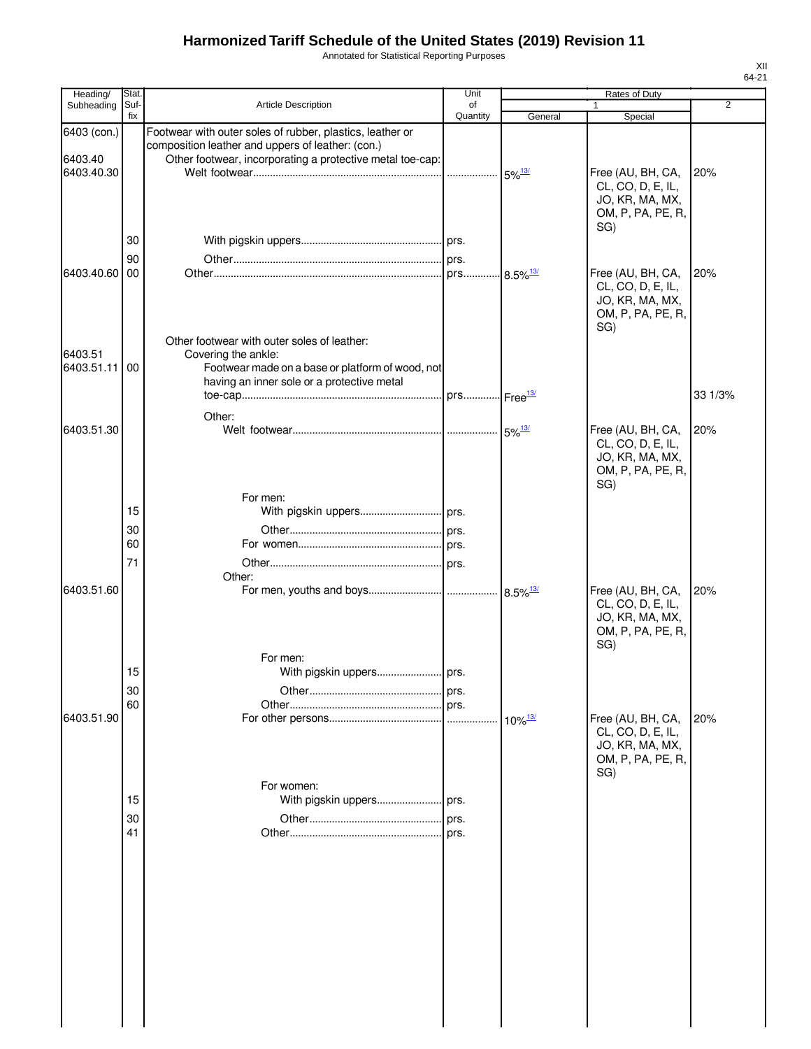Annotated for Statistical Reporting Purposes

| Heading/              | Stat.       |                                                                                                                        | Unit           |                       | Rates of Duty                                                                         |                |
|-----------------------|-------------|------------------------------------------------------------------------------------------------------------------------|----------------|-----------------------|---------------------------------------------------------------------------------------|----------------|
| Subheading            | Suf-<br>fix | Article Description                                                                                                    | οf<br>Quantity | General               | $\mathbf{1}$<br>Special                                                               | $\overline{2}$ |
| 6403 (con.)           |             | Footwear with outer soles of rubber, plastics, leather or<br>composition leather and uppers of leather: (con.)         |                |                       |                                                                                       |                |
| 6403.40<br>6403.40.30 |             | Other footwear, incorporating a protective metal toe-cap:                                                              |                | $5\%$ <sup>13/</sup>  | Free (AU, BH, CA,<br>CL, CO, D, E, IL,<br>JO, KR, MA, MX,<br>OM, P, PA, PE, R,        | 20%            |
|                       | 30          |                                                                                                                        |                |                       | SG)                                                                                   |                |
|                       | 90          |                                                                                                                        |                |                       |                                                                                       |                |
| 6403.40.60            | 00          |                                                                                                                        |                |                       | Free (AU, BH, CA,<br>CL, CO, D, E, IL,<br>JO, KR, MA, MX,<br>OM, P, PA, PE, R,<br>SG) | 20%            |
| 6403.51<br>6403.51.11 | 00          | Other footwear with outer soles of leather:<br>Covering the ankle:<br>Footwear made on a base or platform of wood, not |                |                       |                                                                                       |                |
|                       |             | having an inner sole or a protective metal                                                                             |                |                       |                                                                                       |                |
|                       |             |                                                                                                                        |                |                       |                                                                                       | 33 1/3%        |
| 6403.51.30            |             | Other:                                                                                                                 |                |                       | Free (AU, BH, CA,<br>CL, CO, D, E, IL,<br>JO, KR, MA, MX,<br>OM, P, PA, PE, R,<br>SG) | 20%            |
|                       |             | For men:                                                                                                               |                |                       |                                                                                       |                |
|                       | 15          |                                                                                                                        |                |                       |                                                                                       |                |
|                       | 30          |                                                                                                                        |                |                       |                                                                                       |                |
|                       | 60          |                                                                                                                        |                |                       |                                                                                       |                |
|                       | 71          |                                                                                                                        |                |                       |                                                                                       |                |
| 6403.51.60            |             | Other:<br>For men:                                                                                                     |                |                       | Free (AU, BH, CA,<br>CL, CO, D, E, IL,<br>JO, KR, MA, MX,<br>OM, P, PA, PE, R,<br>SG) | 20%            |
|                       | 15          |                                                                                                                        |                |                       |                                                                                       |                |
|                       | 30          |                                                                                                                        | prs.           |                       |                                                                                       |                |
| 6403.51.90            | 60          |                                                                                                                        | prs.           | $10\%$ <sup>13/</sup> | Free (AU, BH, CA,<br>CL, CO, D, E, IL,<br>JO, KR, MA, MX,<br>OM, P, PA, PE, R,        | 20%            |
|                       |             | For women:                                                                                                             |                |                       | SG)                                                                                   |                |
|                       | 15          |                                                                                                                        |                |                       |                                                                                       |                |
|                       | 30          |                                                                                                                        |                |                       |                                                                                       |                |
|                       | 41          |                                                                                                                        | prs.           |                       |                                                                                       |                |
|                       |             |                                                                                                                        |                |                       |                                                                                       |                |
|                       |             |                                                                                                                        |                |                       |                                                                                       |                |
|                       |             |                                                                                                                        |                |                       |                                                                                       |                |
|                       |             |                                                                                                                        |                |                       |                                                                                       |                |
|                       |             |                                                                                                                        |                |                       |                                                                                       |                |
|                       |             |                                                                                                                        |                |                       |                                                                                       |                |
|                       |             |                                                                                                                        |                |                       |                                                                                       |                |
|                       |             |                                                                                                                        |                |                       |                                                                                       |                |
|                       |             |                                                                                                                        |                |                       |                                                                                       |                |
|                       |             |                                                                                                                        |                |                       |                                                                                       |                |
|                       |             |                                                                                                                        |                |                       |                                                                                       |                |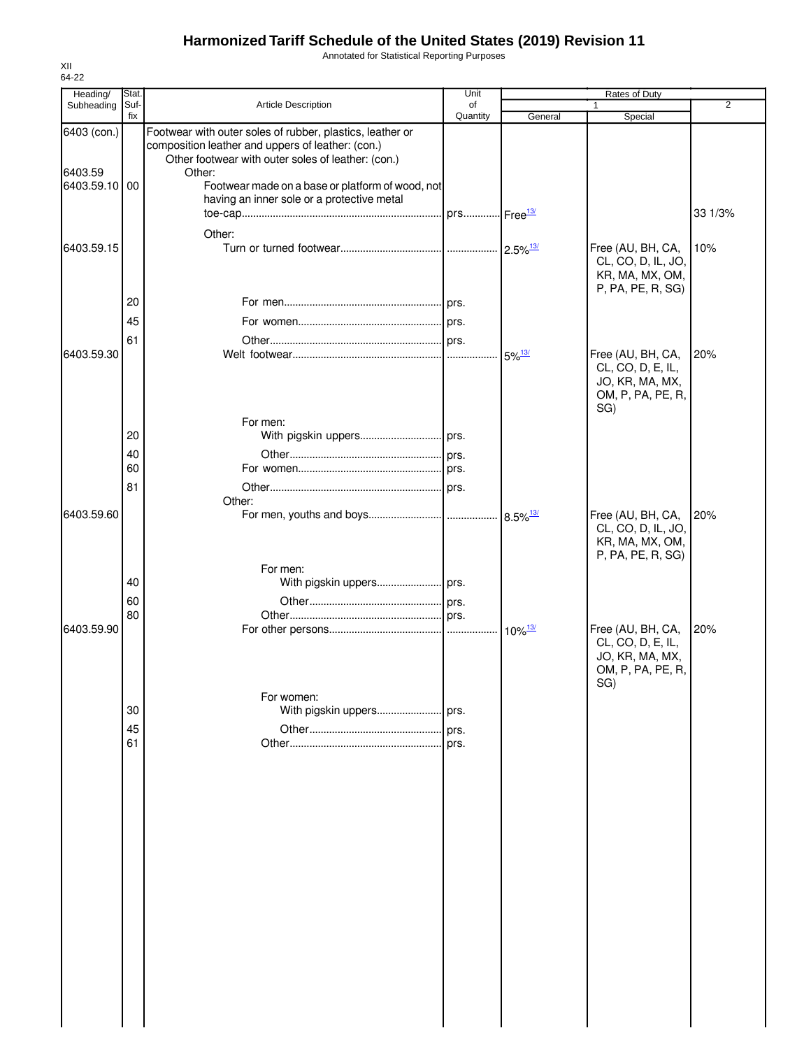Annotated for Statistical Reporting Purposes

| Heading/                                | Stat.       |                                                                                                                                                                                                                                                                                  | Unit                      |                      | <b>Rates of Duty</b>                                                                  |                |
|-----------------------------------------|-------------|----------------------------------------------------------------------------------------------------------------------------------------------------------------------------------------------------------------------------------------------------------------------------------|---------------------------|----------------------|---------------------------------------------------------------------------------------|----------------|
| Subheading                              | Suf-<br>fix | Article Description                                                                                                                                                                                                                                                              | of<br>Quantity            | General              | $\mathbf{1}$<br>Special                                                               | $\overline{2}$ |
| 6403 (con.)<br>6403.59<br>6403.59.10 00 |             | Footwear with outer soles of rubber, plastics, leather or<br>composition leather and uppers of leather: (con.)<br>Other footwear with outer soles of leather: (con.)<br>Other:<br>Footwear made on a base or platform of wood, not<br>having an inner sole or a protective metal |                           |                      |                                                                                       |                |
|                                         |             |                                                                                                                                                                                                                                                                                  | . prs Free <sup>13/</sup> |                      |                                                                                       | 33 1/3%        |
| 6403.59.15                              |             | Other:                                                                                                                                                                                                                                                                           |                           |                      | Free (AU, BH, CA,<br>CL, CO, D, IL, JO,<br>KR, MA, MX, OM,<br>P, PA, PE, R, SG)       | 10%            |
|                                         | 20          |                                                                                                                                                                                                                                                                                  |                           |                      |                                                                                       |                |
|                                         | 45          |                                                                                                                                                                                                                                                                                  |                           |                      |                                                                                       |                |
| 6403.59.30                              | 61          |                                                                                                                                                                                                                                                                                  |                           |                      |                                                                                       |                |
|                                         |             |                                                                                                                                                                                                                                                                                  |                           | $5\%$ <sup>13/</sup> | Free (AU, BH, CA,<br>CL, CO, D, E, IL,<br>JO, KR, MA, MX,<br>OM, P, PA, PE, R,<br>SG) | 20%            |
|                                         | 20          | For men:                                                                                                                                                                                                                                                                         |                           |                      |                                                                                       |                |
|                                         | 40          |                                                                                                                                                                                                                                                                                  |                           |                      |                                                                                       |                |
|                                         | 60          |                                                                                                                                                                                                                                                                                  |                           |                      |                                                                                       |                |
|                                         | 81          |                                                                                                                                                                                                                                                                                  |                           |                      |                                                                                       |                |
|                                         |             | Other:                                                                                                                                                                                                                                                                           |                           |                      |                                                                                       |                |
| 6403.59.60                              |             |                                                                                                                                                                                                                                                                                  |                           |                      | Free (AU, BH, CA,<br>CL, CO, D, IL, JO,<br>KR, MA, MX, OM,<br>P, PA, PE, R, SG)       | 20%            |
|                                         | 40          | For men:<br>With pigskin uppers prs.                                                                                                                                                                                                                                             |                           |                      |                                                                                       |                |
|                                         | 60          |                                                                                                                                                                                                                                                                                  |                           |                      |                                                                                       |                |
|                                         | 80          |                                                                                                                                                                                                                                                                                  |                           |                      |                                                                                       |                |
| 6403.59.90                              |             |                                                                                                                                                                                                                                                                                  |                           |                      | Free (AU, BH, CA,<br>CL, CO, D, E, IL,<br>JO, KR, MA, MX,<br>OM, P, PA, PE, R,<br>SG) | 20%            |
|                                         |             | For women:                                                                                                                                                                                                                                                                       |                           |                      |                                                                                       |                |
|                                         | 30          | With pigskin uppers                                                                                                                                                                                                                                                              | prs.                      |                      |                                                                                       |                |
|                                         | 45<br>61    |                                                                                                                                                                                                                                                                                  | prs.<br>prs.              |                      |                                                                                       |                |
|                                         |             |                                                                                                                                                                                                                                                                                  |                           |                      |                                                                                       |                |
|                                         |             |                                                                                                                                                                                                                                                                                  |                           |                      |                                                                                       |                |
|                                         |             |                                                                                                                                                                                                                                                                                  |                           |                      |                                                                                       |                |
|                                         |             |                                                                                                                                                                                                                                                                                  |                           |                      |                                                                                       |                |
|                                         |             |                                                                                                                                                                                                                                                                                  |                           |                      |                                                                                       |                |
|                                         |             |                                                                                                                                                                                                                                                                                  |                           |                      |                                                                                       |                |
|                                         |             |                                                                                                                                                                                                                                                                                  |                           |                      |                                                                                       |                |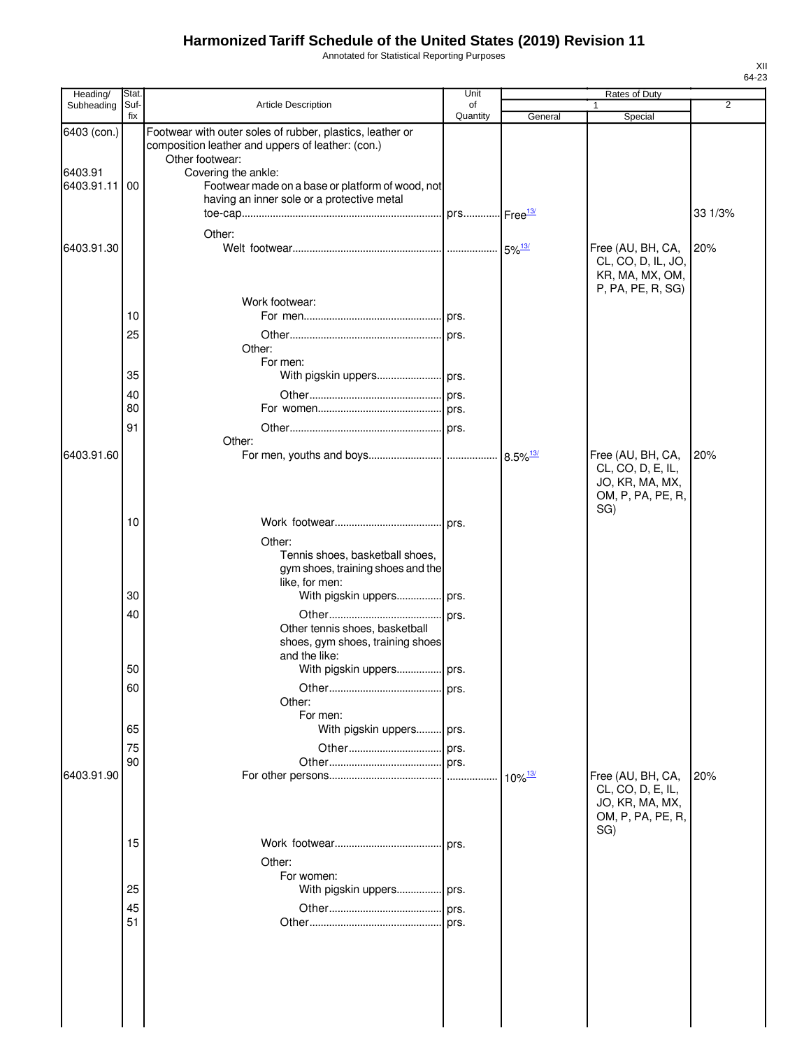Annotated for Statistical Reporting Purposes

| Heading/              | <b>Stat</b> |                                                                                                                                   | Unit           |                       | Rates of Duty                                                                   |         |
|-----------------------|-------------|-----------------------------------------------------------------------------------------------------------------------------------|----------------|-----------------------|---------------------------------------------------------------------------------|---------|
| Subheading            | Suf-<br>fix | <b>Article Description</b>                                                                                                        | of<br>Quantity | General               | Special                                                                         | 2       |
| 6403 (con.)           |             | Footwear with outer soles of rubber, plastics, leather or<br>composition leather and uppers of leather: (con.)<br>Other footwear: |                |                       |                                                                                 |         |
| 6403.91<br>6403.91.11 | 00          | Covering the ankle:<br>Footwear made on a base or platform of wood, not<br>having an inner sole or a protective metal             |                |                       |                                                                                 |         |
|                       |             | Other:                                                                                                                            |                |                       |                                                                                 | 33 1/3% |
| 6403.91.30            |             |                                                                                                                                   |                |                       | Free (AU, BH, CA,<br>CL, CO, D, IL, JO,<br>KR, MA, MX, OM,<br>P, PA, PE, R, SG) | 20%     |
|                       | 10          | Work footwear:                                                                                                                    |                |                       |                                                                                 |         |
|                       | 25          | Other:                                                                                                                            |                |                       |                                                                                 |         |
|                       | 35          | For men:                                                                                                                          |                |                       |                                                                                 |         |
|                       | 40          |                                                                                                                                   |                |                       |                                                                                 |         |
|                       | 80          |                                                                                                                                   |                |                       |                                                                                 |         |
|                       | 91          | Other:                                                                                                                            |                |                       |                                                                                 |         |
| 6403.91.60            |             |                                                                                                                                   |                |                       | Free (AU, BH, CA,<br>CL, CO, D, E, IL,<br>JO, KR, MA, MX,<br>OM, P, PA, PE, R,  | 20%     |
|                       | 10          |                                                                                                                                   |                |                       | SG)                                                                             |         |
|                       | 30          | Other:<br>Tennis shoes, basketball shoes,<br>gym shoes, training shoes and the<br>like, for men:<br>With pigskin uppers prs.      |                |                       |                                                                                 |         |
|                       | 40          |                                                                                                                                   |                |                       |                                                                                 |         |
|                       | 50          | Other tennis shoes, basketball<br>shoes, gym shoes, training shoes<br>and the like:<br>With pigskin uppers prs.                   |                |                       |                                                                                 |         |
|                       | 60          | Other:                                                                                                                            | prs.           |                       |                                                                                 |         |
|                       | 65          | For men:<br>With pigskin uppers prs.                                                                                              |                |                       |                                                                                 |         |
|                       | 75          |                                                                                                                                   |                |                       |                                                                                 |         |
|                       | 90          |                                                                                                                                   |                |                       |                                                                                 |         |
| 6403.91.90            |             |                                                                                                                                   |                | $10\%$ <sup>13/</sup> | Free (AU, BH, CA,<br>CL, CO, D, E, IL,<br>JO, KR, MA, MX,<br>OM, P, PA, PE, R,  | 20%     |
|                       | 15          |                                                                                                                                   | l prs.         |                       | SG)                                                                             |         |
|                       |             | Other:                                                                                                                            |                |                       |                                                                                 |         |
|                       |             | For women:                                                                                                                        |                |                       |                                                                                 |         |
|                       | 25          | With pigskin uppers prs.                                                                                                          |                |                       |                                                                                 |         |
|                       | 45          |                                                                                                                                   |                |                       |                                                                                 |         |
|                       | 51          |                                                                                                                                   |                |                       |                                                                                 |         |
|                       |             |                                                                                                                                   |                |                       |                                                                                 |         |

XII 64-23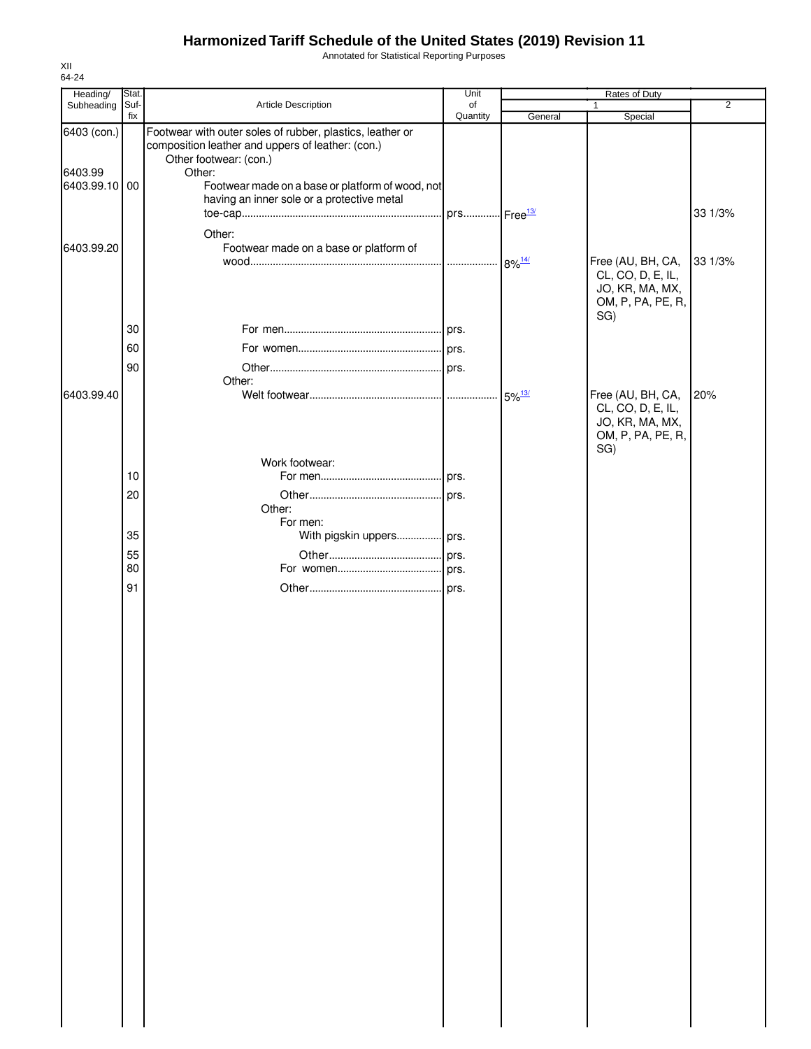Annotated for Statistical Reporting Purposes

| Heading/                                | Stat.       |                                                                                                                                                                                                                                                      | Unit           |         | Rates of Duty                                                    |                |
|-----------------------------------------|-------------|------------------------------------------------------------------------------------------------------------------------------------------------------------------------------------------------------------------------------------------------------|----------------|---------|------------------------------------------------------------------|----------------|
| Subheading                              | Suf-<br>fix | Article Description                                                                                                                                                                                                                                  | of<br>Quantity | General | $\mathbf{1}$<br>Special                                          | $\overline{2}$ |
| 6403 (con.)<br>6403.99<br>6403.99.10 00 |             | Footwear with outer soles of rubber, plastics, leather or<br>composition leather and uppers of leather: (con.)<br>Other footwear: (con.)<br>Other:<br>Footwear made on a base or platform of wood, not<br>having an inner sole or a protective metal |                |         |                                                                  |                |
|                                         |             |                                                                                                                                                                                                                                                      |                |         |                                                                  | 33 1/3%        |
| 6403.99.20                              |             | Other:<br>Footwear made on a base or platform of                                                                                                                                                                                                     |                | 8% 14/  | Free (AU, BH, CA,<br>CL, CO, D, E, IL,                           | 33 1/3%        |
|                                         |             |                                                                                                                                                                                                                                                      |                |         | JO, KR, MA, MX,<br>OM, P, PA, PE, R,<br>SG)                      |                |
|                                         | 30          |                                                                                                                                                                                                                                                      |                |         |                                                                  |                |
|                                         | 60          |                                                                                                                                                                                                                                                      |                |         |                                                                  |                |
|                                         | 90          |                                                                                                                                                                                                                                                      |                |         |                                                                  |                |
| 6403.99.40                              |             | Other:                                                                                                                                                                                                                                               |                |         | Free (AU, BH, CA,                                                | 20%            |
|                                         |             |                                                                                                                                                                                                                                                      |                |         | CL, CO, D, E, IL,<br>JO, KR, MA, MX,<br>OM, P, PA, PE, R,<br>SG) |                |
|                                         |             | Work footwear:                                                                                                                                                                                                                                       |                |         |                                                                  |                |
|                                         | 10          |                                                                                                                                                                                                                                                      |                |         |                                                                  |                |
|                                         | 20          | Other:<br>For men:                                                                                                                                                                                                                                   |                |         |                                                                  |                |
|                                         | 35          | With pigskin uppers prs.                                                                                                                                                                                                                             |                |         |                                                                  |                |
|                                         | 55          |                                                                                                                                                                                                                                                      |                |         |                                                                  |                |
|                                         | 80          |                                                                                                                                                                                                                                                      |                |         |                                                                  |                |
|                                         | 91          |                                                                                                                                                                                                                                                      |                |         |                                                                  |                |
|                                         |             |                                                                                                                                                                                                                                                      |                |         |                                                                  |                |
|                                         |             |                                                                                                                                                                                                                                                      |                |         |                                                                  |                |
|                                         |             |                                                                                                                                                                                                                                                      |                |         |                                                                  |                |
|                                         |             |                                                                                                                                                                                                                                                      |                |         |                                                                  |                |
|                                         |             |                                                                                                                                                                                                                                                      |                |         |                                                                  |                |
|                                         |             |                                                                                                                                                                                                                                                      |                |         |                                                                  |                |
|                                         |             |                                                                                                                                                                                                                                                      |                |         |                                                                  |                |
|                                         |             |                                                                                                                                                                                                                                                      |                |         |                                                                  |                |
|                                         |             |                                                                                                                                                                                                                                                      |                |         |                                                                  |                |
|                                         |             |                                                                                                                                                                                                                                                      |                |         |                                                                  |                |
|                                         |             |                                                                                                                                                                                                                                                      |                |         |                                                                  |                |
|                                         |             |                                                                                                                                                                                                                                                      |                |         |                                                                  |                |
|                                         |             |                                                                                                                                                                                                                                                      |                |         |                                                                  |                |
|                                         |             |                                                                                                                                                                                                                                                      |                |         |                                                                  |                |
|                                         |             |                                                                                                                                                                                                                                                      |                |         |                                                                  |                |
|                                         |             |                                                                                                                                                                                                                                                      |                |         |                                                                  |                |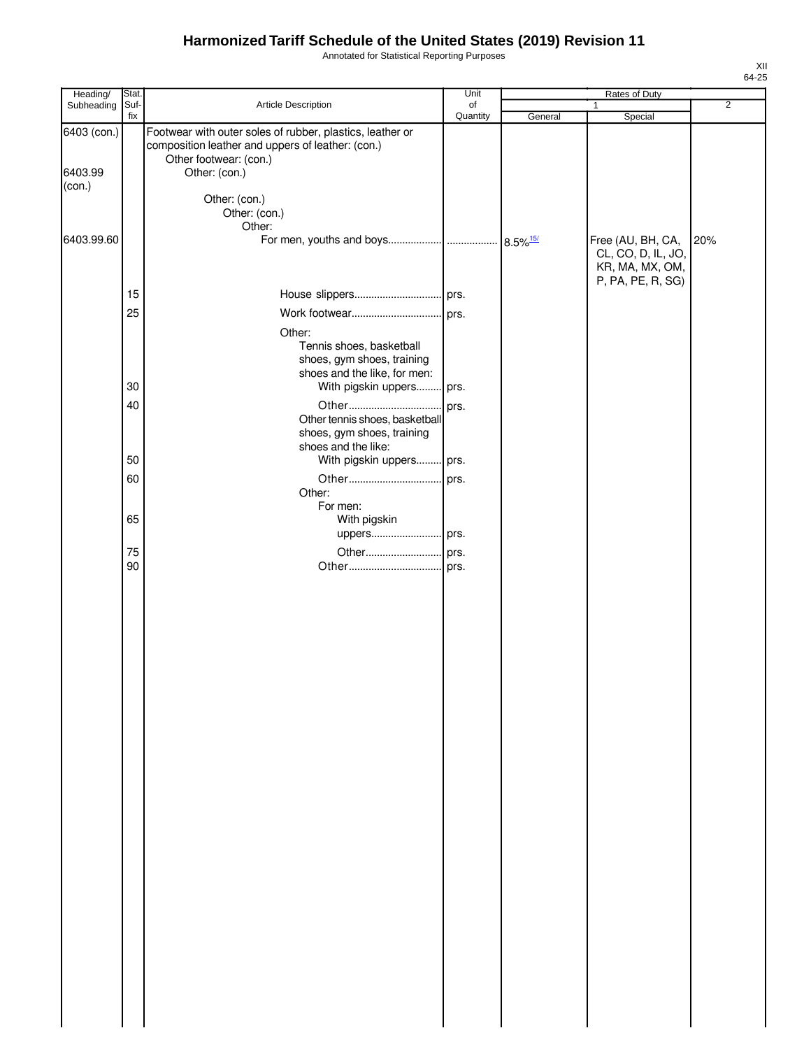Annotated for Statistical Reporting Purposes

| Heading/               | Stat.       |                                                                                                                                                           | Unit           |         | <b>Rates of Duty</b>                                                            |                |
|------------------------|-------------|-----------------------------------------------------------------------------------------------------------------------------------------------------------|----------------|---------|---------------------------------------------------------------------------------|----------------|
| Subheading             | Suf-<br>fix | Article Description                                                                                                                                       | of<br>Quantity | General | 1<br>Special                                                                    | $\overline{2}$ |
| 6403 (con.)<br>6403.99 |             | Footwear with outer soles of rubber, plastics, leather or<br>composition leather and uppers of leather: (con.)<br>Other footwear: (con.)<br>Other: (con.) |                |         |                                                                                 |                |
| (con.)                 |             | Other: (con.)<br>Other: (con.)<br>Other:                                                                                                                  |                |         |                                                                                 |                |
| 6403.99.60             |             |                                                                                                                                                           |                |         | Free (AU, BH, CA,<br>CL, CO, D, IL, JO,<br>KR, MA, MX, OM,<br>P, PA, PE, R, SG) | 20%            |
|                        | 15          |                                                                                                                                                           |                |         |                                                                                 |                |
|                        | 25          |                                                                                                                                                           |                |         |                                                                                 |                |
|                        |             | Other:<br>Tennis shoes, basketball<br>shoes, gym shoes, training<br>shoes and the like, for men:                                                          |                |         |                                                                                 |                |
|                        | 30          | With pigskin uppers prs.                                                                                                                                  |                |         |                                                                                 |                |
|                        | 40          | Other tennis shoes, basketball<br>shoes, gym shoes, training<br>shoes and the like:                                                                       |                |         |                                                                                 |                |
|                        | 50          | With pigskin uppers prs.                                                                                                                                  |                |         |                                                                                 |                |
|                        | 60          | Other:<br>For men:                                                                                                                                        |                |         |                                                                                 |                |
|                        | 65          | With pigskin<br>uppers prs.                                                                                                                               |                |         |                                                                                 |                |
|                        | 75<br>90    |                                                                                                                                                           |                |         |                                                                                 |                |
|                        |             |                                                                                                                                                           |                |         |                                                                                 |                |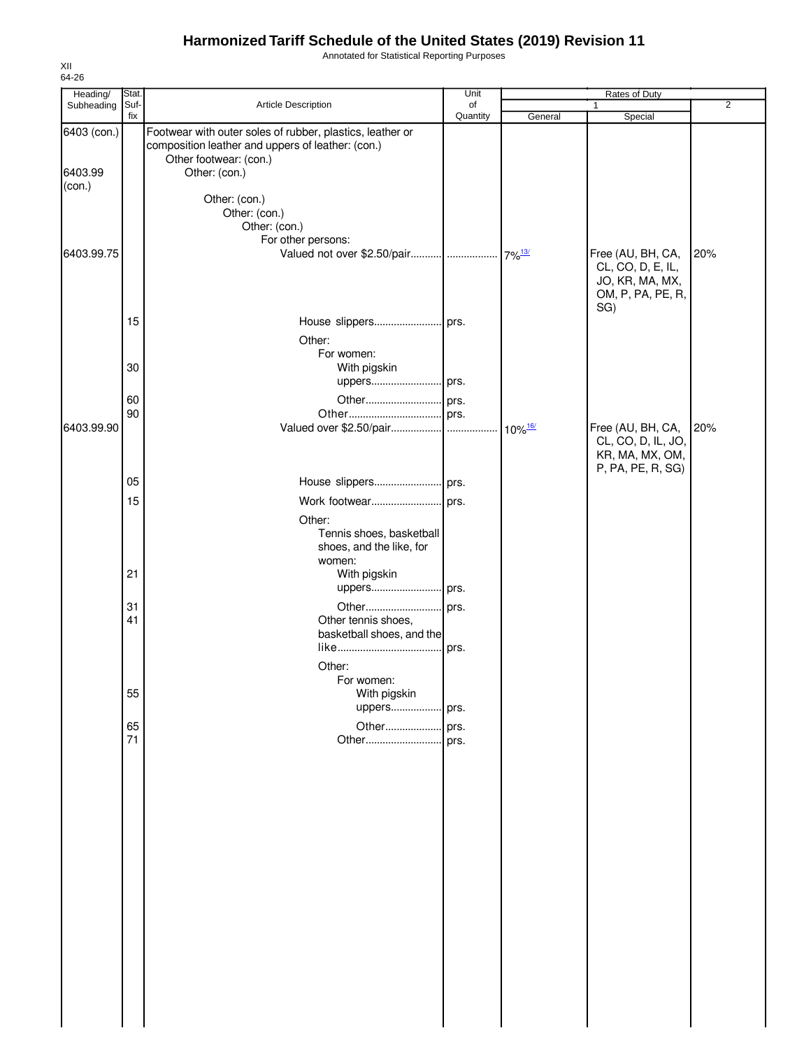Annotated for Statistical Reporting Purposes

| Heading/               | Stat.       |                                                                                                                                                           | Unit           |                       | Rates of Duty                                                                         |                |
|------------------------|-------------|-----------------------------------------------------------------------------------------------------------------------------------------------------------|----------------|-----------------------|---------------------------------------------------------------------------------------|----------------|
| Subheading             | Suf-<br>fix | Article Description                                                                                                                                       | of<br>Quantity | General               | Special                                                                               | $\overline{2}$ |
| 6403 (con.)<br>6403.99 |             | Footwear with outer soles of rubber, plastics, leather or<br>composition leather and uppers of leather: (con.)<br>Other footwear: (con.)<br>Other: (con.) |                |                       |                                                                                       |                |
| (con.)                 |             | Other: (con.)<br>Other: (con.)<br>Other: (con.)<br>For other persons:                                                                                     |                |                       |                                                                                       |                |
| 6403.99.75             |             |                                                                                                                                                           |                |                       | Free (AU, BH, CA,<br>CL, CO, D, E, IL,<br>JO, KR, MA, MX,<br>OM, P, PA, PE, R,<br>SG) | 20%            |
|                        | 15          | Other:                                                                                                                                                    |                |                       |                                                                                       |                |
|                        | 30          | For women:<br>With pigskin<br>uppers prs.                                                                                                                 |                |                       |                                                                                       |                |
|                        | 60          |                                                                                                                                                           |                |                       |                                                                                       |                |
|                        | 90          |                                                                                                                                                           |                |                       |                                                                                       |                |
| 6403.99.90             |             |                                                                                                                                                           |                | $10\%$ <sup>16/</sup> | Free (AU, BH, CA,<br>CL, CO, D, IL, JO,<br>KR, MA, MX, OM,<br>P, PA, PE, R, SG)       | 20%            |
|                        | 05          |                                                                                                                                                           |                |                       |                                                                                       |                |
|                        | 15          | Work footwear prs.                                                                                                                                        |                |                       |                                                                                       |                |
|                        |             | Other:<br>Tennis shoes, basketball<br>shoes, and the like, for<br>women:                                                                                  |                |                       |                                                                                       |                |
|                        | 21          | With pigskin<br>uppers prs.                                                                                                                               |                |                       |                                                                                       |                |
|                        | 31<br>41    | Other tennis shoes,<br>basketball shoes, and the                                                                                                          | prs.           |                       |                                                                                       |                |
|                        | 55          | Other:<br>For women:<br>With pigskin<br>uppers                                                                                                            | prs.           |                       |                                                                                       |                |
|                        | 65<br>71    | Other<br>Other                                                                                                                                            | prs.<br>prs.   |                       |                                                                                       |                |
|                        |             |                                                                                                                                                           |                |                       |                                                                                       |                |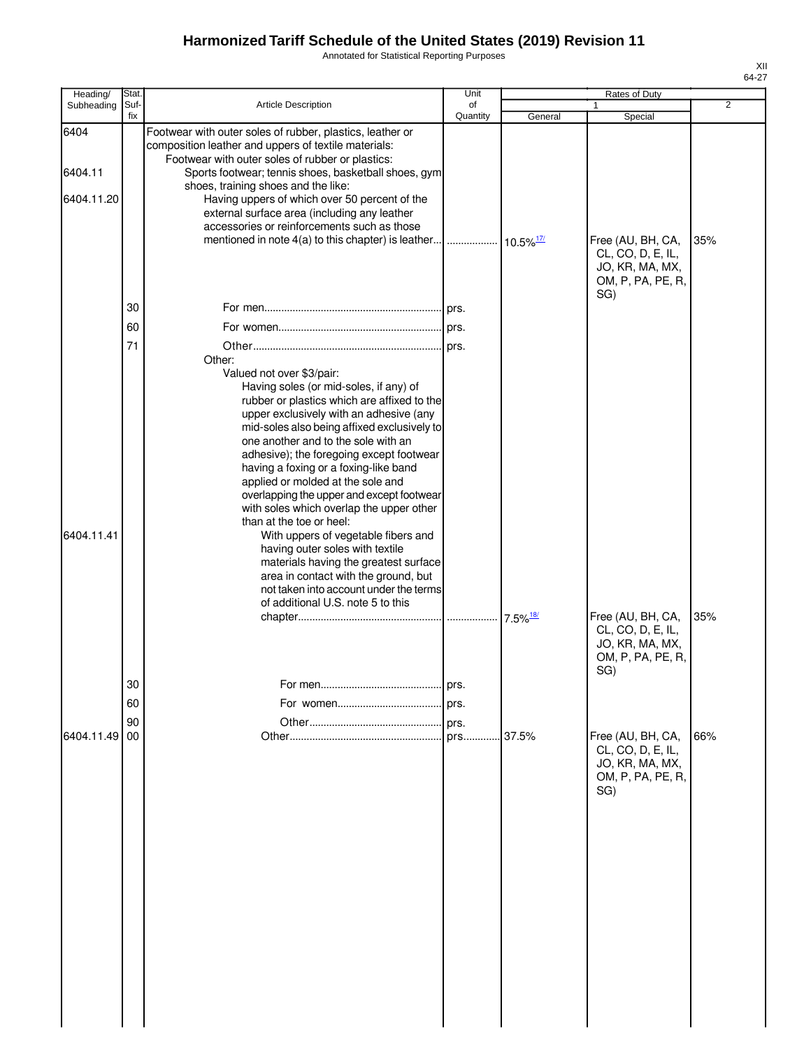Annotated for Statistical Reporting Purposes

| Heading/   | Stat.       |                                                                                                                                                 | Unit           |         | Rates of Duty                                                                         |                |
|------------|-------------|-------------------------------------------------------------------------------------------------------------------------------------------------|----------------|---------|---------------------------------------------------------------------------------------|----------------|
| Subheading | Suf-<br>fix | Article Description                                                                                                                             | of<br>Quantity | General | Special                                                                               | $\overline{2}$ |
| 6404       |             | Footwear with outer soles of rubber, plastics, leather or<br>composition leather and uppers of textile materials:                               |                |         |                                                                                       |                |
| 6404.11    |             | Footwear with outer soles of rubber or plastics:<br>Sports footwear; tennis shoes, basketball shoes, gym<br>shoes, training shoes and the like: |                |         |                                                                                       |                |
| 6404.11.20 |             | Having uppers of which over 50 percent of the<br>external surface area (including any leather                                                   |                |         |                                                                                       |                |
|            |             | accessories or reinforcements such as those                                                                                                     |                |         | Free (AU, BH, CA,                                                                     | 35%            |
|            |             |                                                                                                                                                 |                |         | CL, CO, D, E, IL,<br>JO, KR, MA, MX,<br>OM, P, PA, PE, R,<br>SG)                      |                |
|            | 30          |                                                                                                                                                 |                |         |                                                                                       |                |
|            | 60          |                                                                                                                                                 |                |         |                                                                                       |                |
|            | 71          | Other:                                                                                                                                          |                |         |                                                                                       |                |
|            |             | Valued not over \$3/pair:<br>Having soles (or mid-soles, if any) of                                                                             |                |         |                                                                                       |                |
|            |             | rubber or plastics which are affixed to the                                                                                                     |                |         |                                                                                       |                |
|            |             | upper exclusively with an adhesive (any<br>mid-soles also being affixed exclusively to                                                          |                |         |                                                                                       |                |
|            |             | one another and to the sole with an                                                                                                             |                |         |                                                                                       |                |
|            |             | adhesive); the foregoing except footwear<br>having a foxing or a foxing-like band                                                               |                |         |                                                                                       |                |
|            |             | applied or molded at the sole and                                                                                                               |                |         |                                                                                       |                |
|            |             | overlapping the upper and except footwear                                                                                                       |                |         |                                                                                       |                |
|            |             | with soles which overlap the upper other<br>than at the toe or heel:                                                                            |                |         |                                                                                       |                |
| 6404.11.41 |             | With uppers of vegetable fibers and                                                                                                             |                |         |                                                                                       |                |
|            |             | having outer soles with textile<br>materials having the greatest surface                                                                        |                |         |                                                                                       |                |
|            |             | area in contact with the ground, but                                                                                                            |                |         |                                                                                       |                |
|            |             | not taken into account under the terms                                                                                                          |                |         |                                                                                       |                |
|            |             | of additional U.S. note 5 to this                                                                                                               |                |         | Free (AU, BH, CA,                                                                     | 35%            |
|            |             |                                                                                                                                                 |                |         | CL, CO, D, E, IL,                                                                     |                |
|            |             |                                                                                                                                                 |                |         | JO, KR, MA, MX,<br>OM, P, PA, PE, R,<br>SG)                                           |                |
|            | 30          |                                                                                                                                                 | prs.           |         |                                                                                       |                |
|            | 60          |                                                                                                                                                 | prs.           |         |                                                                                       |                |
|            | 90          |                                                                                                                                                 | prs.           |         |                                                                                       |                |
| 6404.11.49 | 00          |                                                                                                                                                 | prs            | 37.5%   | Free (AU, BH, CA,<br>CL, CO, D, E, IL,<br>JO, KR, MA, MX,<br>OM, P, PA, PE, R,<br>SG) | 66%            |
|            |             |                                                                                                                                                 |                |         |                                                                                       |                |
|            |             |                                                                                                                                                 |                |         |                                                                                       |                |
|            |             |                                                                                                                                                 |                |         |                                                                                       |                |
|            |             |                                                                                                                                                 |                |         |                                                                                       |                |
|            |             |                                                                                                                                                 |                |         |                                                                                       |                |
|            |             |                                                                                                                                                 |                |         |                                                                                       |                |
|            |             |                                                                                                                                                 |                |         |                                                                                       |                |
|            |             |                                                                                                                                                 |                |         |                                                                                       |                |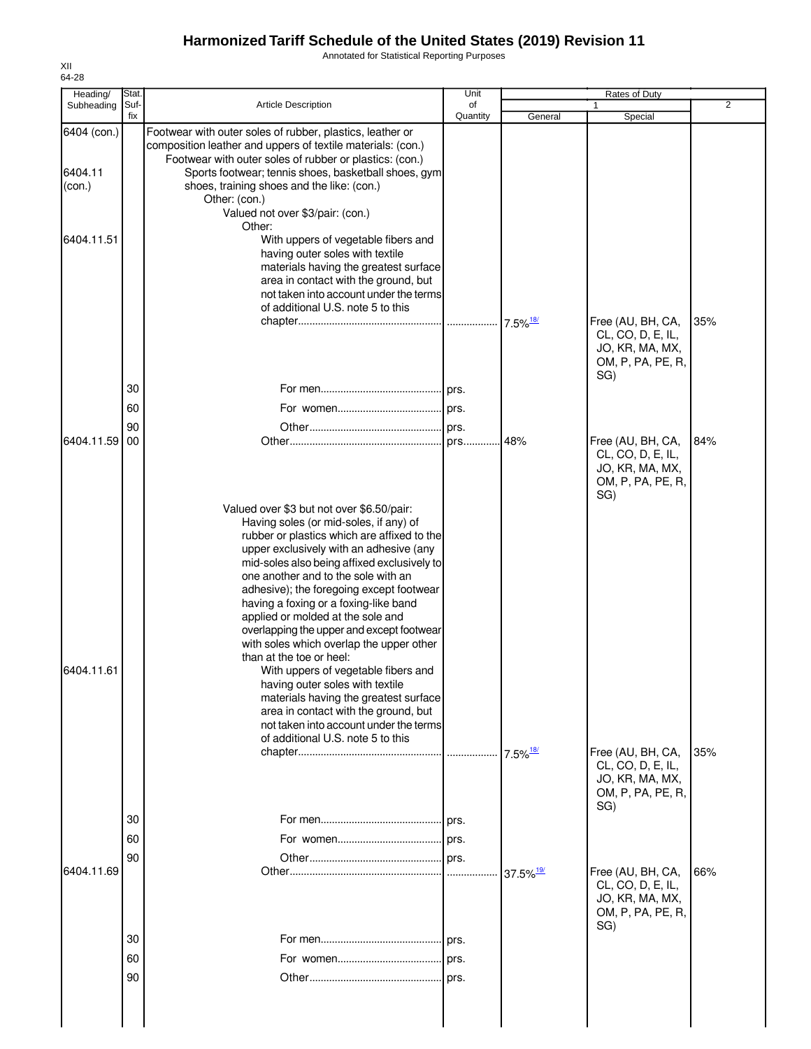Annotated for Statistical Reporting Purposes

| Heading/                         | Stat.       |                                                                                                                                                                                                                                                                                                                                                                                                                                                                                                                                                                                                                                                                                                                                                              | Unit           |                         | Rates of Duty                                                                         |                |
|----------------------------------|-------------|--------------------------------------------------------------------------------------------------------------------------------------------------------------------------------------------------------------------------------------------------------------------------------------------------------------------------------------------------------------------------------------------------------------------------------------------------------------------------------------------------------------------------------------------------------------------------------------------------------------------------------------------------------------------------------------------------------------------------------------------------------------|----------------|-------------------------|---------------------------------------------------------------------------------------|----------------|
| Subheading                       | Suf-<br>fix | <b>Article Description</b>                                                                                                                                                                                                                                                                                                                                                                                                                                                                                                                                                                                                                                                                                                                                   | of<br>Quantity | General                 | Special                                                                               | $\overline{2}$ |
| 6404 (con.)<br>6404.11<br>(con.) |             | Footwear with outer soles of rubber, plastics, leather or<br>composition leather and uppers of textile materials: (con.)<br>Footwear with outer soles of rubber or plastics: (con.)<br>Sports footwear; tennis shoes, basketball shoes, gym<br>shoes, training shoes and the like: (con.)<br>Other: (con.)<br>Valued not over \$3/pair: (con.)<br>Other:                                                                                                                                                                                                                                                                                                                                                                                                     |                |                         |                                                                                       |                |
| 6404.11.51                       |             | With uppers of vegetable fibers and<br>having outer soles with textile<br>materials having the greatest surface<br>area in contact with the ground, but<br>not taken into account under the terms<br>of additional U.S. note 5 to this                                                                                                                                                                                                                                                                                                                                                                                                                                                                                                                       |                | $7.5\%$ <sup>18/</sup>  | Free (AU, BH, CA,<br>CL, CO, D, E, IL,<br>JO, KR, MA, MX,                             | 35%            |
|                                  | 30          |                                                                                                                                                                                                                                                                                                                                                                                                                                                                                                                                                                                                                                                                                                                                                              |                |                         | OM, P, PA, PE, R,<br>SG)                                                              |                |
|                                  | 60          |                                                                                                                                                                                                                                                                                                                                                                                                                                                                                                                                                                                                                                                                                                                                                              |                |                         |                                                                                       |                |
|                                  | 90          |                                                                                                                                                                                                                                                                                                                                                                                                                                                                                                                                                                                                                                                                                                                                                              | prs.           |                         |                                                                                       |                |
| 6404.11.59                       | 00          |                                                                                                                                                                                                                                                                                                                                                                                                                                                                                                                                                                                                                                                                                                                                                              | prs            | .48%                    | Free (AU, BH, CA,<br>CL, CO, D, E, IL,<br>JO, KR, MA, MX,<br>OM, P, PA, PE, R,<br>SG) | 84%            |
| 6404.11.61                       |             | Valued over \$3 but not over \$6.50/pair:<br>Having soles (or mid-soles, if any) of<br>rubber or plastics which are affixed to the<br>upper exclusively with an adhesive (any<br>mid-soles also being affixed exclusively to<br>one another and to the sole with an<br>adhesive); the foregoing except footwear<br>having a foxing or a foxing-like band<br>applied or molded at the sole and<br>overlapping the upper and except footwear<br>with soles which overlap the upper other<br>than at the toe or heel:<br>With uppers of vegetable fibers and<br>having outer soles with textile<br>materials having the greatest surface<br>area in contact with the ground, but<br>not taken into account under the terms<br>of additional U.S. note 5 to this |                |                         |                                                                                       |                |
|                                  | 30          |                                                                                                                                                                                                                                                                                                                                                                                                                                                                                                                                                                                                                                                                                                                                                              | prs.           | $7.5\%$ <sup>18/</sup>  | Free (AU, BH, CA,<br>CL, CO, D, E, IL,<br>JO, KR, MA, MX,<br>OM, P, PA, PE, R,<br>SG) | 35%            |
|                                  | 60          |                                                                                                                                                                                                                                                                                                                                                                                                                                                                                                                                                                                                                                                                                                                                                              |                |                         |                                                                                       |                |
|                                  | 90          |                                                                                                                                                                                                                                                                                                                                                                                                                                                                                                                                                                                                                                                                                                                                                              |                |                         |                                                                                       |                |
| 6404.11.69                       |             |                                                                                                                                                                                                                                                                                                                                                                                                                                                                                                                                                                                                                                                                                                                                                              |                | $37.5\%$ <sup>19/</sup> | Free (AU, BH, CA,<br>CL, CO, D, E, IL,<br>JO, KR, MA, MX,<br>OM, P, PA, PE, R,<br>SG) | 66%            |
|                                  | 30          |                                                                                                                                                                                                                                                                                                                                                                                                                                                                                                                                                                                                                                                                                                                                                              | prs.           |                         |                                                                                       |                |
|                                  | 60          |                                                                                                                                                                                                                                                                                                                                                                                                                                                                                                                                                                                                                                                                                                                                                              | prs.           |                         |                                                                                       |                |
|                                  | 90          |                                                                                                                                                                                                                                                                                                                                                                                                                                                                                                                                                                                                                                                                                                                                                              |                |                         |                                                                                       |                |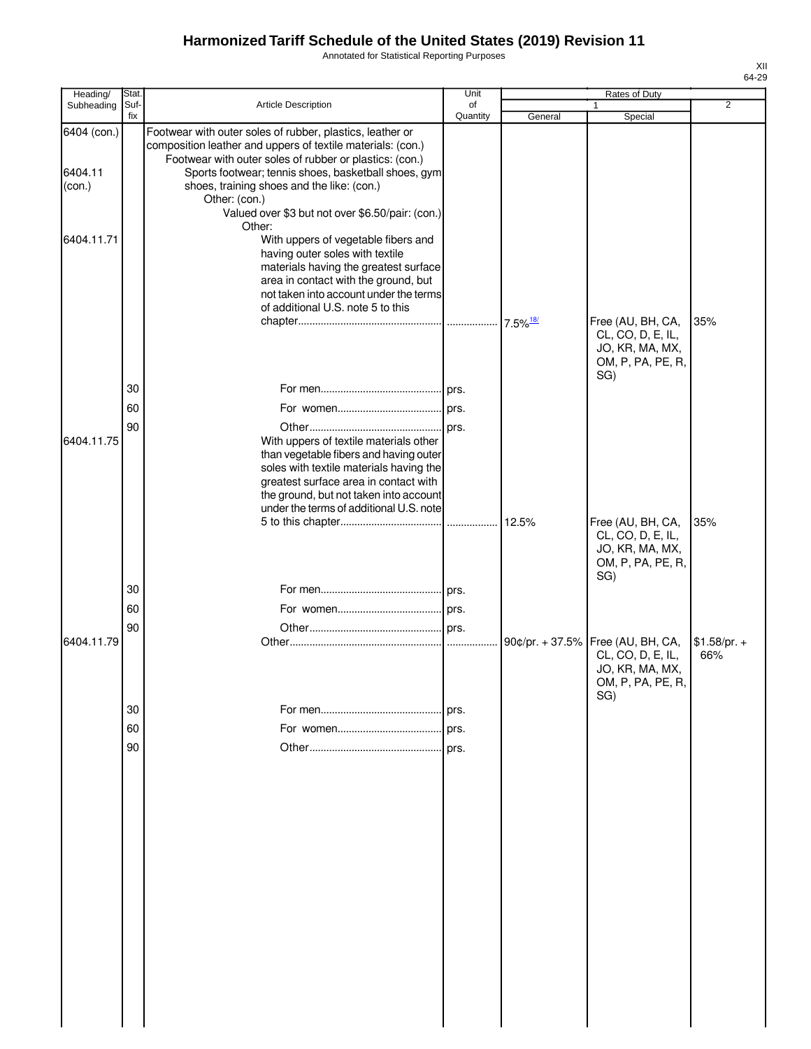Annotated for Statistical Reporting Purposes

| Heading/                         | Stat.       |                                                                                                                                                                                                                                                                                                                                                                          | Unit           |         | Rates of Duty                                                                                         |                      |
|----------------------------------|-------------|--------------------------------------------------------------------------------------------------------------------------------------------------------------------------------------------------------------------------------------------------------------------------------------------------------------------------------------------------------------------------|----------------|---------|-------------------------------------------------------------------------------------------------------|----------------------|
| Subheading                       | Suf-<br>fix | Article Description                                                                                                                                                                                                                                                                                                                                                      | of<br>Quantity | General | 1<br>Special                                                                                          | $\overline{2}$       |
| 6404 (con.)<br>6404.11<br>(con.) |             | Footwear with outer soles of rubber, plastics, leather or<br>composition leather and uppers of textile materials: (con.)<br>Footwear with outer soles of rubber or plastics: (con.)<br>Sports footwear; tennis shoes, basketball shoes, gym<br>shoes, training shoes and the like: (con.)<br>Other: (con.)<br>Valued over \$3 but not over \$6.50/pair: (con.)<br>Other: |                |         |                                                                                                       |                      |
| 6404.11.71                       |             | With uppers of vegetable fibers and<br>having outer soles with textile<br>materials having the greatest surface<br>area in contact with the ground, but<br>not taken into account under the terms<br>of additional U.S. note 5 to this                                                                                                                                   |                |         | Free (AU, BH, CA,<br>CL, CO, D, E, IL,<br>JO, KR, MA, MX,<br>OM, P, PA, PE, R,                        | 35%                  |
|                                  |             |                                                                                                                                                                                                                                                                                                                                                                          |                |         | SG)                                                                                                   |                      |
|                                  | 30          |                                                                                                                                                                                                                                                                                                                                                                          |                |         |                                                                                                       |                      |
|                                  | 60          |                                                                                                                                                                                                                                                                                                                                                                          |                |         |                                                                                                       |                      |
| 6404.11.75                       | 90          | With uppers of textile materials other<br>than vegetable fibers and having outer<br>soles with textile materials having the<br>greatest surface area in contact with<br>the ground, but not taken into account<br>under the terms of additional U.S. note                                                                                                                |                |         |                                                                                                       |                      |
|                                  |             |                                                                                                                                                                                                                                                                                                                                                                          |                |         | Free (AU, BH, CA,<br>CL, CO, D, E, IL,<br>JO, KR, MA, MX,<br>OM, P, PA, PE, R,<br>SG)                 | 35%                  |
|                                  | 30          |                                                                                                                                                                                                                                                                                                                                                                          |                |         |                                                                                                       |                      |
|                                  | 60          |                                                                                                                                                                                                                                                                                                                                                                          |                |         |                                                                                                       |                      |
| 6404.11.79                       | 90          |                                                                                                                                                                                                                                                                                                                                                                          |                |         | 90¢/pr. + 37.5% Free (AU, BH, CA,<br>CL, CO, D, E, IL,<br>JO, KR, MA, MX,<br>OM, P, PA, PE, R,<br>SG) | $$1.58/pr. +$<br>66% |
|                                  | 30          |                                                                                                                                                                                                                                                                                                                                                                          | prs.           |         |                                                                                                       |                      |
|                                  | 60          |                                                                                                                                                                                                                                                                                                                                                                          | prs.           |         |                                                                                                       |                      |
|                                  | 90          |                                                                                                                                                                                                                                                                                                                                                                          |                |         |                                                                                                       |                      |
|                                  |             |                                                                                                                                                                                                                                                                                                                                                                          |                |         |                                                                                                       |                      |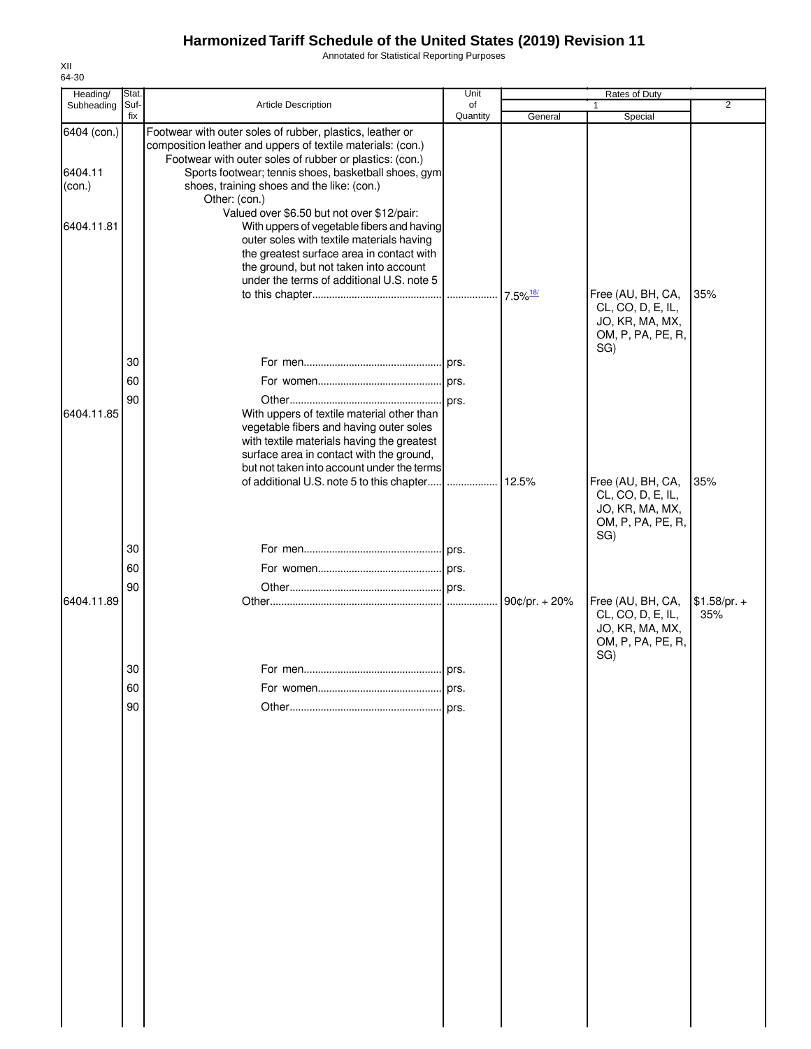Annotated for Statistical Reporting Purposes

| Special<br>Free (AU, BH, CA,<br>CL, CO, D, E, IL,                                     | 2                    |
|---------------------------------------------------------------------------------------|----------------------|
|                                                                                       |                      |
|                                                                                       |                      |
|                                                                                       |                      |
| JO, KR, MA, MX,                                                                       | 35%                  |
| OM, P, PA, PE, R,<br>SG)                                                              |                      |
|                                                                                       |                      |
|                                                                                       |                      |
|                                                                                       |                      |
|                                                                                       |                      |
|                                                                                       |                      |
| Free (AU, BH, CA,<br>CL, CO, D, E, IL,<br>JO, KR, MA, MX,<br>OM, P, PA, PE, R,<br>SG) | 35%                  |
|                                                                                       |                      |
|                                                                                       |                      |
|                                                                                       |                      |
| Free (AU, BH, CA,<br>CL, CO, D, E, IL,<br>JO, KR, MA, MX,<br>OM, P, PA, PE, R,<br>SG) | $$1.58/pr. +$<br>35% |
|                                                                                       |                      |
|                                                                                       |                      |
|                                                                                       |                      |
|                                                                                       |                      |
|                                                                                       |                      |
|                                                                                       |                      |
|                                                                                       |                      |
|                                                                                       |                      |
|                                                                                       |                      |

XII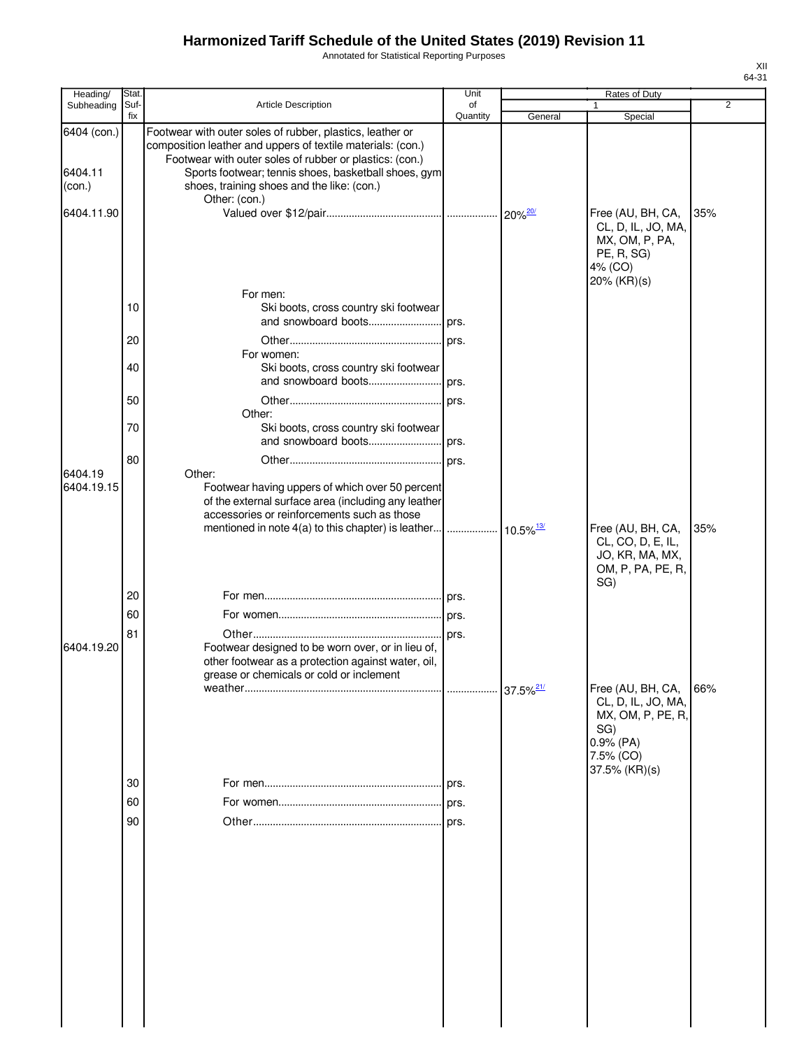Annotated for Statistical Reporting Purposes

| Heading/                         | Stat.       |                                                                                                                                                                                                                                                                                           | Unit           |                         | Rates of Duty                                                                                                    |                |
|----------------------------------|-------------|-------------------------------------------------------------------------------------------------------------------------------------------------------------------------------------------------------------------------------------------------------------------------------------------|----------------|-------------------------|------------------------------------------------------------------------------------------------------------------|----------------|
| Subheading                       | Suf-<br>fix | <b>Article Description</b>                                                                                                                                                                                                                                                                | of<br>Quantity | General                 | Special                                                                                                          | $\overline{2}$ |
| 6404 (con.)<br>6404.11<br>(con.) |             | Footwear with outer soles of rubber, plastics, leather or<br>composition leather and uppers of textile materials: (con.)<br>Footwear with outer soles of rubber or plastics: (con.)<br>Sports footwear; tennis shoes, basketball shoes, gym<br>shoes, training shoes and the like: (con.) |                |                         |                                                                                                                  |                |
| 6404.11.90                       |             | Other: (con.)                                                                                                                                                                                                                                                                             |                |                         | Free (AU, BH, CA,<br>CL, D, IL, JO, MA,<br>MX, OM, P, PA,<br>PE, R, SG)<br>4% (CO)<br>20% (KR)(s)                | 35%            |
|                                  | 10          | For men:<br>Ski boots, cross country ski footwear                                                                                                                                                                                                                                         |                |                         |                                                                                                                  |                |
|                                  | 20          | For women:                                                                                                                                                                                                                                                                                |                |                         |                                                                                                                  |                |
|                                  | 40          | Ski boots, cross country ski footwear                                                                                                                                                                                                                                                     |                |                         |                                                                                                                  |                |
|                                  | 50<br>70    | Other:<br>Ski boots, cross country ski footwear                                                                                                                                                                                                                                           | prs.           |                         |                                                                                                                  |                |
|                                  | 80          | and snowboard boots                                                                                                                                                                                                                                                                       | prs.           |                         |                                                                                                                  |                |
| 6404.19<br>6404.19.15            |             | Other:<br>Footwear having uppers of which over 50 percent<br>of the external surface area (including any leather<br>accessories or reinforcements such as those                                                                                                                           |                |                         | Free (AU, BH, CA,<br>CL, CO, D, E, IL,                                                                           | 35%            |
|                                  |             |                                                                                                                                                                                                                                                                                           |                |                         | JO, KR, MA, MX,<br>OM, P, PA, PE, R,<br>SG)                                                                      |                |
|                                  | 20          |                                                                                                                                                                                                                                                                                           |                |                         |                                                                                                                  |                |
|                                  | 60          |                                                                                                                                                                                                                                                                                           |                |                         |                                                                                                                  |                |
| 6404.19.20                       | 81          | Footwear designed to be worn over, or in lieu of,<br>other footwear as a protection against water, oil,<br>grease or chemicals or cold or inclement                                                                                                                                       |                |                         |                                                                                                                  |                |
|                                  |             |                                                                                                                                                                                                                                                                                           |                | $37.5\%$ <sup>21/</sup> | Free (AU, BH, CA,<br>CL, D, IL, JO, MA,<br>MX, OM, P, PE, R,<br>SG)<br>$0.9%$ (PA)<br>7.5% (CO)<br>37.5% (KR)(s) | 66%            |
|                                  | 30          |                                                                                                                                                                                                                                                                                           | prs.           |                         |                                                                                                                  |                |
|                                  | 60          |                                                                                                                                                                                                                                                                                           |                |                         |                                                                                                                  |                |
|                                  | 90          |                                                                                                                                                                                                                                                                                           | l prs.         |                         |                                                                                                                  |                |
|                                  |             |                                                                                                                                                                                                                                                                                           |                |                         |                                                                                                                  |                |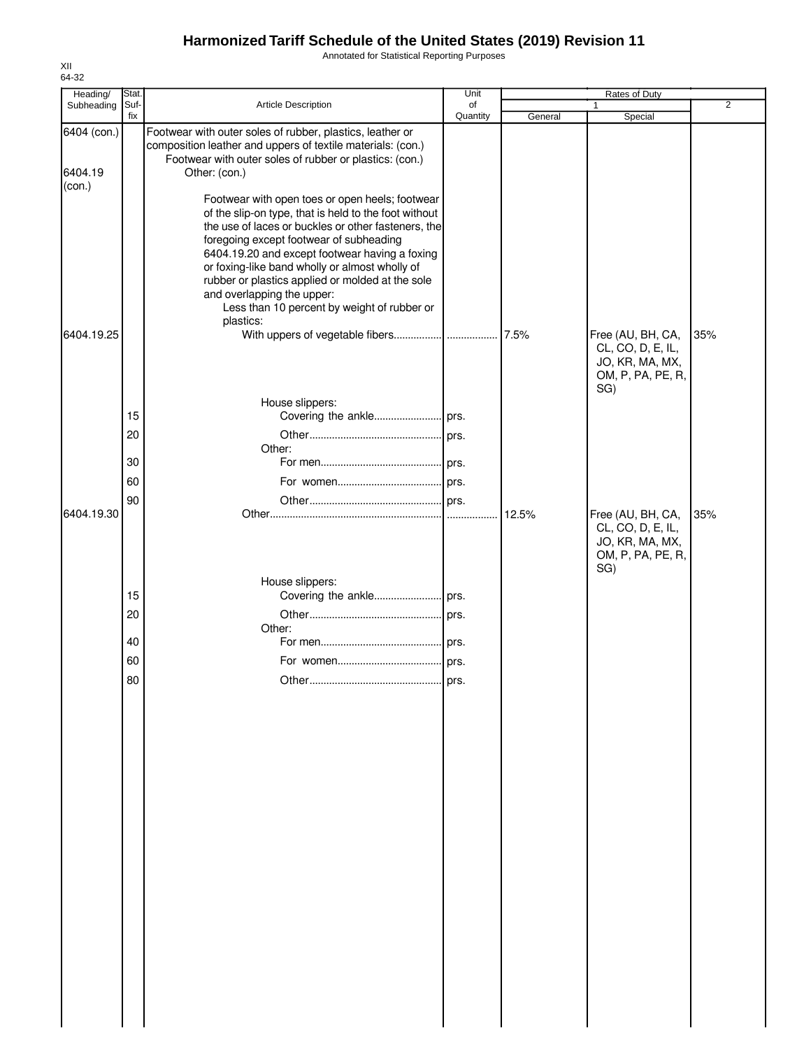Annotated for Statistical Reporting Purposes

| Heading/                         | Stat.       |                                                                                                                                                                                                                                                                                                                                                                                                                                                                                                                                                                                                                                                                      | Unit           |         | <b>Rates of Duty</b>                                                                  |                |
|----------------------------------|-------------|----------------------------------------------------------------------------------------------------------------------------------------------------------------------------------------------------------------------------------------------------------------------------------------------------------------------------------------------------------------------------------------------------------------------------------------------------------------------------------------------------------------------------------------------------------------------------------------------------------------------------------------------------------------------|----------------|---------|---------------------------------------------------------------------------------------|----------------|
| Subheading                       | Suf-<br>fix | Article Description                                                                                                                                                                                                                                                                                                                                                                                                                                                                                                                                                                                                                                                  | of<br>Quantity | General | 1<br>Special                                                                          | $\overline{2}$ |
| 6404 (con.)<br>6404.19<br>(con.) |             | Footwear with outer soles of rubber, plastics, leather or<br>composition leather and uppers of textile materials: (con.)<br>Footwear with outer soles of rubber or plastics: (con.)<br>Other: (con.)<br>Footwear with open toes or open heels; footwear<br>of the slip-on type, that is held to the foot without<br>the use of laces or buckles or other fasteners, the<br>foregoing except footwear of subheading<br>6404.19.20 and except footwear having a foxing<br>or foxing-like band wholly or almost wholly of<br>rubber or plastics applied or molded at the sole<br>and overlapping the upper:<br>Less than 10 percent by weight of rubber or<br>plastics: |                | 7.5%    |                                                                                       |                |
| 6404.19.25                       |             | House slippers:                                                                                                                                                                                                                                                                                                                                                                                                                                                                                                                                                                                                                                                      |                |         | Free (AU, BH, CA,<br>CL, CO, D, E, IL,<br>JO, KR, MA, MX,<br>OM, P, PA, PE, R,<br>SG) | 35%            |
|                                  | 15          |                                                                                                                                                                                                                                                                                                                                                                                                                                                                                                                                                                                                                                                                      |                |         |                                                                                       |                |
|                                  | 20          |                                                                                                                                                                                                                                                                                                                                                                                                                                                                                                                                                                                                                                                                      | prs.           |         |                                                                                       |                |
|                                  | 30          | Other:                                                                                                                                                                                                                                                                                                                                                                                                                                                                                                                                                                                                                                                               |                |         |                                                                                       |                |
|                                  | 60          |                                                                                                                                                                                                                                                                                                                                                                                                                                                                                                                                                                                                                                                                      |                |         |                                                                                       |                |
|                                  | 90          |                                                                                                                                                                                                                                                                                                                                                                                                                                                                                                                                                                                                                                                                      |                |         |                                                                                       |                |
| 6404.19.30                       |             |                                                                                                                                                                                                                                                                                                                                                                                                                                                                                                                                                                                                                                                                      |                | 12.5%   | Free (AU, BH, CA,<br>CL, CO, D, E, IL,<br>JO, KR, MA, MX,<br>OM, P, PA, PE, R,<br>SG) | 35%            |
|                                  |             | House slippers:                                                                                                                                                                                                                                                                                                                                                                                                                                                                                                                                                                                                                                                      |                |         |                                                                                       |                |
|                                  | 15          |                                                                                                                                                                                                                                                                                                                                                                                                                                                                                                                                                                                                                                                                      |                |         |                                                                                       |                |
|                                  | 20          | Other:                                                                                                                                                                                                                                                                                                                                                                                                                                                                                                                                                                                                                                                               |                |         |                                                                                       |                |
|                                  | 40          |                                                                                                                                                                                                                                                                                                                                                                                                                                                                                                                                                                                                                                                                      |                |         |                                                                                       |                |
|                                  | 60          |                                                                                                                                                                                                                                                                                                                                                                                                                                                                                                                                                                                                                                                                      |                |         |                                                                                       |                |
|                                  | 80          |                                                                                                                                                                                                                                                                                                                                                                                                                                                                                                                                                                                                                                                                      |                |         |                                                                                       |                |
|                                  |             |                                                                                                                                                                                                                                                                                                                                                                                                                                                                                                                                                                                                                                                                      |                |         |                                                                                       |                |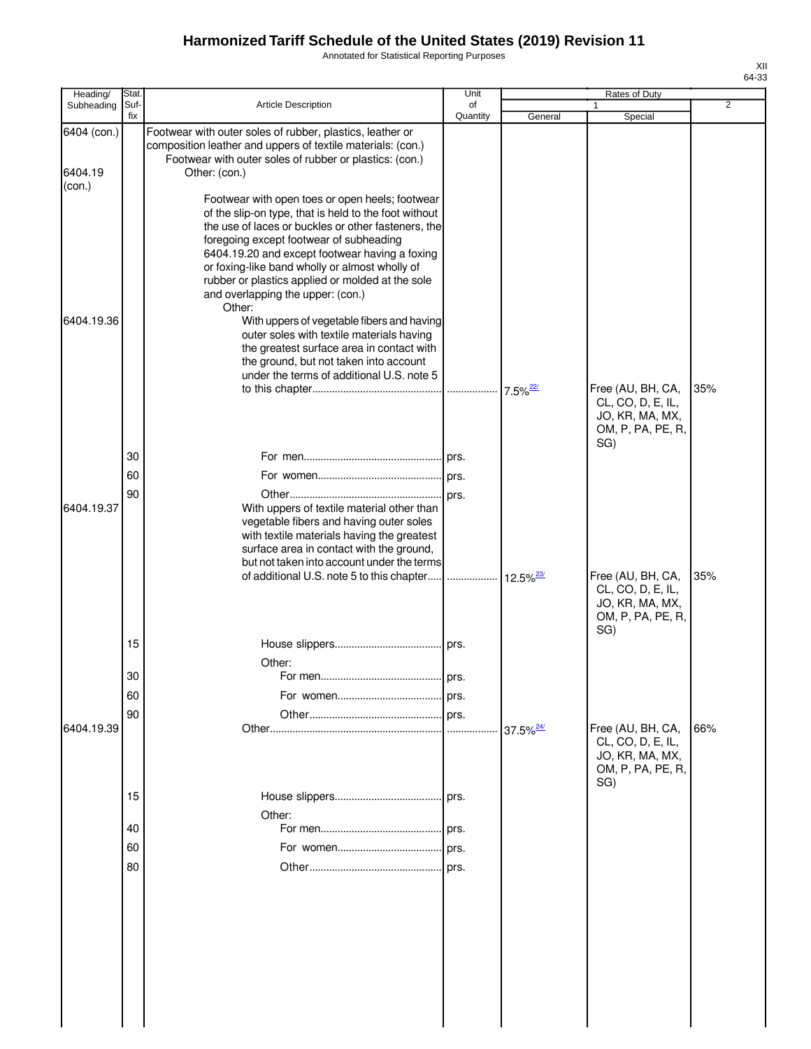Annotated for Statistical Reporting Purposes

| Heading/          | Stat.       |                                                                                                                                                                                                                                                                                                                                                                                                                                                                                                                                                                                                     | Unit           |                         | Rates of Duty                                                                         |                |
|-------------------|-------------|-----------------------------------------------------------------------------------------------------------------------------------------------------------------------------------------------------------------------------------------------------------------------------------------------------------------------------------------------------------------------------------------------------------------------------------------------------------------------------------------------------------------------------------------------------------------------------------------------------|----------------|-------------------------|---------------------------------------------------------------------------------------|----------------|
| Subheading        | Suf-<br>fix | Article Description                                                                                                                                                                                                                                                                                                                                                                                                                                                                                                                                                                                 | of<br>Quantity | General                 | 1<br>Special                                                                          | $\overline{2}$ |
| 6404 (con.)       |             | Footwear with outer soles of rubber, plastics, leather or<br>composition leather and uppers of textile materials: (con.)<br>Footwear with outer soles of rubber or plastics: (con.)                                                                                                                                                                                                                                                                                                                                                                                                                 |                |                         |                                                                                       |                |
| 6404.19<br>(con.) |             | Other: (con.)                                                                                                                                                                                                                                                                                                                                                                                                                                                                                                                                                                                       |                |                         |                                                                                       |                |
| 6404.19.36        |             | Footwear with open toes or open heels; footwear<br>of the slip-on type, that is held to the foot without<br>the use of laces or buckles or other fasteners, the<br>foregoing except footwear of subheading<br>6404.19.20 and except footwear having a foxing<br>or foxing-like band wholly or almost wholly of<br>rubber or plastics applied or molded at the sole<br>and overlapping the upper: (con.)<br>Other:<br>With uppers of vegetable fibers and having<br>outer soles with textile materials having<br>the greatest surface area in contact with<br>the ground, but not taken into account |                |                         |                                                                                       |                |
|                   |             | under the terms of additional U.S. note 5                                                                                                                                                                                                                                                                                                                                                                                                                                                                                                                                                           |                |                         |                                                                                       |                |
|                   |             |                                                                                                                                                                                                                                                                                                                                                                                                                                                                                                                                                                                                     |                | $7.5\%$ <sup>22/</sup>  | Free (AU, BH, CA,<br>CL, CO, D, E, IL,<br>JO, KR, MA, MX,<br>OM, P, PA, PE, R,<br>SG) | 35%            |
|                   | 30          |                                                                                                                                                                                                                                                                                                                                                                                                                                                                                                                                                                                                     |                |                         |                                                                                       |                |
|                   | 60          |                                                                                                                                                                                                                                                                                                                                                                                                                                                                                                                                                                                                     |                |                         |                                                                                       |                |
|                   | 90          |                                                                                                                                                                                                                                                                                                                                                                                                                                                                                                                                                                                                     |                |                         |                                                                                       |                |
| 6404.19.37        |             | With uppers of textile material other than<br>vegetable fibers and having outer soles<br>with textile materials having the greatest<br>surface area in contact with the ground,<br>but not taken into account under the terms                                                                                                                                                                                                                                                                                                                                                                       |                |                         |                                                                                       |                |
|                   |             |                                                                                                                                                                                                                                                                                                                                                                                                                                                                                                                                                                                                     |                | $12.5\%$ <sup>23/</sup> | Free (AU, BH, CA,<br>CL, CO, D, E, IL,<br>JO, KR, MA, MX,<br>OM, P, PA, PE, R,        | 35%            |
|                   | 15          |                                                                                                                                                                                                                                                                                                                                                                                                                                                                                                                                                                                                     |                |                         | SG)                                                                                   |                |
|                   |             | Other:                                                                                                                                                                                                                                                                                                                                                                                                                                                                                                                                                                                              |                |                         |                                                                                       |                |
|                   | 30          |                                                                                                                                                                                                                                                                                                                                                                                                                                                                                                                                                                                                     | prs.           |                         |                                                                                       |                |
|                   | 60          |                                                                                                                                                                                                                                                                                                                                                                                                                                                                                                                                                                                                     | prs.           |                         |                                                                                       |                |
|                   | 90          |                                                                                                                                                                                                                                                                                                                                                                                                                                                                                                                                                                                                     | prs.           |                         |                                                                                       |                |
| 6404.19.39        |             |                                                                                                                                                                                                                                                                                                                                                                                                                                                                                                                                                                                                     | .              | $37.5\%$ <sup>24/</sup> | Free (AU, BH, CA,<br>CL, CO, D, E, IL,<br>JO, KR, MA, MX,<br>OM, P, PA, PE, R,        | 66%            |
|                   | 15          | Other:                                                                                                                                                                                                                                                                                                                                                                                                                                                                                                                                                                                              |                |                         | SG)                                                                                   |                |
|                   | 40          |                                                                                                                                                                                                                                                                                                                                                                                                                                                                                                                                                                                                     |                |                         |                                                                                       |                |
|                   | 60          |                                                                                                                                                                                                                                                                                                                                                                                                                                                                                                                                                                                                     |                |                         |                                                                                       |                |
|                   | 80          |                                                                                                                                                                                                                                                                                                                                                                                                                                                                                                                                                                                                     |                |                         |                                                                                       |                |
|                   |             |                                                                                                                                                                                                                                                                                                                                                                                                                                                                                                                                                                                                     |                |                         |                                                                                       |                |
|                   |             |                                                                                                                                                                                                                                                                                                                                                                                                                                                                                                                                                                                                     |                |                         |                                                                                       |                |
|                   |             |                                                                                                                                                                                                                                                                                                                                                                                                                                                                                                                                                                                                     |                |                         |                                                                                       |                |
|                   |             |                                                                                                                                                                                                                                                                                                                                                                                                                                                                                                                                                                                                     |                |                         |                                                                                       |                |
|                   |             |                                                                                                                                                                                                                                                                                                                                                                                                                                                                                                                                                                                                     |                |                         |                                                                                       |                |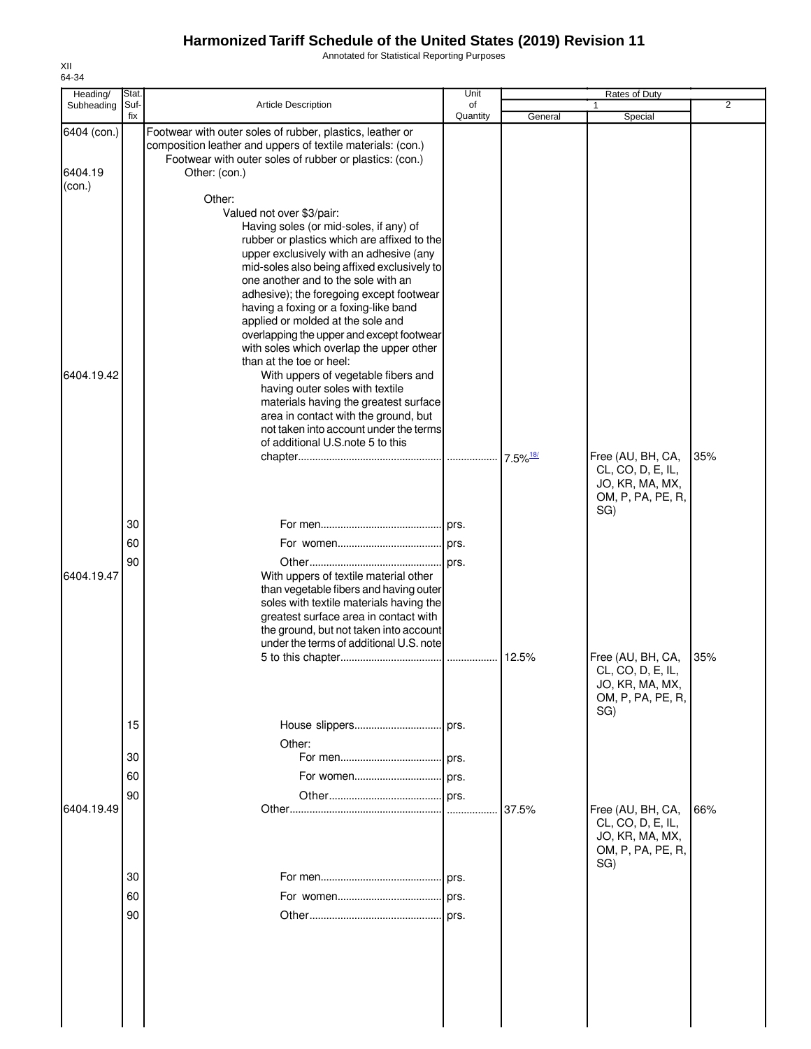Annotated for Statistical Reporting Purposes

| Heading/                         | Stat.                |                                                                                                                                                                                                                                                                                                                                                                                                                                                                                                                                                                                                                                                                                                                                                       | Unit           |         | Rates of Duty                                                                         |                |
|----------------------------------|----------------------|-------------------------------------------------------------------------------------------------------------------------------------------------------------------------------------------------------------------------------------------------------------------------------------------------------------------------------------------------------------------------------------------------------------------------------------------------------------------------------------------------------------------------------------------------------------------------------------------------------------------------------------------------------------------------------------------------------------------------------------------------------|----------------|---------|---------------------------------------------------------------------------------------|----------------|
| Subheading                       | Suf-<br>fix          | <b>Article Description</b>                                                                                                                                                                                                                                                                                                                                                                                                                                                                                                                                                                                                                                                                                                                            | of<br>Quantity | General | 1<br>Special                                                                          | $\overline{2}$ |
| 6404 (con.)<br>6404.19<br>(con.) |                      | Footwear with outer soles of rubber, plastics, leather or<br>composition leather and uppers of textile materials: (con.)<br>Footwear with outer soles of rubber or plastics: (con.)<br>Other: (con.)                                                                                                                                                                                                                                                                                                                                                                                                                                                                                                                                                  |                |         |                                                                                       |                |
| 6404.19.42                       |                      | Other:<br>Valued not over \$3/pair:<br>Having soles (or mid-soles, if any) of<br>rubber or plastics which are affixed to the<br>upper exclusively with an adhesive (any<br>mid-soles also being affixed exclusively to<br>one another and to the sole with an<br>adhesive); the foregoing except footwear<br>having a foxing or a foxing-like band<br>applied or molded at the sole and<br>overlapping the upper and except footwear<br>with soles which overlap the upper other<br>than at the toe or heel:<br>With uppers of vegetable fibers and<br>having outer soles with textile<br>materials having the greatest surface<br>area in contact with the ground, but<br>not taken into account under the terms<br>of additional U.S.note 5 to this |                |         | Free (AU, BH, CA,                                                                     | 35%            |
|                                  | 30                   |                                                                                                                                                                                                                                                                                                                                                                                                                                                                                                                                                                                                                                                                                                                                                       |                |         | CL, CO, D, E, IL,<br>JO, KR, MA, MX,<br>OM, P, PA, PE, R,<br>SG)                      |                |
| 6404.19.47                       | 60<br>90             | With uppers of textile material other<br>than vegetable fibers and having outer<br>soles with textile materials having the<br>greatest surface area in contact with<br>the ground, but not taken into account<br>under the terms of additional U.S. note                                                                                                                                                                                                                                                                                                                                                                                                                                                                                              |                |         |                                                                                       |                |
|                                  |                      |                                                                                                                                                                                                                                                                                                                                                                                                                                                                                                                                                                                                                                                                                                                                                       |                | 12.5%   | Free (AU, BH, CA,<br>CL, CO, D, E, IL,<br>JO, KR, MA, MX,<br>OM, P, PA, PE, R,<br>SG) | 35%            |
|                                  | 15<br>30<br>60<br>90 | Other:                                                                                                                                                                                                                                                                                                                                                                                                                                                                                                                                                                                                                                                                                                                                                | prs.           |         |                                                                                       |                |
| 6404.19.49                       |                      |                                                                                                                                                                                                                                                                                                                                                                                                                                                                                                                                                                                                                                                                                                                                                       |                | 37.5%   | Free (AU, BH, CA,<br>CL, CO, D, E, IL,<br>JO, KR, MA, MX,<br>OM, P, PA, PE, R,<br>SG) | 66%            |
|                                  | 30                   |                                                                                                                                                                                                                                                                                                                                                                                                                                                                                                                                                                                                                                                                                                                                                       |                |         |                                                                                       |                |
|                                  | 60                   |                                                                                                                                                                                                                                                                                                                                                                                                                                                                                                                                                                                                                                                                                                                                                       |                |         |                                                                                       |                |
|                                  | 90                   |                                                                                                                                                                                                                                                                                                                                                                                                                                                                                                                                                                                                                                                                                                                                                       |                |         |                                                                                       |                |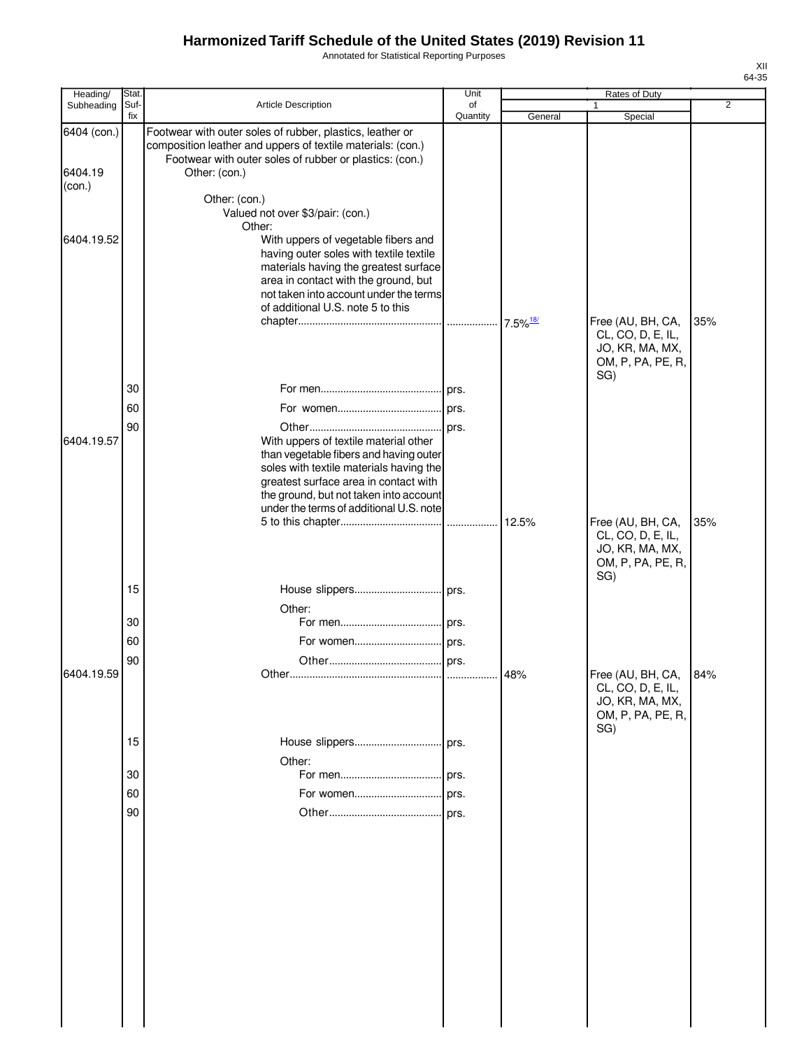Annotated for Statistical Reporting Purposes

| Heading/    | Stat.       |                                                                                                                                                                                     | Unit           |                        | Rates of Duty                                             |                |
|-------------|-------------|-------------------------------------------------------------------------------------------------------------------------------------------------------------------------------------|----------------|------------------------|-----------------------------------------------------------|----------------|
| Subheading  | Suf-<br>fix | Article Description                                                                                                                                                                 | of<br>Quantity | General                | Special                                                   | $\overline{2}$ |
| 6404 (con.) |             | Footwear with outer soles of rubber, plastics, leather or<br>composition leather and uppers of textile materials: (con.)<br>Footwear with outer soles of rubber or plastics: (con.) |                |                        |                                                           |                |
| 6404.19     |             | Other: (con.)                                                                                                                                                                       |                |                        |                                                           |                |
| (con.)      |             | Other: (con.)                                                                                                                                                                       |                |                        |                                                           |                |
|             |             | Valued not over \$3/pair: (con.)                                                                                                                                                    |                |                        |                                                           |                |
|             |             | Other:                                                                                                                                                                              |                |                        |                                                           |                |
| 6404.19.52  |             | With uppers of vegetable fibers and<br>having outer soles with textile textile                                                                                                      |                |                        |                                                           |                |
|             |             | materials having the greatest surface                                                                                                                                               |                |                        |                                                           |                |
|             |             | area in contact with the ground, but<br>not taken into account under the terms                                                                                                      |                |                        |                                                           |                |
|             |             | of additional U.S. note 5 to this                                                                                                                                                   |                |                        |                                                           |                |
|             |             |                                                                                                                                                                                     |                | $7.5\%$ <sup>18/</sup> | Free (AU, BH, CA,                                         | 35%            |
|             |             |                                                                                                                                                                                     |                |                        | CL, CO, D, E, IL,<br>JO, KR, MA, MX,                      |                |
|             |             |                                                                                                                                                                                     |                |                        | OM, P, PA, PE, R,                                         |                |
|             | 30          |                                                                                                                                                                                     |                |                        | SG)                                                       |                |
|             | 60          |                                                                                                                                                                                     |                |                        |                                                           |                |
|             | 90          |                                                                                                                                                                                     |                |                        |                                                           |                |
| 6404.19.57  |             | With uppers of textile material other                                                                                                                                               |                |                        |                                                           |                |
|             |             | than vegetable fibers and having outer                                                                                                                                              |                |                        |                                                           |                |
|             |             | soles with textile materials having the<br>greatest surface area in contact with                                                                                                    |                |                        |                                                           |                |
|             |             | the ground, but not taken into account                                                                                                                                              |                |                        |                                                           |                |
|             |             | under the terms of additional U.S. note                                                                                                                                             |                | 12.5%                  |                                                           | 35%            |
|             |             |                                                                                                                                                                                     |                |                        | Free (AU, BH, CA,<br>CL, CO, D, E, IL,<br>JO, KR, MA, MX, |                |
|             |             |                                                                                                                                                                                     |                |                        | OM, P, PA, PE, R,                                         |                |
|             |             |                                                                                                                                                                                     |                |                        | SG)                                                       |                |
|             | 15          |                                                                                                                                                                                     |                |                        |                                                           |                |
|             | 30          | Other:                                                                                                                                                                              |                |                        |                                                           |                |
|             | 60          |                                                                                                                                                                                     |                |                        |                                                           |                |
|             | 90          |                                                                                                                                                                                     |                |                        |                                                           |                |
| 6404.19.59  |             |                                                                                                                                                                                     |                | 48%                    | Free (AU, BH, CA,                                         | 84%            |
|             |             |                                                                                                                                                                                     |                |                        | CL, CO, D, E, IL,<br>JO, KR, MA, MX,                      |                |
|             |             |                                                                                                                                                                                     |                |                        | OM, P, PA, PE, R,                                         |                |
|             | 15          | House slippers                                                                                                                                                                      |                |                        | SG)                                                       |                |
|             |             | Other:                                                                                                                                                                              | prs.           |                        |                                                           |                |
|             | 30          |                                                                                                                                                                                     | prs.           |                        |                                                           |                |
|             | 60          | For women                                                                                                                                                                           | prs.           |                        |                                                           |                |
|             | 90          |                                                                                                                                                                                     | prs.           |                        |                                                           |                |
|             |             |                                                                                                                                                                                     |                |                        |                                                           |                |
|             |             |                                                                                                                                                                                     |                |                        |                                                           |                |
|             |             |                                                                                                                                                                                     |                |                        |                                                           |                |
|             |             |                                                                                                                                                                                     |                |                        |                                                           |                |
|             |             |                                                                                                                                                                                     |                |                        |                                                           |                |
|             |             |                                                                                                                                                                                     |                |                        |                                                           |                |
|             |             |                                                                                                                                                                                     |                |                        |                                                           |                |
|             |             |                                                                                                                                                                                     |                |                        |                                                           |                |
|             |             |                                                                                                                                                                                     |                |                        |                                                           |                |
|             |             |                                                                                                                                                                                     |                |                        |                                                           |                |
|             |             |                                                                                                                                                                                     |                |                        |                                                           |                |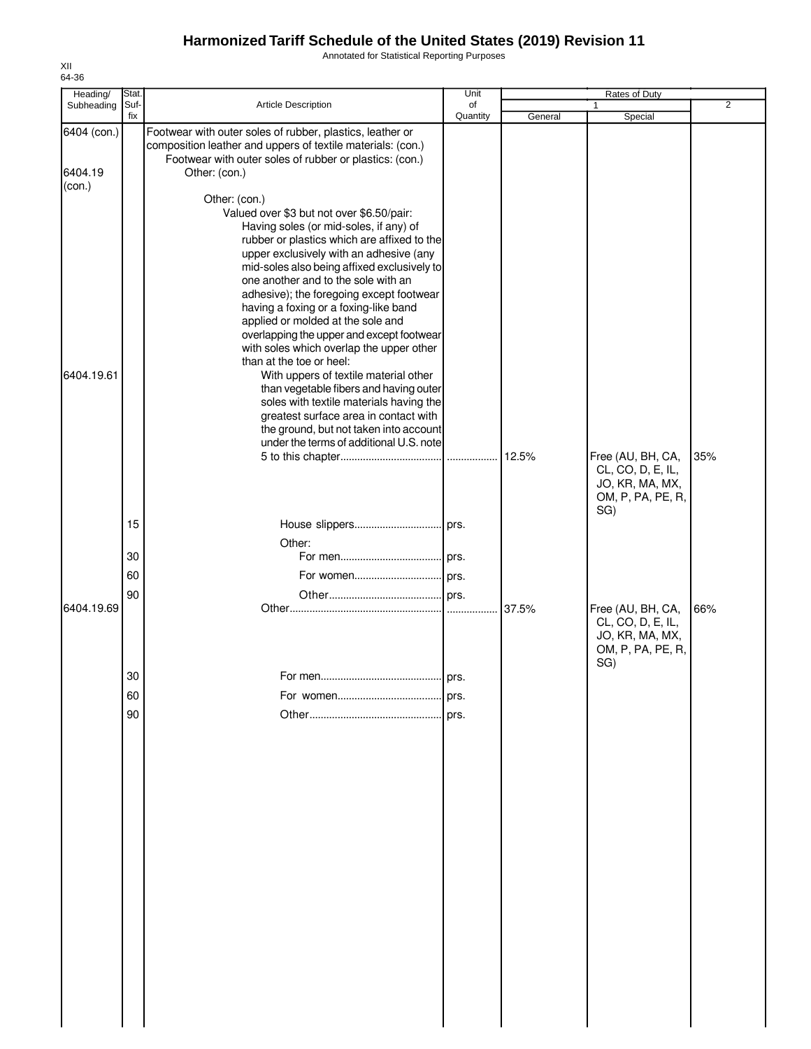Annotated for Statistical Reporting Purposes

| Heading/<br>Subheading | Stat.<br>Suf- | <b>Article Description</b>                                                                                                                                                          | Unit<br>of |         | Rates of Duty<br>1                     | $\overline{2}$ |
|------------------------|---------------|-------------------------------------------------------------------------------------------------------------------------------------------------------------------------------------|------------|---------|----------------------------------------|----------------|
|                        | fix           |                                                                                                                                                                                     | Quantity   | General | Special                                |                |
| 6404 (con.)            |               | Footwear with outer soles of rubber, plastics, leather or<br>composition leather and uppers of textile materials: (con.)<br>Footwear with outer soles of rubber or plastics: (con.) |            |         |                                        |                |
| 6404.19                |               | Other: (con.)                                                                                                                                                                       |            |         |                                        |                |
| (con.)                 |               |                                                                                                                                                                                     |            |         |                                        |                |
|                        |               | Other: (con.)                                                                                                                                                                       |            |         |                                        |                |
|                        |               | Valued over \$3 but not over \$6.50/pair:<br>Having soles (or mid-soles, if any) of                                                                                                 |            |         |                                        |                |
|                        |               | rubber or plastics which are affixed to the                                                                                                                                         |            |         |                                        |                |
|                        |               | upper exclusively with an adhesive (any                                                                                                                                             |            |         |                                        |                |
|                        |               | mid-soles also being affixed exclusively to                                                                                                                                         |            |         |                                        |                |
|                        |               | one another and to the sole with an<br>adhesive); the foregoing except footwear                                                                                                     |            |         |                                        |                |
|                        |               | having a foxing or a foxing-like band                                                                                                                                               |            |         |                                        |                |
|                        |               | applied or molded at the sole and                                                                                                                                                   |            |         |                                        |                |
|                        |               | overlapping the upper and except footwear                                                                                                                                           |            |         |                                        |                |
|                        |               | with soles which overlap the upper other<br>than at the toe or heel:                                                                                                                |            |         |                                        |                |
| 6404.19.61             |               | With uppers of textile material other                                                                                                                                               |            |         |                                        |                |
|                        |               | than vegetable fibers and having outer                                                                                                                                              |            |         |                                        |                |
|                        |               | soles with textile materials having the                                                                                                                                             |            |         |                                        |                |
|                        |               | greatest surface area in contact with<br>the ground, but not taken into account                                                                                                     |            |         |                                        |                |
|                        |               | under the terms of additional U.S. note                                                                                                                                             |            |         |                                        |                |
|                        |               |                                                                                                                                                                                     |            | 12.5%   | Free (AU, BH, CA,                      | 35%            |
|                        |               |                                                                                                                                                                                     |            |         | CL, CO, D, E, IL,<br>JO, KR, MA, MX,   |                |
|                        |               |                                                                                                                                                                                     |            |         | OM, P, PA, PE, R,                      |                |
|                        |               |                                                                                                                                                                                     |            |         | SG)                                    |                |
|                        | 15            |                                                                                                                                                                                     |            |         |                                        |                |
|                        |               | Other:                                                                                                                                                                              |            |         |                                        |                |
|                        | 30            |                                                                                                                                                                                     |            |         |                                        |                |
|                        | 60            | For women prs.                                                                                                                                                                      |            |         |                                        |                |
|                        | 90            |                                                                                                                                                                                     |            |         |                                        |                |
| 6404.19.69             |               |                                                                                                                                                                                     |            | 37.5%   | Free (AU, BH, CA,<br>CL, CO, D, E, IL, | 66%            |
|                        |               |                                                                                                                                                                                     |            |         | JO, KR, MA, MX,                        |                |
|                        |               |                                                                                                                                                                                     |            |         | OM, P, PA, PE, R,                      |                |
|                        |               |                                                                                                                                                                                     |            |         | SG)                                    |                |
|                        | 30            |                                                                                                                                                                                     | prs.       |         |                                        |                |
|                        | 60            |                                                                                                                                                                                     | prs.       |         |                                        |                |
|                        | 90            |                                                                                                                                                                                     |            |         |                                        |                |
|                        |               |                                                                                                                                                                                     |            |         |                                        |                |
|                        |               |                                                                                                                                                                                     |            |         |                                        |                |
|                        |               |                                                                                                                                                                                     |            |         |                                        |                |
|                        |               |                                                                                                                                                                                     |            |         |                                        |                |
|                        |               |                                                                                                                                                                                     |            |         |                                        |                |
|                        |               |                                                                                                                                                                                     |            |         |                                        |                |
|                        |               |                                                                                                                                                                                     |            |         |                                        |                |
|                        |               |                                                                                                                                                                                     |            |         |                                        |                |
|                        |               |                                                                                                                                                                                     |            |         |                                        |                |
|                        |               |                                                                                                                                                                                     |            |         |                                        |                |
|                        |               |                                                                                                                                                                                     |            |         |                                        |                |
|                        |               |                                                                                                                                                                                     |            |         |                                        |                |
|                        |               |                                                                                                                                                                                     |            |         |                                        |                |
|                        |               |                                                                                                                                                                                     |            |         |                                        |                |
|                        |               |                                                                                                                                                                                     |            |         |                                        |                |
|                        |               |                                                                                                                                                                                     |            |         |                                        |                |
|                        |               |                                                                                                                                                                                     |            |         |                                        |                |
|                        |               |                                                                                                                                                                                     |            |         |                                        |                |
|                        |               |                                                                                                                                                                                     |            |         |                                        |                |

XII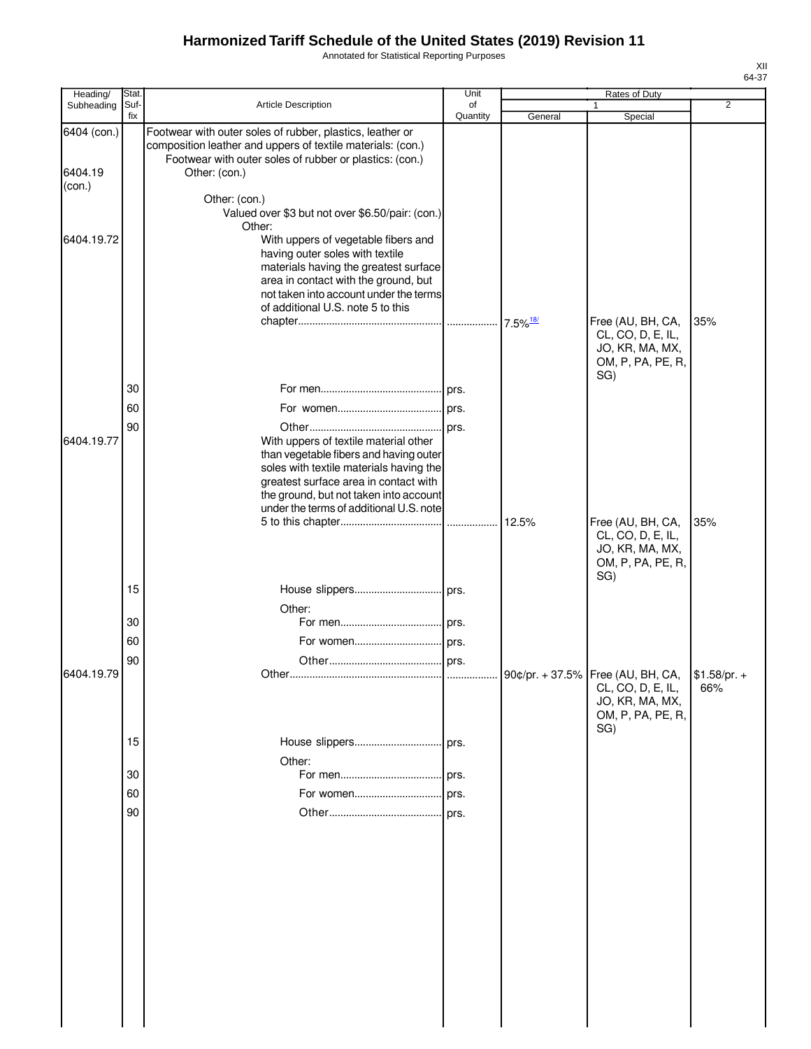Annotated for Statistical Reporting Purposes

| Heading/               | Stat.       |                                                                                                                                                                                                                                                          | Unit           |         | Rates of Duty                                                                                               |                |
|------------------------|-------------|----------------------------------------------------------------------------------------------------------------------------------------------------------------------------------------------------------------------------------------------------------|----------------|---------|-------------------------------------------------------------------------------------------------------------|----------------|
| Subheading             | Suf-<br>fix | Article Description                                                                                                                                                                                                                                      | of<br>Quantity | General | $\mathbf{1}$<br>Special                                                                                     | $\overline{2}$ |
| 6404 (con.)<br>6404.19 |             | Footwear with outer soles of rubber, plastics, leather or<br>composition leather and uppers of textile materials: (con.)<br>Footwear with outer soles of rubber or plastics: (con.)<br>Other: (con.)                                                     |                |         |                                                                                                             |                |
| (con.)                 |             | Other: (con.)<br>Valued over \$3 but not over \$6.50/pair: (con.)                                                                                                                                                                                        |                |         |                                                                                                             |                |
| 6404.19.72             |             | Other:<br>With uppers of vegetable fibers and<br>having outer soles with textile<br>materials having the greatest surface<br>area in contact with the ground, but<br>not taken into account under the terms<br>of additional U.S. note 5 to this         |                |         | Free (AU, BH, CA,                                                                                           | 35%            |
|                        |             |                                                                                                                                                                                                                                                          |                |         | CL, CO, D, E, IL,<br>JO, KR, MA, MX,<br>OM, P, PA, PE, R,                                                   |                |
|                        | 30          |                                                                                                                                                                                                                                                          |                |         | SG)                                                                                                         |                |
|                        | 60          |                                                                                                                                                                                                                                                          |                |         |                                                                                                             |                |
|                        | 90          |                                                                                                                                                                                                                                                          |                |         |                                                                                                             |                |
| 6404.19.77             |             | With uppers of textile material other<br>than vegetable fibers and having outer<br>soles with textile materials having the<br>greatest surface area in contact with<br>the ground, but not taken into account<br>under the terms of additional U.S. note |                |         |                                                                                                             |                |
|                        |             |                                                                                                                                                                                                                                                          |                |         | Free (AU, BH, CA,<br>CL, CO, D, E, IL,<br>JO, KR, MA, MX,<br>OM, P, PA, PE, R,<br>SG)                       | 35%            |
|                        | 15          |                                                                                                                                                                                                                                                          |                |         |                                                                                                             |                |
|                        | 30          | Other:                                                                                                                                                                                                                                                   |                |         |                                                                                                             |                |
|                        | 60          |                                                                                                                                                                                                                                                          |                |         |                                                                                                             |                |
|                        | 90          |                                                                                                                                                                                                                                                          |                |         |                                                                                                             |                |
| 6404.19.79             |             |                                                                                                                                                                                                                                                          |                |         | 90¢/pr. + 37.5% Free (AU, BH, CA, \$1.58/pr. +<br>CL, CO, D, E, IL,<br>JO, KR, MA, MX,<br>OM, P, PA, PE, R, | 66%            |
|                        | 15          |                                                                                                                                                                                                                                                          |                |         | SG)                                                                                                         |                |
|                        |             | Other:                                                                                                                                                                                                                                                   |                |         |                                                                                                             |                |
|                        | 30<br>60    |                                                                                                                                                                                                                                                          |                |         |                                                                                                             |                |
|                        |             |                                                                                                                                                                                                                                                          |                |         |                                                                                                             |                |
|                        | 90          |                                                                                                                                                                                                                                                          |                |         |                                                                                                             |                |
|                        |             |                                                                                                                                                                                                                                                          |                |         |                                                                                                             |                |
|                        |             |                                                                                                                                                                                                                                                          |                |         |                                                                                                             |                |
|                        |             |                                                                                                                                                                                                                                                          |                |         |                                                                                                             |                |
|                        |             |                                                                                                                                                                                                                                                          |                |         |                                                                                                             |                |
|                        |             |                                                                                                                                                                                                                                                          |                |         |                                                                                                             |                |
|                        |             |                                                                                                                                                                                                                                                          |                |         |                                                                                                             |                |
|                        |             |                                                                                                                                                                                                                                                          |                |         |                                                                                                             |                |
|                        |             |                                                                                                                                                                                                                                                          |                |         |                                                                                                             |                |
|                        |             |                                                                                                                                                                                                                                                          |                |         |                                                                                                             |                |
|                        |             |                                                                                                                                                                                                                                                          |                |         |                                                                                                             |                |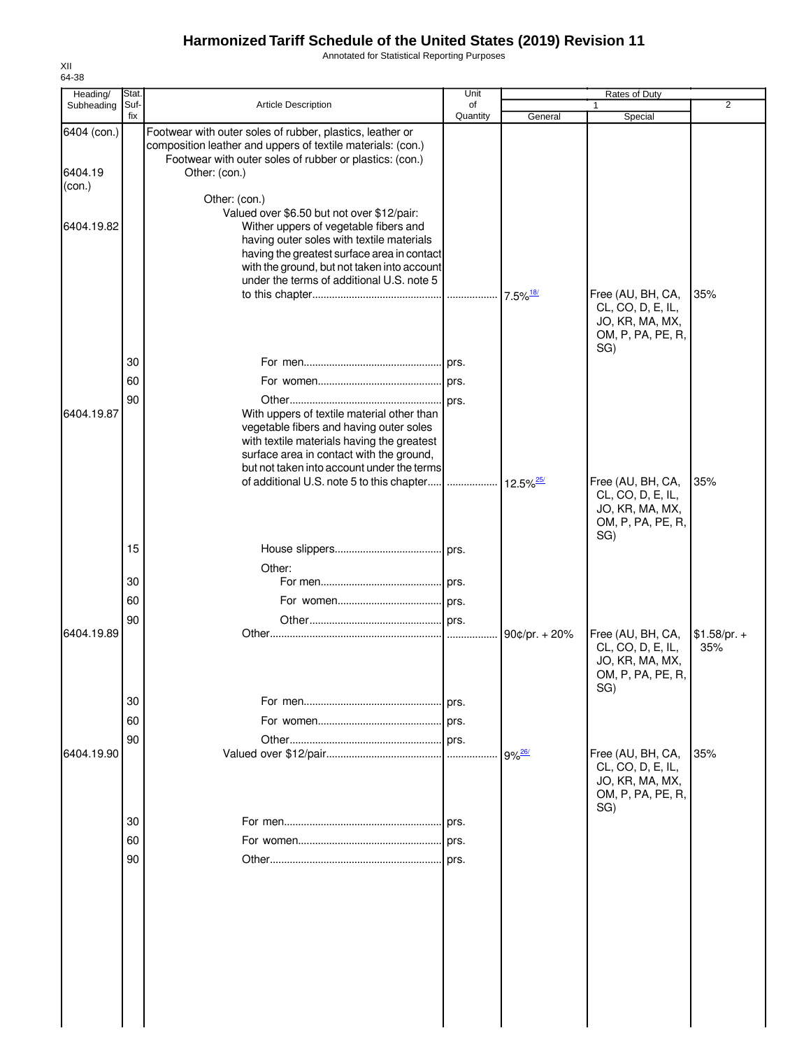Annotated for Statistical Reporting Purposes

| Heading/    | Stat.       |                                                                                                                                                                                                                                                                             | Unit     |                         | Rates of Duty                                                                         |                      |
|-------------|-------------|-----------------------------------------------------------------------------------------------------------------------------------------------------------------------------------------------------------------------------------------------------------------------------|----------|-------------------------|---------------------------------------------------------------------------------------|----------------------|
| Subheading  | Suf-<br>fix | <b>Article Description</b>                                                                                                                                                                                                                                                  | of       |                         | 1                                                                                     | 2                    |
| 6404 (con.) |             | Footwear with outer soles of rubber, plastics, leather or<br>composition leather and uppers of textile materials: (con.)<br>Footwear with outer soles of rubber or plastics: (con.)                                                                                         | Quantity | General                 | Special                                                                               |                      |
| 6404.19     |             | Other: (con.)                                                                                                                                                                                                                                                               |          |                         |                                                                                       |                      |
| (con.)      |             | Other: (con.)                                                                                                                                                                                                                                                               |          |                         |                                                                                       |                      |
| 6404.19.82  |             | Valued over \$6.50 but not over \$12/pair:<br>Wither uppers of vegetable fibers and<br>having outer soles with textile materials<br>having the greatest surface area in contact<br>with the ground, but not taken into account<br>under the terms of additional U.S. note 5 |          |                         |                                                                                       |                      |
|             |             |                                                                                                                                                                                                                                                                             |          | $7.5\%$ <sup>18/</sup>  | Free (AU, BH, CA,<br>CL, CO, D, E, IL,<br>JO, KR, MA, MX,<br>OM, P, PA, PE, R,<br>SG) | 35%                  |
|             | 30          |                                                                                                                                                                                                                                                                             |          |                         |                                                                                       |                      |
|             | 60          |                                                                                                                                                                                                                                                                             |          |                         |                                                                                       |                      |
|             | 90          |                                                                                                                                                                                                                                                                             |          |                         |                                                                                       |                      |
| 6404.19.87  |             | With uppers of textile material other than<br>vegetable fibers and having outer soles<br>with textile materials having the greatest<br>surface area in contact with the ground,<br>but not taken into account under the terms                                               |          |                         |                                                                                       |                      |
|             |             | of additional U.S. note 5 to this chapter                                                                                                                                                                                                                                   | .        | $12.5\%$ <sup>25/</sup> | Free (AU, BH, CA,<br>CL, CO, D, E, IL,<br>JO, KR, MA, MX,<br>OM, P, PA, PE, R,<br>SG) | 35%                  |
|             | 15          |                                                                                                                                                                                                                                                                             |          |                         |                                                                                       |                      |
|             |             | Other:                                                                                                                                                                                                                                                                      |          |                         |                                                                                       |                      |
|             | 30          |                                                                                                                                                                                                                                                                             |          |                         |                                                                                       |                      |
|             | 60          |                                                                                                                                                                                                                                                                             |          |                         |                                                                                       |                      |
|             | 90          |                                                                                                                                                                                                                                                                             | prs.     |                         |                                                                                       |                      |
| 6404.19.89  |             |                                                                                                                                                                                                                                                                             |          | 90¢/pr. $+ 20%$         | Free (AU, BH, CA,<br>CL, CO, D, E, IL,<br>JO, KR, MA, MX,<br>OM, P, PA, PE, R,<br>SG) | $$1.58/pr. +$<br>35% |
|             | 30          |                                                                                                                                                                                                                                                                             | prs.     |                         |                                                                                       |                      |
|             | 60          |                                                                                                                                                                                                                                                                             |          |                         |                                                                                       |                      |
|             |             |                                                                                                                                                                                                                                                                             |          |                         |                                                                                       |                      |
| 6404.19.90  | 90          |                                                                                                                                                                                                                                                                             | prs.     |                         | Free (AU, BH, CA,                                                                     | 35%                  |
|             |             |                                                                                                                                                                                                                                                                             |          | $9\%$ <sup>26/</sup>    | CL, CO, D, E, IL,<br>JO, KR, MA, MX,<br>OM, P, PA, PE, R,<br>SG)                      |                      |
|             | 30          |                                                                                                                                                                                                                                                                             |          |                         |                                                                                       |                      |
|             | 60          |                                                                                                                                                                                                                                                                             | prs.     |                         |                                                                                       |                      |
|             | 90          |                                                                                                                                                                                                                                                                             | prs.     |                         |                                                                                       |                      |
|             |             |                                                                                                                                                                                                                                                                             |          |                         |                                                                                       |                      |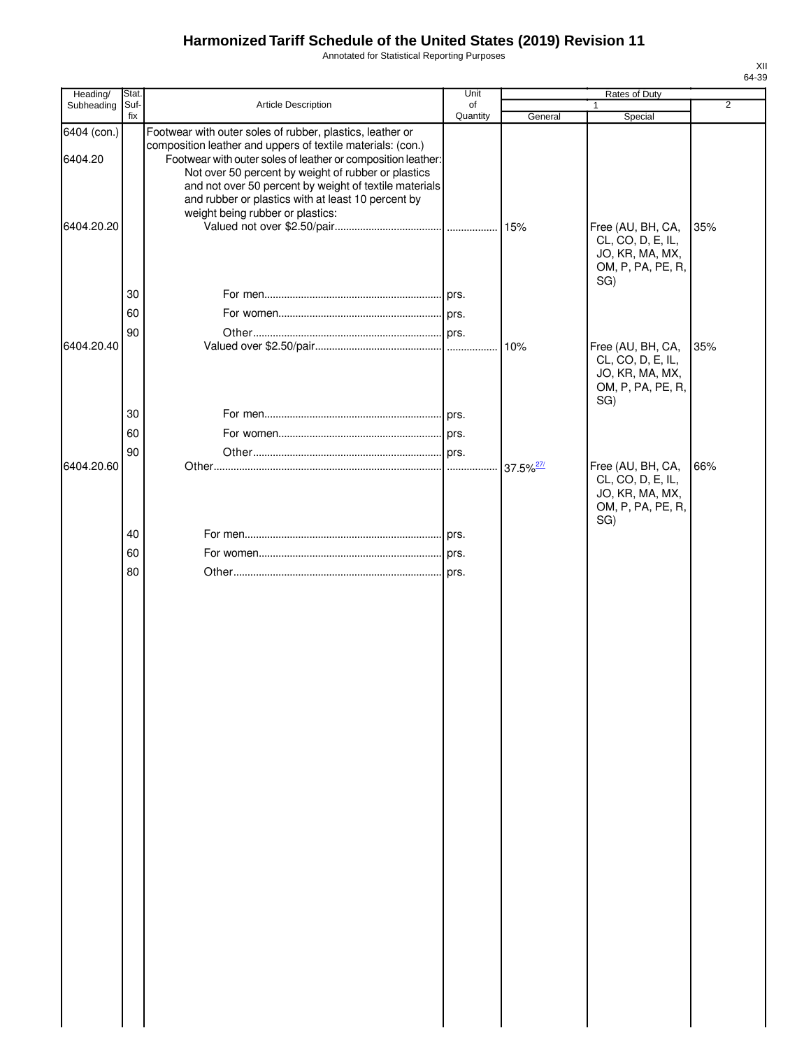Annotated for Statistical Reporting Purposes

| Heading/               | Stat.       |                                                                                                                                                                                                                                                                                                                                                                 | Unit           |                      | <b>Rates of Duty</b>                                                                  |                |
|------------------------|-------------|-----------------------------------------------------------------------------------------------------------------------------------------------------------------------------------------------------------------------------------------------------------------------------------------------------------------------------------------------------------------|----------------|----------------------|---------------------------------------------------------------------------------------|----------------|
| Subheading             | Suf-<br>fix | Article Description                                                                                                                                                                                                                                                                                                                                             | of<br>Quantity | General              | 1<br>Special                                                                          | $\overline{2}$ |
| 6404 (con.)<br>6404.20 |             | Footwear with outer soles of rubber, plastics, leather or<br>composition leather and uppers of textile materials: (con.)<br>Footwear with outer soles of leather or composition leather:<br>Not over 50 percent by weight of rubber or plastics<br>and not over 50 percent by weight of textile materials<br>and rubber or plastics with at least 10 percent by |                |                      |                                                                                       |                |
| 6404.20.20             | 30          | weight being rubber or plastics:                                                                                                                                                                                                                                                                                                                                |                | 15%                  | Free (AU, BH, CA,<br>CL, CO, D, E, IL,<br>JO, KR, MA, MX,<br>OM, P, PA, PE, R,<br>SG) | 35%            |
|                        |             |                                                                                                                                                                                                                                                                                                                                                                 |                |                      |                                                                                       |                |
|                        | 60          |                                                                                                                                                                                                                                                                                                                                                                 |                |                      |                                                                                       |                |
|                        | 90          |                                                                                                                                                                                                                                                                                                                                                                 |                |                      |                                                                                       |                |
| 6404.20.40             |             |                                                                                                                                                                                                                                                                                                                                                                 |                | 10%                  | Free (AU, BH, CA,<br>CL, CO, D, E, IL,<br>JO, KR, MA, MX,<br>OM, P, PA, PE, R,<br>SG) | 35%            |
|                        | 30          |                                                                                                                                                                                                                                                                                                                                                                 |                |                      |                                                                                       |                |
|                        | 60          |                                                                                                                                                                                                                                                                                                                                                                 |                |                      |                                                                                       |                |
|                        | 90          |                                                                                                                                                                                                                                                                                                                                                                 |                |                      |                                                                                       |                |
| 6404.20.60             |             |                                                                                                                                                                                                                                                                                                                                                                 |                | 37.5% <sup>27/</sup> | Free (AU, BH, CA,<br>CL, CO, D, E, IL,<br>JO, KR, MA, MX,<br>OM, P, PA, PE, R,<br>SG) | 66%            |
|                        | 40          |                                                                                                                                                                                                                                                                                                                                                                 |                |                      |                                                                                       |                |
|                        | 60          |                                                                                                                                                                                                                                                                                                                                                                 |                |                      |                                                                                       |                |
|                        | 80          |                                                                                                                                                                                                                                                                                                                                                                 |                |                      |                                                                                       |                |
|                        |             |                                                                                                                                                                                                                                                                                                                                                                 |                |                      |                                                                                       |                |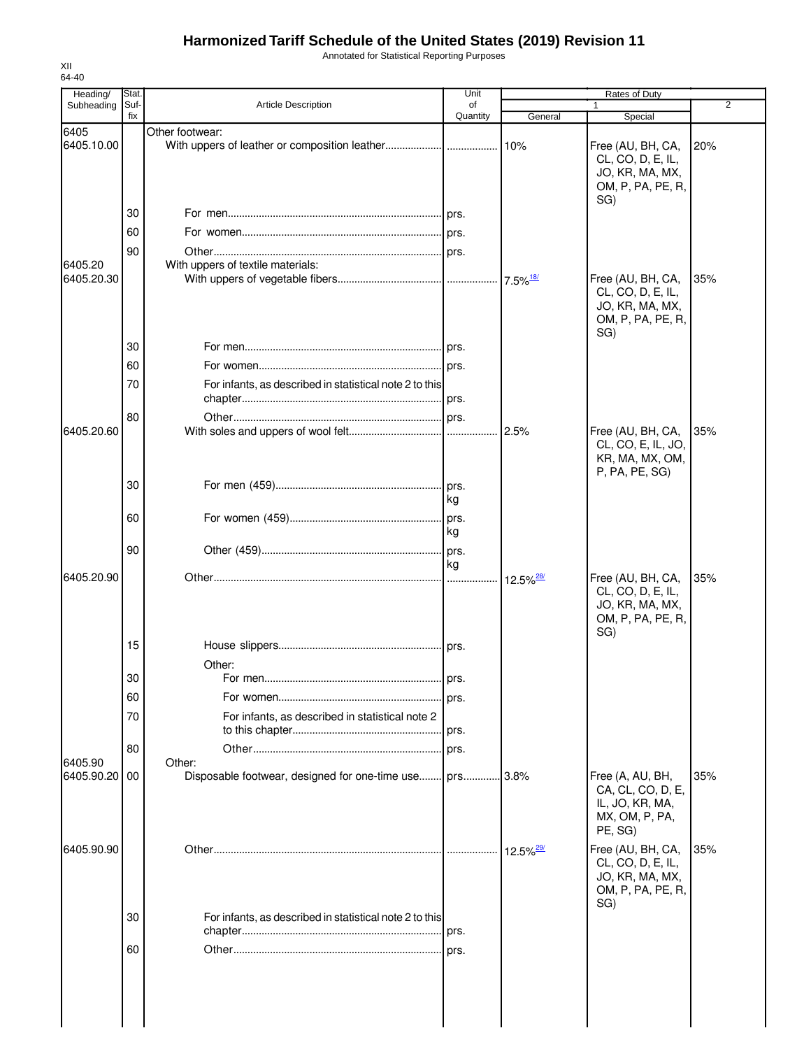Annotated for Statistical Reporting Purposes

| Heading/                 | Stat.       |                                                              | Unit           |                         | Rates of Duty                                                                         |     |
|--------------------------|-------------|--------------------------------------------------------------|----------------|-------------------------|---------------------------------------------------------------------------------------|-----|
| Subheading               | Suf-<br>fix | <b>Article Description</b>                                   | of<br>Quantity | General                 | 1<br>Special                                                                          | 2   |
| 6405<br>6405.10.00       |             | Other footwear:                                              |                | 10%                     | Free (AU, BH, CA,<br>CL, CO, D, E, IL,<br>JO, KR, MA, MX,<br>OM, P, PA, PE, R,        | 20% |
|                          | 30          |                                                              |                |                         | SG)                                                                                   |     |
|                          | 60          |                                                              |                |                         |                                                                                       |     |
|                          | 90          |                                                              |                |                         |                                                                                       |     |
| 6405.20                  |             | With uppers of textile materials:                            |                |                         |                                                                                       |     |
| 6405.20.30               |             |                                                              |                |                         | Free (AU, BH, CA,<br>CL, CO, D, E, IL,<br>JO, KR, MA, MX,<br>OM, P, PA, PE, R,<br>SG) | 35% |
|                          | 30          |                                                              |                |                         |                                                                                       |     |
|                          | 60          |                                                              |                |                         |                                                                                       |     |
|                          | 70          | For infants, as described in statistical note 2 to this      |                |                         |                                                                                       |     |
|                          | 80          |                                                              |                |                         |                                                                                       |     |
| 6405.20.60               |             |                                                              |                | 2.5%                    | Free (AU, BH, CA,<br>CL, CO, E, IL, JO,<br>KR, MA, MX, OM,<br>P, PA, PE, SG)          | 35% |
|                          | 30          |                                                              | kg             |                         |                                                                                       |     |
|                          | 60          |                                                              | kg             |                         |                                                                                       |     |
|                          | 90          |                                                              |                |                         |                                                                                       |     |
| 6405.20.90               |             |                                                              | kg             |                         | Free (AU, BH, CA,                                                                     | 35% |
|                          |             |                                                              |                | $12.5\%$ <sup>28/</sup> | CL, CO, D, E, IL,<br>JO, KR, MA, MX,<br>OM, P, PA, PE, R,<br>SG)                      |     |
|                          | 15          |                                                              |                |                         |                                                                                       |     |
|                          | 30          | Other:<br>For men.                                           | prs.           |                         |                                                                                       |     |
|                          | 60          |                                                              |                |                         |                                                                                       |     |
|                          | 70          | For infants, as described in statistical note 2              |                |                         |                                                                                       |     |
|                          |             |                                                              |                |                         |                                                                                       |     |
|                          | 80          |                                                              |                |                         |                                                                                       |     |
| 6405.90<br>6405.90.20 00 |             | Other:<br>Disposable footwear, designed for one-time use prs |                | .3.8%                   | Free (A, AU, BH,<br>CA, CL, CO, D, E,<br>IL, JO, KR, MA,<br>MX, OM, P, PA,<br>PE, SG) | 35% |
| 6405.90.90               |             |                                                              |                | 12.5% <sup>29/</sup>    | Free (AU, BH, CA,<br>CL, CO, D, E, IL,<br>JO, KR, MA, MX,<br>OM, P, PA, PE, R,        | 35% |
|                          | 30          | For infants, as described in statistical note 2 to this      |                |                         | SG)                                                                                   |     |
|                          |             |                                                              |                |                         |                                                                                       |     |
|                          | 60          |                                                              |                |                         |                                                                                       |     |
|                          |             |                                                              |                |                         |                                                                                       |     |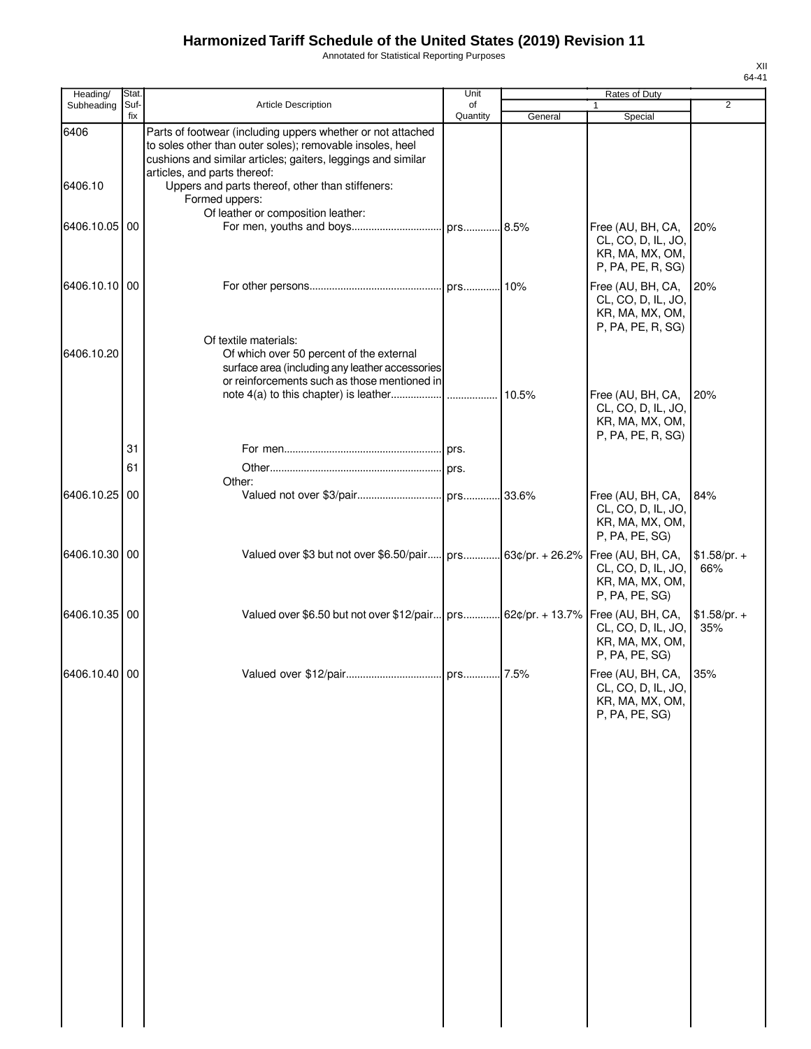Annotated for Statistical Reporting Purposes

| Heading/        | Stat.       |                                                                                                                                                                                                                                                                                                | Unit           |         | Rates of Duty                                                                                      |                      |
|-----------------|-------------|------------------------------------------------------------------------------------------------------------------------------------------------------------------------------------------------------------------------------------------------------------------------------------------------|----------------|---------|----------------------------------------------------------------------------------------------------|----------------------|
| Subheading      | Suf-<br>fix | <b>Article Description</b>                                                                                                                                                                                                                                                                     | of<br>Quantity | General | 1<br>Special                                                                                       | $\overline{2}$       |
| 6406<br>6406.10 |             | Parts of footwear (including uppers whether or not attached<br>to soles other than outer soles); removable insoles, heel<br>cushions and similar articles; gaiters, leggings and similar<br>articles, and parts thereof:<br>Uppers and parts thereof, other than stiffeners:<br>Formed uppers: |                |         |                                                                                                    |                      |
| 6406.10.05 00   |             | Of leather or composition leather:                                                                                                                                                                                                                                                             |                |         | Free (AU, BH, CA,<br>CL, CO, D, IL, JO,<br>KR, MA, MX, OM,<br>P, PA, PE, R, SG)                    | 20%                  |
| 6406.10.10 00   |             |                                                                                                                                                                                                                                                                                                |                |         | Free (AU, BH, CA,<br>CL, CO, D, IL, JO,<br>KR, MA, MX, OM,<br>P, PA, PE, R, SG)                    | 20%                  |
| 6406.10.20      |             | Of textile materials:<br>Of which over 50 percent of the external<br>surface area (including any leather accessories<br>or reinforcements such as those mentioned in                                                                                                                           |                |         |                                                                                                    |                      |
|                 |             |                                                                                                                                                                                                                                                                                                |                |         | Free (AU, BH, CA,<br>CL, CO, D, IL, JO,<br>KR, MA, MX, OM,<br>P, PA, PE, R, SG)                    | 20%                  |
|                 | 31<br>61    |                                                                                                                                                                                                                                                                                                | prs.           |         |                                                                                                    |                      |
|                 |             | Other:                                                                                                                                                                                                                                                                                         |                |         |                                                                                                    |                      |
| 6406.10.25 00   |             |                                                                                                                                                                                                                                                                                                |                |         | Free (AU, BH, CA,<br>CL, CO, D, IL, JO,<br>KR, MA, MX, OM,<br>P, PA, PE, SG)                       | 84%                  |
| 6406.10.30 00   |             | Valued over \$3 but not over \$6.50/pair                                                                                                                                                                                                                                                       |                |         | prs 63¢/pr. + 26.2%   Free (AU, BH, CA,<br>CL, CO, D, IL, JO,<br>KR, MA, MX, OM,<br>P, PA, PE, SG) | $$1.58/pr. +$<br>66% |
| 6406.10.35 00   |             | Valued over \$6.50 but not over \$12/pair prs 62¢/pr. + 13.7%   Free (AU, BH, CA,                                                                                                                                                                                                              |                |         | CL, CO, D, IL, JO,<br>KR, MA, MX, OM,<br>P, PA, PE, SG)                                            | $$1.58/pr. +$<br>35% |
| 6406.10.40 00   |             |                                                                                                                                                                                                                                                                                                |                |         | Free (AU, BH, CA, 35%<br>CL, CO, D, IL, JO,<br>KR, MA, MX, OM,<br>P, PA, PE, SG)                   |                      |
|                 |             |                                                                                                                                                                                                                                                                                                |                |         |                                                                                                    |                      |
|                 |             |                                                                                                                                                                                                                                                                                                |                |         |                                                                                                    |                      |
|                 |             |                                                                                                                                                                                                                                                                                                |                |         |                                                                                                    |                      |
|                 |             |                                                                                                                                                                                                                                                                                                |                |         |                                                                                                    |                      |
|                 |             |                                                                                                                                                                                                                                                                                                |                |         |                                                                                                    |                      |
|                 |             |                                                                                                                                                                                                                                                                                                |                |         |                                                                                                    |                      |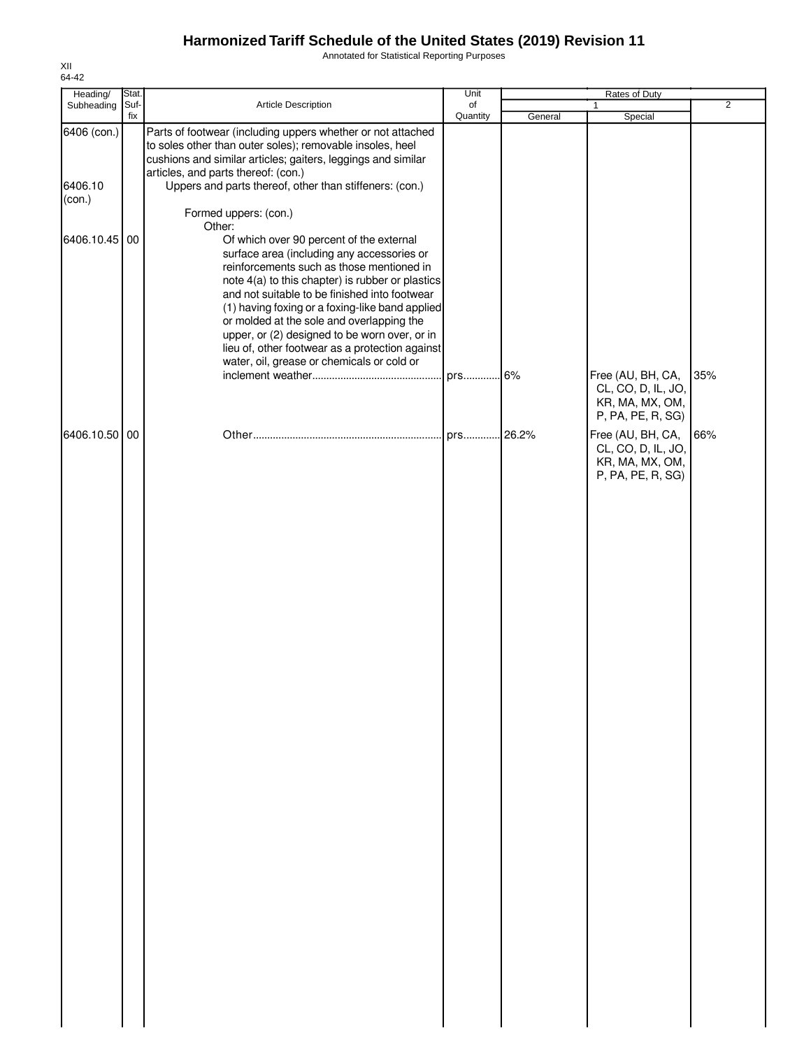Annotated for Statistical Reporting Purposes

| Heading/                         | Stat. |                                                                                                                                                                                                                                                                                                                                                                                                                                                                                                      | Unit           |         | Rates of Duty                                                                   |                |
|----------------------------------|-------|------------------------------------------------------------------------------------------------------------------------------------------------------------------------------------------------------------------------------------------------------------------------------------------------------------------------------------------------------------------------------------------------------------------------------------------------------------------------------------------------------|----------------|---------|---------------------------------------------------------------------------------|----------------|
| Subheading                       | Suf-  | Article Description                                                                                                                                                                                                                                                                                                                                                                                                                                                                                  | of<br>Quantity |         |                                                                                 | $\overline{2}$ |
| 6406 (con.)<br>6406.10<br>(con.) | fix   | Parts of footwear (including uppers whether or not attached<br>to soles other than outer soles); removable insoles, heel<br>cushions and similar articles; gaiters, leggings and similar<br>articles, and parts thereof: (con.)<br>Uppers and parts thereof, other than stiffeners: (con.)<br>Formed uppers: (con.)                                                                                                                                                                                  |                | General | Special                                                                         |                |
| 6406.10.45                       | 00    | Other:<br>Of which over 90 percent of the external<br>surface area (including any accessories or<br>reinforcements such as those mentioned in<br>note 4(a) to this chapter) is rubber or plastics<br>and not suitable to be finished into footwear<br>(1) having foxing or a foxing-like band applied<br>or molded at the sole and overlapping the<br>upper, or (2) designed to be worn over, or in<br>lieu of, other footwear as a protection against<br>water, oil, grease or chemicals or cold or | prs            | .6%     | Free (AU, BH, CA,<br>CL, CO, D, IL, JO,<br>KR, MA, MX, OM,<br>P, PA, PE, R, SG) | 35%            |
| 6406.10.50 00                    |       |                                                                                                                                                                                                                                                                                                                                                                                                                                                                                                      |                |         | Free (AU, BH, CA,<br>CL, CO, D, IL, JO,<br>KR, MA, MX, OM,<br>P, PA, PE, R, SG) | 66%            |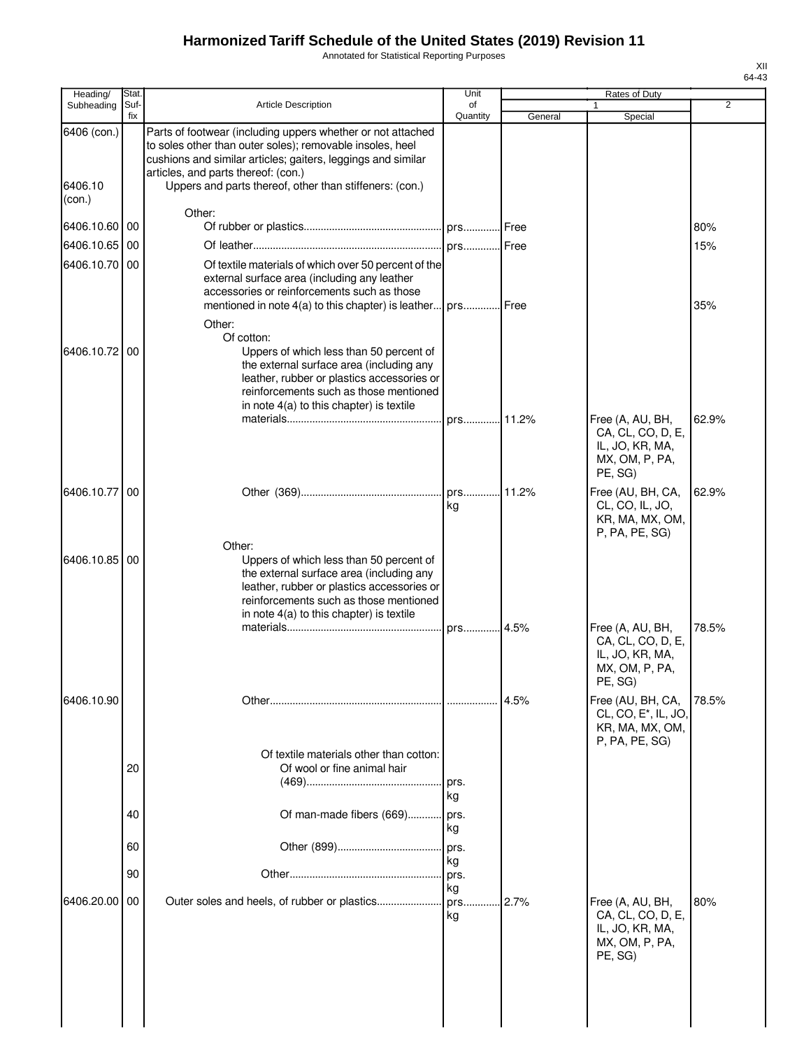Annotated for Statistical Reporting Purposes

| Heading/               | Stat        |                                                                                                                                                                                                                                                                                            | Unit            |         | Rates of Duty                                                                              |                |
|------------------------|-------------|--------------------------------------------------------------------------------------------------------------------------------------------------------------------------------------------------------------------------------------------------------------------------------------------|-----------------|---------|--------------------------------------------------------------------------------------------|----------------|
| Subheading             | Suf-<br>fix | <b>Article Description</b>                                                                                                                                                                                                                                                                 | of<br>Quantity  | General | 1<br>Special                                                                               | $\overline{2}$ |
| 6406 (con.)<br>6406.10 |             | Parts of footwear (including uppers whether or not attached<br>to soles other than outer soles); removable insoles, heel<br>cushions and similar articles; gaiters, leggings and similar<br>articles, and parts thereof: (con.)<br>Uppers and parts thereof, other than stiffeners: (con.) |                 |         |                                                                                            |                |
| (con.)                 |             | Other:                                                                                                                                                                                                                                                                                     |                 |         |                                                                                            |                |
| 6406.10.60 00          |             |                                                                                                                                                                                                                                                                                            |                 |         |                                                                                            | 80%            |
| 6406.10.65             | 00          |                                                                                                                                                                                                                                                                                            | prs Free        |         |                                                                                            | 15%            |
| 6406.10.70 00          |             | Of textile materials of which over 50 percent of the<br>external surface area (including any leather<br>accessories or reinforcements such as those<br>mentioned in note 4(a) to this chapter) is leather                                                                                  | prs Free        |         |                                                                                            | 35%            |
| 6406.10.72             | 00          | Other:<br>Of cotton:<br>Uppers of which less than 50 percent of                                                                                                                                                                                                                            |                 |         |                                                                                            |                |
|                        |             | the external surface area (including any<br>leather, rubber or plastics accessories or<br>reinforcements such as those mentioned<br>in note 4(a) to this chapter) is textile                                                                                                               |                 |         |                                                                                            |                |
|                        |             |                                                                                                                                                                                                                                                                                            | prs             | 11.2%   | Free (A, AU, BH,<br>CA, CL, CO, D, E,<br>IL, JO, KR, MA,<br>MX, OM, P, PA,<br>PE, SG)      | 62.9%          |
| 6406.10.77             | 00          |                                                                                                                                                                                                                                                                                            | prs 11.2%<br>kg |         | Free (AU, BH, CA,<br>CL, CO, IL, JO,<br>KR, MA, MX, OM,<br>P, PA, PE, SG)                  | 62.9%          |
| 6406.10.85             | 00          | Other:<br>Uppers of which less than 50 percent of<br>the external surface area (including any<br>leather, rubber or plastics accessories or<br>reinforcements such as those mentioned<br>in note 4(a) to this chapter) is textile                                                          |                 |         |                                                                                            |                |
|                        |             |                                                                                                                                                                                                                                                                                            | prs 4.5%        |         | Free (A, AU, BH,<br>CA, CL, CO, D, E,<br>IL, JO, KR, MA,<br>MX, OM, P, PA,<br>PE, SG)      | 78.5%          |
| 6406.10.90             |             |                                                                                                                                                                                                                                                                                            |                 | 4.5%    | Free (AU, BH, CA,<br>CL, CO, E <sup>*</sup> , IL, JO,<br>KR, MA, MX, OM,<br>P, PA, PE, SG) | 78.5%          |
|                        | 20          | Of textile materials other than cotton:<br>Of wool or fine animal hair                                                                                                                                                                                                                     | prs.<br>kg      |         |                                                                                            |                |
|                        | 40          | Of man-made fibers (669)                                                                                                                                                                                                                                                                   | prs.<br>kg      |         |                                                                                            |                |
|                        | 60          |                                                                                                                                                                                                                                                                                            | prs.<br>kg      |         |                                                                                            |                |
|                        | 90          |                                                                                                                                                                                                                                                                                            | prs.<br>kg      |         |                                                                                            |                |
| 6406.20.00             | 00          |                                                                                                                                                                                                                                                                                            | prs<br>kg       | 2.7%    | Free (A, AU, BH,<br>CA, CL, CO, D, E,<br>IL, JO, KR, MA,<br>MX, OM, P, PA,<br>PE, SG)      | 80%            |
|                        |             |                                                                                                                                                                                                                                                                                            |                 |         |                                                                                            |                |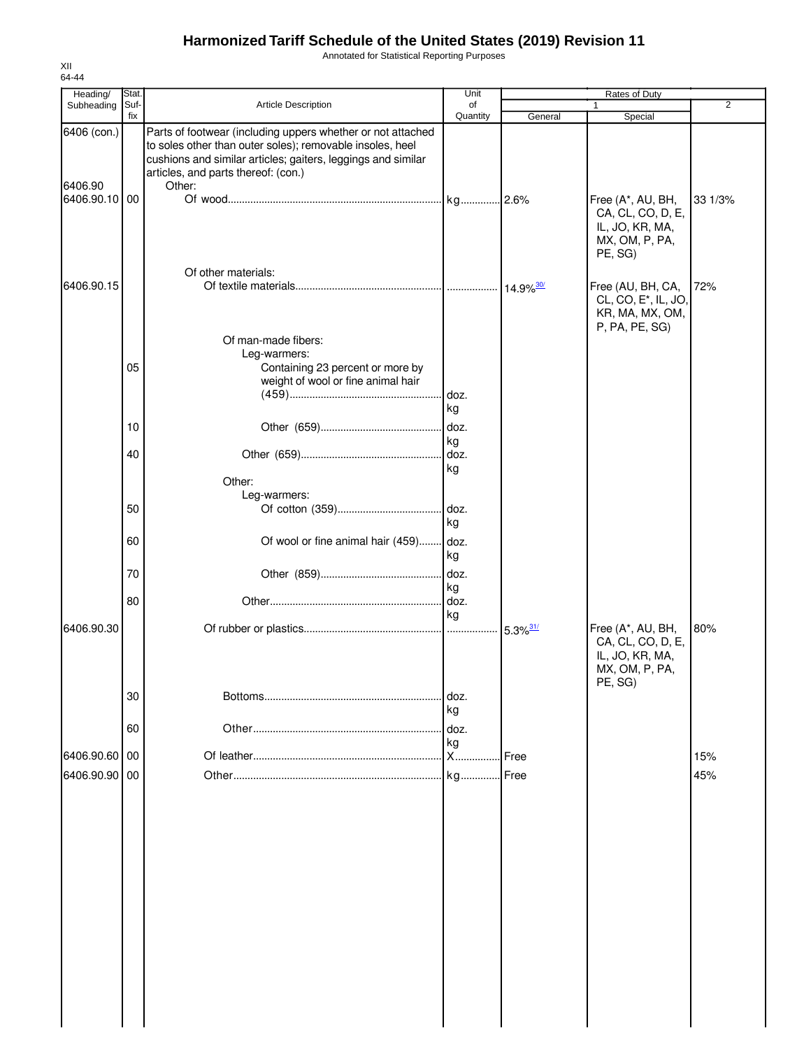Annotated for Statistical Reporting Purposes

| Heading/                                | Stat. |                                                                                                                                                                                                                                           | Unit            |                        | Rates of Duty                                                                              |         |
|-----------------------------------------|-------|-------------------------------------------------------------------------------------------------------------------------------------------------------------------------------------------------------------------------------------------|-----------------|------------------------|--------------------------------------------------------------------------------------------|---------|
| Subheading                              | Suf-  | Article Description                                                                                                                                                                                                                       | of              |                        | 1                                                                                          | 2       |
|                                         | fix   |                                                                                                                                                                                                                                           | Quantity        | General                | Special                                                                                    |         |
| 6406 (con.)<br>6406.90<br>6406.90.10 00 |       | Parts of footwear (including uppers whether or not attached<br>to soles other than outer soles); removable insoles, heel<br>cushions and similar articles; gaiters, leggings and similar<br>articles, and parts thereof: (con.)<br>Other: |                 |                        | Free (A*, AU, BH,                                                                          | 33 1/3% |
|                                         |       | Of other materials:                                                                                                                                                                                                                       |                 |                        | CA, CL, CO, D, E,<br>IL, JO, KR, MA,<br>MX, OM, P, PA,<br>PE, SG)                          |         |
| 6406.90.15                              |       | Of man-made fibers:                                                                                                                                                                                                                       |                 |                        | Free (AU, BH, CA,<br>CL, CO, E <sup>*</sup> , IL, JO,<br>KR, MA, MX, OM,<br>P, PA, PE, SG) | 72%     |
|                                         |       | Leg-warmers:                                                                                                                                                                                                                              |                 |                        |                                                                                            |         |
|                                         | 05    | Containing 23 percent or more by<br>weight of wool or fine animal hair                                                                                                                                                                    | doz.            |                        |                                                                                            |         |
|                                         |       |                                                                                                                                                                                                                                           | kg              |                        |                                                                                            |         |
|                                         | 10    |                                                                                                                                                                                                                                           | doz.            |                        |                                                                                            |         |
|                                         |       |                                                                                                                                                                                                                                           | kg              |                        |                                                                                            |         |
|                                         | 40    |                                                                                                                                                                                                                                           | doz.            |                        |                                                                                            |         |
|                                         |       |                                                                                                                                                                                                                                           | kg              |                        |                                                                                            |         |
|                                         |       | Other:                                                                                                                                                                                                                                    |                 |                        |                                                                                            |         |
|                                         |       | Leg-warmers:                                                                                                                                                                                                                              |                 |                        |                                                                                            |         |
|                                         | 50    |                                                                                                                                                                                                                                           | .l doz.         |                        |                                                                                            |         |
|                                         |       |                                                                                                                                                                                                                                           | kg              |                        |                                                                                            |         |
|                                         | 60    | Of wool or fine animal hair (459)                                                                                                                                                                                                         | doz.<br>kg      |                        |                                                                                            |         |
|                                         | 70    |                                                                                                                                                                                                                                           | doz.<br>kg      |                        |                                                                                            |         |
|                                         | 80    |                                                                                                                                                                                                                                           | doz.            |                        |                                                                                            |         |
| 6406.90.30                              |       |                                                                                                                                                                                                                                           | kg              | $5.3\%$ <sup>31/</sup> | Free (A*, AU, BH,                                                                          | 80%     |
|                                         |       |                                                                                                                                                                                                                                           |                 |                        | CA, CL, CO, D, E,<br>IL, JO, KR, MA,<br>MX, OM, P, PA,<br>PE, SG)                          |         |
|                                         | 30    |                                                                                                                                                                                                                                           | doz.<br>kg      |                        |                                                                                            |         |
|                                         | 60    |                                                                                                                                                                                                                                           | doz.            |                        |                                                                                            |         |
| 6406.90.60                              | 00    |                                                                                                                                                                                                                                           | kg<br><b>X.</b> | Free                   |                                                                                            | 15%     |
|                                         |       |                                                                                                                                                                                                                                           |                 |                        |                                                                                            |         |
| 6406.90.90                              | 00    |                                                                                                                                                                                                                                           | kg              | Free                   |                                                                                            | 45%     |
|                                         |       |                                                                                                                                                                                                                                           |                 |                        |                                                                                            |         |
|                                         |       |                                                                                                                                                                                                                                           |                 |                        |                                                                                            |         |
|                                         |       |                                                                                                                                                                                                                                           |                 |                        |                                                                                            |         |
|                                         |       |                                                                                                                                                                                                                                           |                 |                        |                                                                                            |         |
|                                         |       |                                                                                                                                                                                                                                           |                 |                        |                                                                                            |         |
|                                         |       |                                                                                                                                                                                                                                           |                 |                        |                                                                                            |         |
|                                         |       |                                                                                                                                                                                                                                           |                 |                        |                                                                                            |         |
|                                         |       |                                                                                                                                                                                                                                           |                 |                        |                                                                                            |         |
|                                         |       |                                                                                                                                                                                                                                           |                 |                        |                                                                                            |         |
|                                         |       |                                                                                                                                                                                                                                           |                 |                        |                                                                                            |         |
|                                         |       |                                                                                                                                                                                                                                           |                 |                        |                                                                                            |         |
|                                         |       |                                                                                                                                                                                                                                           |                 |                        |                                                                                            |         |
|                                         |       |                                                                                                                                                                                                                                           |                 |                        |                                                                                            |         |
|                                         |       |                                                                                                                                                                                                                                           |                 |                        |                                                                                            |         |
|                                         |       |                                                                                                                                                                                                                                           |                 |                        |                                                                                            |         |
|                                         |       |                                                                                                                                                                                                                                           |                 |                        |                                                                                            |         |